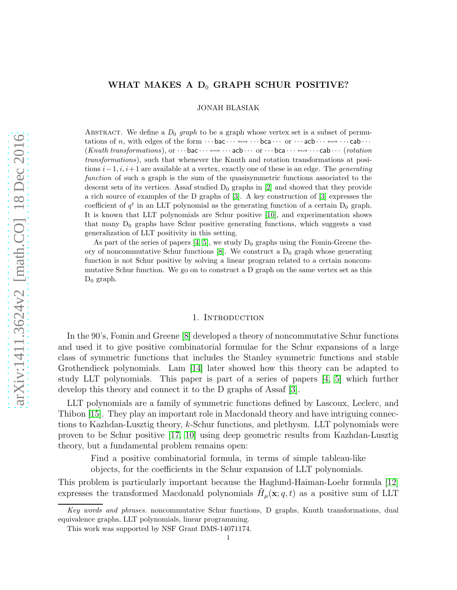# WHAT MAKES A  $D_0$  GRAPH SCHUR POSITIVE?

JONAH BLASIAK

ABSTRACT. We define a  $D_0$  graph to be a graph whose vertex set is a subset of permutations of n, with edges of the form  $\cdots$  bac  $\cdots \leftarrow \cdots$   $\cdots$   $\cdots$   $\cdots$   $\cdots$   $\cdots$   $\cdots$   $\cdots$   $\cdots$   $\cdots$   $\cdots$   $\cdots$   $\cdots$  $(Knuth\ transformations),$  or  $\cdots$  bac  $\cdots \leftrightsquigarrow \cdots$  acb  $\cdots$  or  $\cdots$  bca  $\cdots \leftrightsquigarrow \cdots$  cab  $\cdots$  (rotation transformations), such that whenever the Knuth and rotation transformations at positions  $i-1, i, i+1$  are available at a vertex, exactly one of these is an edge. The *generating* function of such a graph is the sum of the quasisymmetric functions associated to the descent sets of its vertices. Assaf studied  $D_0$  graphs in [\[2\]](#page-45-0) and showed that they provide a rich source of examples of the D graphs of [\[3\]](#page-45-1). A key construction of [\[3\]](#page-45-1) expresses the coefficient of  $q^t$  in an LLT polynomial as the generating function of a certain  $D_0$  graph. It is known that LLT polynomials are Schur positive [\[10\]](#page-45-2), and experimentation shows that many  $D_0$  graphs have Schur positive generating functions, which suggests a vast generalization of LLT positivity in this setting.

As part of the series of papers [\[4,](#page-45-3) [5\]](#page-45-4), we study  $D_0$  graphs using the Fomin-Greene theory of noncommutative Schur functions  $[8]$ . We construct a  $D_0$  graph whose generating function is not Schur positive by solving a linear program related to a certain noncommutative Schur function. We go on to construct a D graph on the same vertex set as this  $D_0$  graph.

## 1. INTRODUCTION

In the 90's, Fomin and Greene [\[8\]](#page-45-5) developed a theory of noncommutative Schur functions and used it to give positive combinatorial formulae for the Schur expansions of a large class of symmetric functions that includes the Stanley symmetric functions and stable Grothendieck polynomials. Lam [\[14\]](#page-45-6) later showed how this theory can be adapted to study LLT polynomials. This paper is part of a series of papers [\[4,](#page-45-3) [5\]](#page-45-4) which further develop this theory and connect it to the D graphs of Assaf [\[3\]](#page-45-1).

LLT polynomials are a family of symmetric functions defined by Lascoux, Leclerc, and Thibon [\[15\]](#page-45-7). They play an important role in Macdonald theory and have intriguing connections to Kazhdan-Lusztig theory, k-Schur functions, and plethysm. LLT polynomials were proven to be Schur positive [\[17,](#page-45-8) [10\]](#page-45-2) using deep geometric results from Kazhdan-Lusztig theory, but a fundamental problem remains open:

Find a positive combinatorial formula, in terms of simple tableau-like

objects, for the coefficients in the Schur expansion of LLT polynomials.

This problem is particularly important because the Haglund-Haiman-Loehr formula [\[12\]](#page-45-9) expresses the transformed Macdonald polynomials  $\tilde{H}_{\mu}(\mathbf{x}; q, t)$  as a positive sum of LLT

Key words and phrases. noncommutative Schur functions, D graphs, Knuth transformations, dual equivalence graphs, LLT polynomials, linear programming.

This work was supported by NSF Grant DMS-14071174.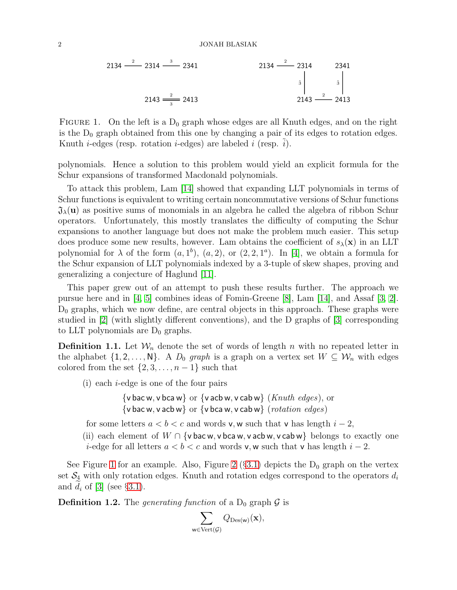<span id="page-1-0"></span>
$$
2134 \frac{2}{214} - 2314 \frac{3}{214} - 2341
$$
  

$$
2134 \frac{2}{3} - 2314
$$
  

$$
2143 \frac{2}{3} - 2413
$$
  

$$
2143 \frac{2}{3} - 2413
$$

FIGURE 1. On the left is a  $D_0$  graph whose edges are all Knuth edges, and on the right is the  $D_0$  graph obtained from this one by changing a pair of its edges to rotation edges. Knuth *i*-edges (resp. rotation *i*-edges) are labeled *i* (resp. *i*).

polynomials. Hence a solution to this problem would yield an explicit formula for the Schur expansions of transformed Macdonald polynomials.

To attack this problem, Lam [\[14\]](#page-45-6) showed that expanding LLT polynomials in terms of Schur functions is equivalent to writing certain noncommutative versions of Schur functions  $\mathfrak{J}_{\lambda}(\mathbf{u})$  as positive sums of monomials in an algebra he called the algebra of ribbon Schur operators. Unfortunately, this mostly translates the difficulty of computing the Schur expansions to another language but does not make the problem much easier. This setup does produce some new results, however. Lam obtains the coefficient of  $s_\lambda(\mathbf{x})$  in an LLT polynomial for  $\lambda$  of the form  $(a, 1^b)$ ,  $(a, 2)$ , or  $(2, 2, 1^a)$ . In [\[4\]](#page-45-3), we obtain a formula for the Schur expansion of LLT polynomials indexed by a 3-tuple of skew shapes, proving and generalizing a conjecture of Haglund [\[11\]](#page-45-10).

This paper grew out of an attempt to push these results further. The approach we pursue here and in [\[4,](#page-45-3) [5\]](#page-45-4) combines ideas of Fomin-Greene [\[8\]](#page-45-5), Lam [\[14\]](#page-45-6), and Assaf [\[3,](#page-45-1) [2\]](#page-45-0).  $D_0$  graphs, which we now define, are central objects in this approach. These graphs were studied in [\[2\]](#page-45-0) (with slightly different conventions), and the D graphs of [\[3\]](#page-45-1) corresponding to LLT polynomials are  $D_0$  graphs.

<span id="page-1-1"></span>**Definition 1.1.** Let  $W_n$  denote the set of words of length n with no repeated letter in the alphabet  $\{1, 2, ..., N\}$ . A  $D_0$  graph is a graph on a vertex set  $W \subseteq W_n$  with edges colored from the set  $\{2, 3, \ldots, n-1\}$  such that

- (i) each i-edge is one of the four pairs
	- {v bac w, v bca w} or {v acb w, v cab w} (Knuth edges), or  $\{v\text{ bac }w, v\text{ acb }w\}$  or  $\{v\text{ bca }w, v\text{ cab }w\}$  (rotation edges)

for some letters  $a < b < c$  and words v, w such that v has length  $i - 2$ ,

(ii) each element of  $W \cap \{v \text{ bac } w, v \text{ bca } w, v \text{ acb } w, v \text{ cab } w\}$  belongs to exactly one i-edge for all letters  $a < b < c$  and words v, w such that v has length  $i - 2$ .

See Figure [1](#page-1-0) for an example. Also, Figure [2](#page-10-0) ( $\S 3.1$ ) depicts the D<sub>0</sub> graph on the vertex set  $\mathcal{S}_4$  with only rotation edges. Knuth and rotation edges correspond to the operators  $d_i$ and  $d_i$  of [\[3\]](#page-45-1) (see §[3.1\)](#page-9-0).

<span id="page-1-2"></span>**Definition 1.2.** The generating function of a  $D_0$  graph  $\mathcal{G}$  is

$$
\sum_{\mathsf{w}\in \mathrm{Vert}(\mathcal{G})}Q_{\mathrm{Des}(\mathsf{w})}(\mathbf{x}),
$$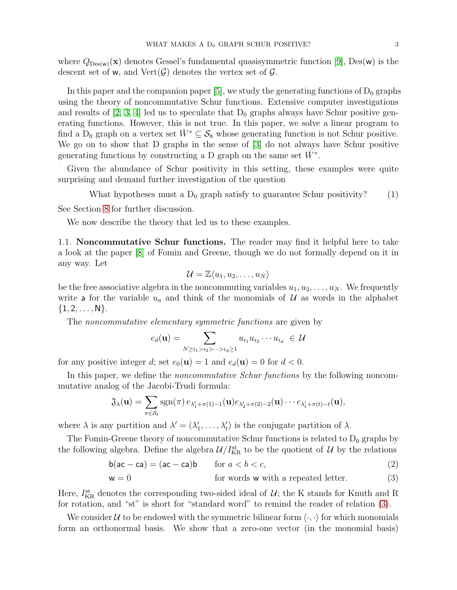where  $Q_{\text{Des}(w)}(x)$  denotes Gessel's fundamental quasisymmetric function [\[9\]](#page-45-11), Des(w) is the descent set of w, and  $Vert(\mathcal{G})$  denotes the vertex set of  $\mathcal{G}$ .

In this paper and the companion paper [\[5\]](#page-45-4), we study the generating functions of  $D_0$  graphs using the theory of noncommutative Schur functions. Extensive computer investigations and results of [\[2,](#page-45-0) [3,](#page-45-1) [4\]](#page-45-3) led us to speculate that  $D_0$  graphs always have Schur positive generating functions. However, this is not true. In this paper, we solve a linear program to find a D<sub>0</sub> graph on a vertex set  $\bar{W}^* \subseteq S_8$  whose generating function is not Schur positive. We go on to show that D graphs in the sense of [\[3\]](#page-45-1) do not always have Schur positive generating functions by constructing a D graph on the same set  $\bar{W}^*$ .

Given the abundance of Schur positivity in this setting, these examples were quite surprising and demand further investigation of the question

What hypotheses must a  $D_0$  graph satisfy to guarantee Schur positivity? (1)

See Section [8](#page-42-0) for further discussion.

<span id="page-2-2"></span>We now describe the theory that led us to these examples.

1.1. Noncommutative Schur functions. The reader may find it helpful here to take a look at the paper [\[8\]](#page-45-5) of Fomin and Greene, though we do not formally depend on it in any way. Let

<span id="page-2-1"></span>
$$
\mathcal{U}=\mathbb{Z}\langle u_1,u_2,\ldots,u_N\rangle
$$

be the free associative algebra in the noncommuting variables  $u_1, u_2, \ldots, u_N$ . We frequently write a for the variable  $u_a$  and think of the monomials of  $\mathcal U$  as words in the alphabet  $\{1, 2, \ldots, N\}.$ 

The *noncommutative elementary symmetric functions* are given by

<span id="page-2-3"></span><span id="page-2-0"></span>
$$
e_d(\mathbf{u}) = \sum_{N \ge i_1 > i_2 > \dots > i_d \ge 1} u_{i_1} u_{i_2} \cdots u_{i_d} \in \mathcal{U}
$$

for any positive integer d; set  $e_0(\mathbf{u}) = 1$  and  $e_d(\mathbf{u}) = 0$  for  $d < 0$ .

In this paper, we define the *noncommutative Schur functions* by the following noncommutative analog of the Jacobi-Trudi formula:

$$
\mathfrak{J}_{\lambda}(\mathbf{u}) = \sum_{\pi \in S_t} \mathrm{sgn}(\pi) \, e_{\lambda'_1 + \pi(1) - 1}(\mathbf{u}) e_{\lambda'_2 + \pi(2) - 2}(\mathbf{u}) \cdots e_{\lambda'_t + \pi(t) - t}(\mathbf{u}),
$$

where  $\lambda$  is any partition and  $\lambda' = (\lambda'_1, \ldots, \lambda'_t)$  is the conjugate partition of  $\lambda$ .

The Fomin-Greene theory of noncommutative Schur functions is related to  $D_0$  graphs by the following algebra. Define the algebra  $\mathcal{U}/I_{\text{KR}}^{\text{st}}$  to be the quotient of  $\mathcal{U}$  by the relations

$$
b(ac - ca) = (ac - ca)b \qquad \text{for } a < b < c,
$$
\n
$$
(2)
$$

$$
\mathsf{w} = 0 \quad \text{for words } \mathsf{w} \text{ with a repeated letter.} \tag{3}
$$

Here,  $I_{\text{KR}}^{\text{st}}$  denotes the corresponding two-sided ideal of  $U$ ; the K stands for Knuth and R for rotation, and "st" is short for "standard word" to remind the reader of relation [\(3\)](#page-2-0).

We consider U to be endowed with the symmetric bilinear form  $\langle \cdot, \cdot \rangle$  for which monomials form an orthonormal basis. We show that a zero-one vector (in the monomial basis)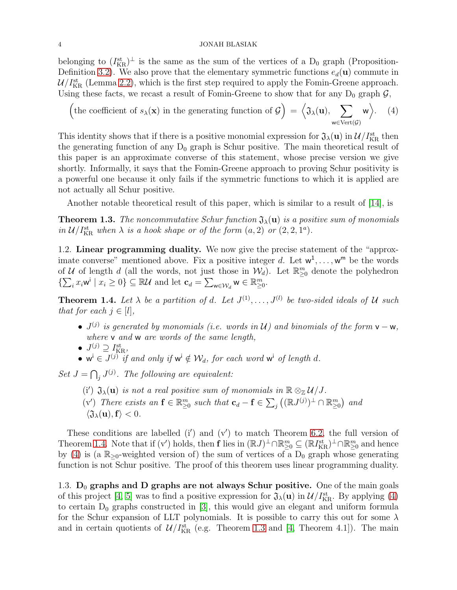## 4 JONAH BLASIAK

belonging to  $(I_{\text{KR}}^{st})^{\perp}$  is the same as the sum of the vertices of a  $D_0$  graph (Proposition-Definition [3.2\)](#page-10-1). We also prove that the elementary symmetric functions  $e_d(\mathbf{u})$  commute in  $\mathcal{U}/I_{\text{KR}}^{\text{st}}$  (Lemma [2.2\)](#page-6-0), which is the first step required to apply the Fomin-Greene approach. Using these facts, we recast a result of Fomin-Greene to show that for any  $D_0$  graph  $\mathcal{G}$ ,

<span id="page-3-1"></span>\n (the coefficient of 
$$
s_{\lambda}(\mathbf{x})
$$
 in the generating function of  $\mathcal{G}$ ) = \n  $\left\langle \mathfrak{J}_{\lambda}(\mathbf{u}), \sum_{\mathbf{w} \in \text{Vert}(\mathcal{G})} \mathbf{w} \right\rangle$ .\n (4)\n

This identity shows that if there is a positive monomial expression for  $\mathfrak{J}_\lambda(\mathbf{u})$  in  $\mathcal{U}/I_{\text{KR}}^{\text{st}}$  then the generating function of any  $D_0$  graph is Schur positive. The main theoretical result of this paper is an approximate converse of this statement, whose precise version we give shortly. Informally, it says that the Fomin-Greene approach to proving Schur positivity is a powerful one because it only fails if the symmetric functions to which it is applied are not actually all Schur positive.

Another notable theoretical result of this paper, which is similar to a result of [\[14\]](#page-45-6), is

<span id="page-3-2"></span>**Theorem 1.3.** The noncommutative Schur function  $\mathfrak{J}_{\lambda}(\mathbf{u})$  is a positive sum of monomials in  $\mathcal{U}/I_{\text{KR}}^{\text{st}}$  when  $\lambda$  is a hook shape or of the form  $(a, 2)$  or  $(2, 2, 1^a)$ .

1.2. Linear programming duality. We now give the precise statement of the "approximate converse" mentioned above. Fix a positive integer d. Let  $w^1, \ldots, w^m$  be the words of U of length d (all the words, not just those in  $\mathcal{W}_d$ ). Let  $\mathbb{R}^m_{\geq 0}$  denote the polyhedron  $\{\sum_i x_i \mathbf{w}^i \mid x_i \geq 0\} \subseteq \mathbb{R} \mathcal{U}$  and let  $\mathbf{c}_d = \sum_{\mathbf{w} \in \mathcal{W}_d} \mathbf{w} \in \mathbb{R}_{\geq 0}^m$ .

<span id="page-3-0"></span>**Theorem 1.4.** Let  $\lambda$  be a partition of d. Let  $J^{(1)}, \ldots, J^{(l)}$  be two-sided ideals of U such that for each  $j \in [l],$ 

- $J^{(j)}$  is generated by monomials (i.e. words in U) and binomials of the form  $v w$ , where **v** and **w** are words of the same length,
- $J^{(j)} \supseteq I_{\mathrm{KR}}^{\mathrm{st}}$ ,
- $w^i \in J^{(j)}$  if and only if  $w^i \notin \mathcal{W}_d$ , for each word  $w^i$  of length d.

Set  $J = \bigcap_j J^{(j)}$ . The following are equivalent:

- (i')  $\mathfrak{J}_{\lambda}(\mathbf{u})$  is not a real positive sum of monomials in  $\mathbb{R} \otimes_{\mathbb{Z}} \mathcal{U}/J$ .
- (v') There exists an  $\mathbf{f} \in \mathbb{R}_{\geq 0}^m$  such that  $\mathbf{c}_d \mathbf{f} \in \sum_j ((\mathbb{R}J^{(j)})^{\perp} \cap \mathbb{R}_{\geq 0}^m)$  and  $\langle \mathfrak{J}_{\lambda}(\mathbf{u}),\mathbf{f}\rangle < 0.$

These conditions are labelled  $(i')$  and  $(v')$  to match Theorem [6.2,](#page-28-0) the full version of Theorem [1.4.](#page-3-0) Note that if  $(v')$  holds, then **f** lies in  $(\mathbb{R}J)^{\perp}\cap\mathbb{R}_{\geq0}^{m}\subseteq(\mathbb{R}I_{\rm KR}^{st})^{\perp}\cap\mathbb{R}_{\geq0}^{m}$  and hence by [\(4\)](#page-3-1) is (a  $\mathbb{R}_{\geq 0}$ -weighted version of) the sum of vertices of a  $D_0$  graph whose generating function is not Schur positive. The proof of this theorem uses linear programming duality.

1.3.  $D_0$  graphs and D graphs are not always Schur positive. One of the main goals of this project [\[4,](#page-45-3) [5\]](#page-45-4) was to find a positive expression for  $\mathfrak{J}_{\lambda}(\mathbf{u})$  in  $\mathcal{U}/I_{\text{KR}}^{\text{st}}$ . By applying [\(4\)](#page-3-1) to certain  $D_0$  graphs constructed in [\[3\]](#page-45-1), this would give an elegant and uniform formula for the Schur expansion of LLT polynomials. It is possible to carry this out for some  $\lambda$ and in certain quotients of  $\mathcal{U}/I_{\text{KR}}^{st}$  (e.g. Theorem [1.3](#page-3-2) and [\[4,](#page-45-3) Theorem 4.1]). The main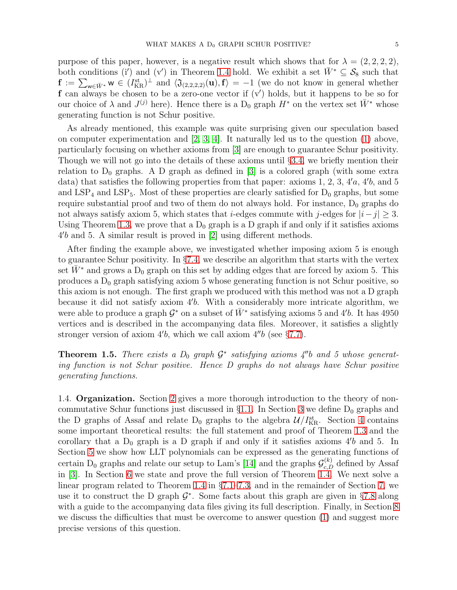purpose of this paper, however, is a negative result which shows that for  $\lambda = (2, 2, 2, 2)$ , both conditions (i') and (v') in Theorem [1.4](#page-3-0) hold. We exhibit a set  $\bar{W}^* \subseteq S_8$  such that  $\mathbf{f} := \sum_{w \in \bar{W}^*} w \in (I_{KR}^{\text{st}})^{\perp}$  and  $\langle \mathfrak{J}_{(2,2,2,2)}(\mathbf{u}), \mathbf{f} \rangle = -1$  (we do not know in general whether f can always be chosen to be a zero-one vector if (v′ ) holds, but it happens to be so for our choice of  $\lambda$  and  $J^{(j)}$  here). Hence there is a  $D_0$  graph  $H^*$  on the vertex set  $\bar{W}^*$  whose generating function is not Schur positive.

As already mentioned, this example was quite surprising given our speculation based on computer experimentation and  $[2, 3, 4]$  $[2, 3, 4]$  $[2, 3, 4]$ . It naturally led us to the question  $(1)$  above, particularly focusing on whether axioms from [\[3\]](#page-45-1) are enough to guarantee Schur positivity. Though we will not go into the details of these axioms until §[3.4,](#page-13-0) we briefly mention their relation to  $D_0$  graphs. A D graph as defined in [\[3\]](#page-45-1) is a colored graph (with some extra data) that satisfies the following properties from that paper: axioms 1, 2, 3, 4'a, 4'b, and 5 and  $LSP_4$  and  $LSP_5$ . Most of these properties are clearly satisfied for  $D_0$  graphs, but some require substantial proof and two of them do not always hold. For instance,  $D_0$  graphs do not always satisfy axiom 5, which states that *i*-edges commute with j-edges for  $|i-j| \geq 3$ . Using Theorem [1.3,](#page-3-2) we prove that a  $D_0$  graph is a D graph if and only if it satisfies axioms 4 ′ b and 5. A similar result is proved in [\[2\]](#page-45-0) using different methods.

After finding the example above, we investigated whether imposing axiom 5 is enough to guarantee Schur positivity. In §[7.4,](#page-33-0) we describe an algorithm that starts with the vertex set  $\bar{W}^*$  and grows a D<sub>0</sub> graph on this set by adding edges that are forced by axiom 5. This produces a  $D_0$  graph satisfying axiom 5 whose generating function is not Schur positive, so this axiom is not enough. The first graph we produced with this method was not a D graph because it did not satisfy axiom 4′ b. With a considerably more intricate algorithm, we were able to produce a graph  $\mathcal{G}^*$  on a subset of  $\bar{W}^*$  satisfying axioms 5 and 4'b. It has 4950 vertices and is described in the accompanying data files. Moreover, it satisfies a slightly stronger version of axiom  $4'b$ , which we call axiom  $4''b$  (see §[7.7\)](#page-41-0).

**Theorem 1.5.** There exists a  $D_0$  graph  $\mathcal{G}^*$  satisfying axioms  $\mathcal{A}''b$  and 5 whose generating function is not Schur positive. Hence D graphs do not always have Schur positive generating functions.

1.4. Organization. Section [2](#page-5-0) gives a more thorough introduction to the theory of noncommutative Schur functions just discussed in  $\S1.1$ . In Section [3](#page-8-0) we define  $D_0$  graphs and the D graphs of Assaf and relate  $D_0$  graphs to the algebra  $\mathcal{U}/I_{\text{KR}}^{\text{st}}$ . Section [4](#page-14-0) contains some important theoretical results: the full statement and proof of Theorem [1.3](#page-3-2) and the corollary that a  $D_0$  graph is a D graph if and only if it satisfies axioms  $4'b$  and 5. In Section [5](#page-21-0) we show how LLT polynomials can be expressed as the generating functions of certain  $D_0$  graphs and relate our setup to Lam's [\[14\]](#page-45-6) and the graphs  $\mathcal{G}_{c,D}^{(k)}$  defined by Assaf in [\[3\]](#page-45-1). In Section [6](#page-26-0) we state and prove the full version of Theorem [1.4.](#page-3-0) We next solve a linear program related to Theorem [1.4](#page-3-0) in §[7.1](#page-30-0)[–7.3,](#page-32-0) and in the remainder of Section [7,](#page-30-1) we use it to construct the D graph  $\mathcal{G}^*$ . Some facts about this graph are given in §[7.8](#page-42-1) along with a guide to the accompanying data files giving its full description. Finally, in Section [8](#page-42-0) we discuss the difficulties that must be overcome to answer question [\(1\)](#page-2-1) and suggest more precise versions of this question.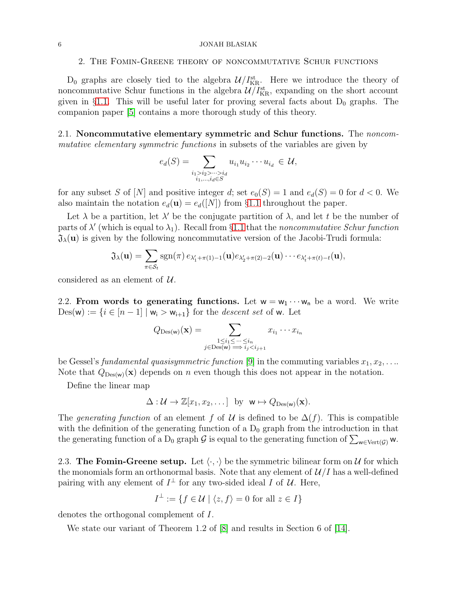#### <span id="page-5-0"></span>6 JONAH BLASIAK

# 2. The Fomin-Greene theory of noncommutative Schur functions

 $D_0$  graphs are closely tied to the algebra  $\mathcal{U}/I_{\text{KR}}^{\text{st}}$ . Here we introduce the theory of noncommutative Schur functions in the algebra  $\mathcal{U}/I_{\text{KR}}^{\text{st}}$ , expanding on the short account given in §[1.1.](#page-2-2) This will be useful later for proving several facts about  $D_0$  graphs. The companion paper [\[5\]](#page-45-4) contains a more thorough study of this theory.

2.1. Noncommutative elementary symmetric and Schur functions. The noncommutative elementary symmetric functions in subsets of the variables are given by

$$
e_d(S) = \sum_{\substack{i_1 > i_2 > \dots > i_d \\ i_1, \dots, i_d \in S}} u_{i_1} u_{i_2} \dots u_{i_d} \in \mathcal{U},
$$

for any subset S of [N] and positive integer d; set  $e_0(S) = 1$  and  $e_d(S) = 0$  for  $d < 0$ . We also maintain the notation  $e_d(\mathbf{u}) = e_d([N])$  from §[1.1](#page-2-2) throughout the paper.

Let  $\lambda$  be a partition, let  $\lambda'$  be the conjugate partition of  $\lambda$ , and let t be the number of parts of  $\lambda'$  (which is equal to  $\lambda_1$ ). Recall from §[1.1](#page-2-2) that the noncommutative Schur function  $\mathfrak{J}_{\lambda}(\mathbf{u})$  is given by the following noncommutative version of the Jacobi-Trudi formula:

$$
\mathfrak{J}_{\lambda}(\mathbf{u}) = \sum_{\pi \in \mathcal{S}_t} \mathrm{sgn}(\pi) \, e_{\lambda'_1 + \pi(1) - 1}(\mathbf{u}) e_{\lambda'_2 + \pi(2) - 2}(\mathbf{u}) \cdots e_{\lambda'_t + \pi(t) - t}(\mathbf{u}),
$$

considered as an element of  $\mathcal{U}$ .

2.2. From words to generating functions. Let  $w = w_1 \cdots w_n$  be a word. We write  $Des(w) := \{i \in [n-1] \mid w_i > w_{i+1}\}\$ for the *descent set* of w. Let

$$
Q_{\text{Des(w)}}(\mathbf{x}) = \sum_{\substack{1 \le i_1 \le \dots \le i_n \\ j \in \text{Des(w)}}} x_{i_1} \dots x_{i_n}
$$

be Gessel's fundamental quasisymmetric function [\[9\]](#page-45-11) in the commuting variables  $x_1, x_2, \ldots$ Note that  $Q_{\text{Des}(w)}(x)$  depends on n even though this does not appear in the notation.

Define the linear map

$$
\Delta: \mathcal{U} \to \mathbb{Z}[x_1, x_2, \dots] \text{ by } \mathbf{w} \mapsto Q_{\mathrm{Des}(\mathbf{w})}(\mathbf{x}).
$$

The generating function of an element f of U is defined to be  $\Delta(f)$ . This is compatible with the definition of the generating function of a  $D_0$  graph from the introduction in that the generating function of a D<sub>0</sub> graph G is equal to the generating function of  $\sum_{w \in Vert(G)} w$ .

<span id="page-5-1"></span>2.3. The Fomin-Greene setup. Let  $\langle \cdot, \cdot \rangle$  be the symmetric bilinear form on U for which the monomials form an orthonormal basis. Note that any element of  $\mathcal{U}/I$  has a well-defined pairing with any element of  $I^{\perp}$  for any two-sided ideal I of U. Here,

$$
I^{\perp} := \{ f \in \mathcal{U} \mid \langle z, f \rangle = 0 \text{ for all } z \in I \}
$$

denotes the orthogonal complement of I.

We state our variant of Theorem 1.2 of [\[8\]](#page-45-5) and results in Section 6 of [\[14\]](#page-45-6).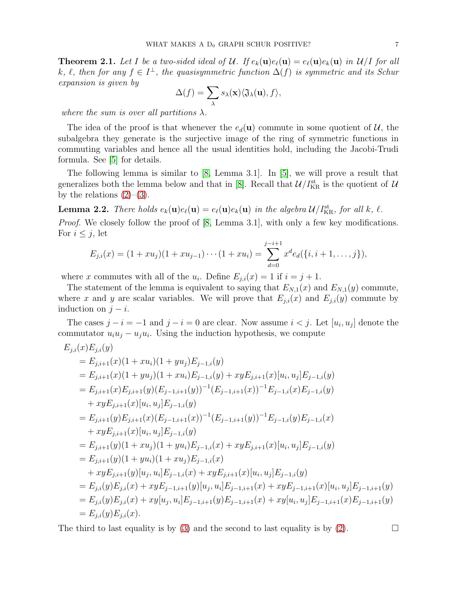<span id="page-6-1"></span>**Theorem 2.1.** Let I be a two-sided ideal of U. If  $e_k(\mathbf{u})e_\ell(\mathbf{u}) = e_\ell(\mathbf{u})e_k(\mathbf{u})$  in U/I for all k,  $\ell$ , then for any  $f \in I^{\perp}$ , the quasisymmetric function  $\Delta(f)$  is symmetric and its Schur expansion is given by

$$
\Delta(f) = \sum_{\lambda} s_{\lambda}(\mathbf{x}) \langle \mathfrak{J}_{\lambda}(\mathbf{u}), f \rangle,
$$

where the sum is over all partitions  $\lambda$ .

The idea of the proof is that whenever the  $e_d(\mathbf{u})$  commute in some quotient of  $\mathcal{U}$ , the subalgebra they generate is the surjective image of the ring of symmetric functions in commuting variables and hence all the usual identities hold, including the Jacobi-Trudi formula. See [\[5\]](#page-45-4) for details.

The following lemma is similar to  $[8, \text{ Lemma } 3.1]$ . In  $[5]$ , we will prove a result that generalizes both the lemma below and that in [\[8\]](#page-45-5). Recall that  $\mathcal{U}/I_{\rm KR}^{\rm st}$  is the quotient of  $\mathcal{U}$ by the relations  $(2)-(3)$  $(2)-(3)$ .

<span id="page-6-0"></span>**Lemma 2.2.** There holds  $e_k(\mathbf{u})e_\ell(\mathbf{u}) = e_\ell(\mathbf{u})e_k(\mathbf{u})$  in the algebra  $\mathcal{U}/I_{\text{KR}}^{\text{st}}$ , for all k,  $\ell$ . Proof. We closely follow the proof of [\[8,](#page-45-5) Lemma 3.1], with only a few key modifications. For  $i \leq j$ , let

$$
E_{j,i}(x) = (1 + xu_j)(1 + xu_{j-1}) \cdots (1 + xu_i) = \sum_{d=0}^{j-i+1} x^d e_d(\{i, i+1, ..., j\}),
$$

where x commutes with all of the  $u_i$ . Define  $E_{j,i}(x) = 1$  if  $i = j + 1$ .

The statement of the lemma is equivalent to saying that  $E_{N,1}(x)$  and  $E_{N,1}(y)$  commute, where x and y are scalar variables. We will prove that  $E_{j,i}(x)$  and  $E_{j,i}(y)$  commute by induction on  $j - i$ .

The cases  $j - i = -1$  and  $j - i = 0$  are clear. Now assume  $i < j$ . Let  $[u_i, u_j]$  denote the commutator  $u_i u_j - u_j u_i$ . Using the induction hypothesis, we compute

$$
E_{j,i}(x)E_{j,i}(y)
$$
  
\n
$$
= E_{j,i+1}(x)(1+ xu_i)(1+ yu_j)E_{j-1,i}(y)
$$
  
\n
$$
= E_{j,i+1}(x)(1+ yu_j)(1+ xu_i)E_{j-1,i}(y) + xyE_{j,i+1}(x)[u_i, u_j]E_{j-1,i}(y)
$$
  
\n
$$
= E_{j,i+1}(x)E_{j,i+1}(y)(E_{j-1,i+1}(y))^{-1}(E_{j-1,i+1}(x))^{-1}E_{j-1,i}(x)E_{j-1,i}(y)
$$
  
\n
$$
+ xyE_{j,i+1}(x)[u_i, u_j]E_{j-1,i}(y)
$$
  
\n
$$
= E_{j,i+1}(y)E_{j,i+1}(x)(E_{j-1,i+1}(x))^{-1}(E_{j-1,i+1}(y))^{-1}E_{j-1,i}(y)E_{j-1,i}(x)
$$
  
\n
$$
+ xyE_{j,i+1}(x)[u_i, u_j]E_{j-1,i}(y)
$$
  
\n
$$
= E_{j,i+1}(y)(1+ xu_j)(1+ yu_i)E_{j-1,i}(x) + xyE_{j,i+1}(x)[u_i, u_j]E_{j-1,i}(y)
$$
  
\n
$$
= E_{j,i+1}(y)(1+ yu_i)(1+ xu_j)E_{j-1,i}(x)
$$
  
\n
$$
+ xyE_{j,i+1}(y)[u_j, u_i]E_{j-1,i}(x) + xyE_{j,i+1}(x)[u_i, u_j]E_{j-1,i+1}(x)[u_i, u_j]E_{j-1,i+1}(y)
$$
  
\n
$$
= E_{j,i}(y)E_{j,i}(x) + xyE_{j-1,i+1}(y)[u_j, u_i]E_{j-1,i+1}(x) + xyE_{j-1,i+1}(x)[u_i, u_j]E_{j-1,i+1}(y)
$$
  
\n
$$
= E_{j,i}(y)E_{j,i}(x) + xy[u_j, u_i]E_{j-1,i+1}(y)E_{j-1,i+1}(x) + xy[u_i, u_j]E_{j-1,i+1}(x)E_{j-1,i+1}(y)
$$
  
\n
$$
= E_{j,i}(y)E_{j,i}(x).
$$

The third to last equality is by [\(3\)](#page-2-0) and the second to last equality is by [\(2\)](#page-2-3).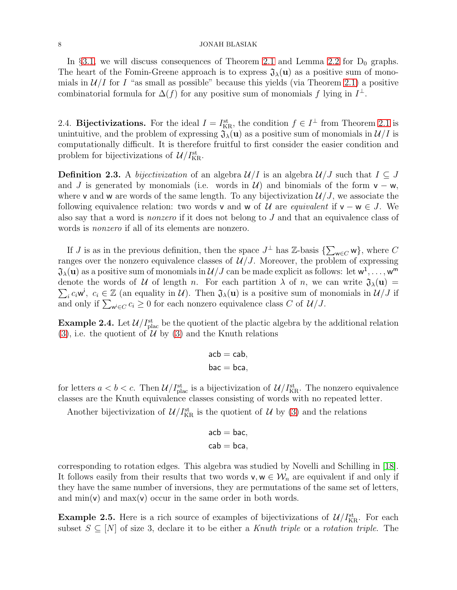## $8$   $$\rm \,JONAH$   $\rm BLASIAK$

In §[3.1,](#page-9-0) we will discuss consequences of Theorem [2.1](#page-6-1) and Lemma [2.2](#page-6-0) for  $D_0$  graphs. The heart of the Fomin-Greene approach is to express  $\mathfrak{J}_{\lambda}(\mathbf{u})$  as a positive sum of monomials in  $\mathcal{U}/I$  for I "as small as possible" because this yields (via Theorem [2.1\)](#page-6-1) a positive combinatorial formula for  $\Delta(f)$  for any positive sum of monomials f lying in  $I^{\perp}$ .

<span id="page-7-1"></span>2.4. Bijectivizations. For the ideal  $I = I_{\text{KR}}^{\text{st}}$ , the condition  $f \in I^{\perp}$  from Theorem [2.1](#page-6-1) is unintuitive, and the problem of expressing  $\mathfrak{J}_{\lambda}(\mathbf{u})$  as a positive sum of monomials in  $\mathcal{U}/I$  is computationally difficult. It is therefore fruitful to first consider the easier condition and problem for bijectivizations of  $\mathcal{U}/I_{\mathrm{KR}}^{\mathrm{st}}$ .

**Definition 2.3.** A bijectivization of an algebra  $\mathcal{U}/I$  is an algebra  $\mathcal{U}/J$  such that  $I \subseteq J$ and J is generated by monomials (i.e. words in  $\mathcal{U}$ ) and binomials of the form  $v - w$ , where v and w are words of the same length. To any bijectivization  $\mathcal{U}/J$ , we associate the following equivalence relation: two words v and w of U are *equivalent* if  $v - w \in J$ . We also say that a word is nonzero if it does not belong to J and that an equivalence class of words is nonzero if all of its elements are nonzero.

If J is as in the previous definition, then the space  $J^{\perp}$  has  $\mathbb{Z}$ -basis  $\{\sum_{w\in C} w\}$ , where C ranges over the nonzero equivalence classes of  $\mathcal{U}/J$ . Moreover, the problem of expressing  $\mathfrak{J}_\lambda(\mathbf{u})$  as a positive sum of monomials in  $\mathcal{U}/J$  can be made explicit as follows: let  $\mathsf{w}^1,\ldots,\mathsf{w}^{\mathsf{m}}$  $\sum_i c_i \mathbf{w}^i$ ,  $c_i \in \mathbb{Z}$  (an equality in U). Then  $\mathfrak{J}_\lambda(\mathbf{u})$  is a positive sum of monomials in  $\mathcal{U}/J$  if denote the words of U of length n. For each partition  $\lambda$  of n, we can write  $\mathfrak{J}_{\lambda}(\mathbf{u}) =$ and only if  $\sum_{w \in C} c_i \geq 0$  for each nonzero equivalence class C of  $\mathcal{U}/J$ .

<span id="page-7-0"></span>**Example 2.4.** Let  $\mathcal{U}/I_{\text{plac}}^{st}$  be the quotient of the plactic algebra by the additional relation  $(3)$ , i.e. the quotient of U by  $(3)$  and the Knuth relations

$$
\begin{aligned}\n\text{acb} &= \text{cab}, \\
\text{bac} &= \text{bca},\n\end{aligned}
$$

for letters  $a < b < c$ . Then  $\mathcal{U}/I_{\text{plac}}^{st}$  is a bijectivization of  $\mathcal{U}/I_{\text{KR}}^{st}$ . The nonzero equivalence classes are the Knuth equivalence classes consisting of words with no repeated letter.

Another bijectivization of  $\mathcal{U}/I_{\text{KR}}^{\text{st}}$  is the quotient of  $\mathcal{U}$  by [\(3\)](#page-2-0) and the relations

$$
\begin{aligned}\n\text{acb} &= \text{bac}, \\
\text{cab} &= \text{bca},\n\end{aligned}
$$

corresponding to rotation edges. This algebra was studied by Novelli and Schilling in [\[18\]](#page-45-12). It follows easily from their results that two words  $v, w \in \mathcal{W}_n$  are equivalent if and only if they have the same number of inversions, they are permutations of the same set of letters, and  $\min(v)$  and  $\max(v)$  occur in the same order in both words.

<span id="page-7-2"></span>**Example 2.5.** Here is a rich source of examples of bijectivizations of  $\mathcal{U}/I_{\text{KR}}^{\text{st}}$ . For each subset  $S \subseteq [N]$  of size 3, declare it to be either a Knuth triple or a rotation triple. The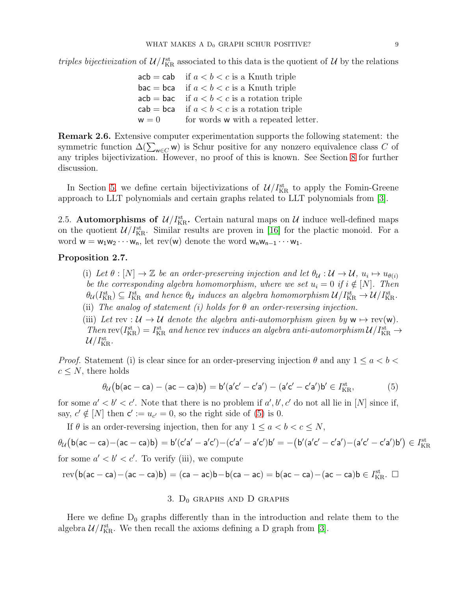triples bijectivization of  $\mathcal{U}/I_{\text{KR}}^{st}$  associated to this data is the quotient of  $\mathcal{U}$  by the relations

 $acb = cab$  if  $a < b < c$  is a Knuth triple  $\mathsf{bac} = \mathsf{bca}$  if  $a < b < c$  is a Knuth triple  $acb = bac$  if  $a < b < c$  is a rotation triple  $cab = bca$  if  $a < b < c$  is a rotation triple  $w = 0$  for words w with a repeated letter.

Remark 2.6. Extensive computer experimentation supports the following statement: the symmetric function  $\Delta(\sum_{w\in C} w)$  is Schur positive for any nonzero equivalence class C of any triples bijectivization. However, no proof of this is known. See Section [8](#page-42-0) for further discussion.

In Section [5,](#page-21-0) we define certain bijectivizations of  $\mathcal{U}/I_{\text{KR}}^{\text{st}}$  to apply the Fomin-Greene approach to LLT polynomials and certain graphs related to LLT polynomials from [\[3\]](#page-45-1).

2.5. Automorphisms of  $\mathcal{U}/I_{\text{KR}}^{\text{st}}$ . Certain natural maps on  $\mathcal{U}$  induce well-defined maps on the quotient  $\mathcal{U}/I_{\text{KR}}^{\text{st}}$ . Similar results are proven in [\[16\]](#page-45-13) for the plactic monoid. For a word  $w = w_1w_2 \cdots w_n$ , let rev(w) denote the word  $w_nw_{n-1} \cdots w_1$ .

# <span id="page-8-2"></span>Proposition 2.7.

(i) Let  $\theta : [N] \to \mathbb{Z}$  be an order-preserving injection and let  $\theta_{\mathcal{U}} : \mathcal{U} \to \mathcal{U}$ ,  $u_i \mapsto u_{\theta(i)}$ be the corresponding algebra homomorphism, where we set  $u_i = 0$  if  $i \notin [N]$ . Then  $\theta_{\cal U}(I_{\rm KR}^{\rm st})\subseteq I_{\rm KR}^{\rm st}$  and hence  $\theta_{\cal U}$  induces an algebra homomorphism  ${\cal U}/I_{\rm KR}^{\rm st}\to{\cal U}/I_{\rm KR}^{\rm st}$ .

(ii) The analog of statement (i) holds for  $\theta$  an order-reversing injection.

(iii) Let rev :  $\mathcal{U} \to \mathcal{U}$  denote the algebra anti-automorphism given by  $w \mapsto \text{rev}(w)$ . Then  $rev(I_{KR}^{st}) = I_{KR}^{st}$  and hence rev induces an algebra anti-automorphism  $\mathcal{U}/I_{KR}^{st} \to$  $\mathcal{U}/I^{\rm st}_{\rm KR}.$ 

*Proof.* Statement (i) is clear since for an order-preserving injection  $\theta$  and any  $1 \le a < b < \theta$  $c \leq N$ , there holds

$$
\theta_{\mathcal{U}}\big(\mathsf{b}(\mathsf{ac}-\mathsf{ca})-(\mathsf{ac}-\mathsf{ca})\mathsf{b}\big)=\mathsf{b}'(\mathsf{a}'\mathsf{c}'-\mathsf{c}'\mathsf{a}')-(\mathsf{a}'\mathsf{c}'-\mathsf{c}'\mathsf{a}')\mathsf{b}'\in I_{\mathrm{KR}}^{\mathrm{st}},\tag{5}
$$

for some  $a' < b' < c'$ . Note that there is no problem if  $a', b', c'$  do not all lie in [N] since if, say,  $c' \notin [N]$  then  $c' := u_{c'} = 0$ , so the right side of [\(5\)](#page-8-1) is 0.

If  $\theta$  is an order-reversing injection, then for any  $1 \le a \le b \le c \le N$ ,

 $\theta_{\cal U} \big( \textsf{b} (\textsf{ac} - \textsf{ca}) - (\textsf{ac} - \textsf{ca}) \textsf{b} \big) = \textsf{b}^{\prime} (\textsf{c}^{\prime} \textsf{a}^{\prime} - \textsf{a}^{\prime} \textsf{c}^{\prime}) - (\textsf{c}^{\prime} \textsf{a}^{\prime} - \textsf{a}^{\prime} \textsf{c}^{\prime}) \textsf{b}^{\prime} = - \big( \textsf{b}^{\prime} (\textsf{a}^{\prime} \textsf{c}^{\prime} - \textsf{c}^{\prime} \textsf{a}^{\prime}) - (\textsf{a}^$ for some  $a' < b' < c'$ . To verify (iii), we compute

<span id="page-8-0"></span>
$$
\operatorname{rev}\big(\mathsf{b}(\mathsf{ac}-\mathsf{ca})-(\mathsf{ac}-\mathsf{ca})\mathsf{b}\big)=(\mathsf{ca}-\mathsf{ac})\mathsf{b}-\mathsf{b}(\mathsf{ca}-\mathsf{ac})=\mathsf{b}(\mathsf{ac}-\mathsf{ca})-(\mathsf{ac}-\mathsf{ca})\mathsf{b}\in I^{\operatorname{st}}_{\operatorname{KR}}.\ \ \Box
$$

# <span id="page-8-1"></span>3.  $D_0$  graphs and D graphs

Here we define  $D_0$  graphs differently than in the introduction and relate them to the algebra  $\mathcal{U}/I_{\text{KR}}^{\text{st}}$ . We then recall the axioms defining a D graph from [\[3\]](#page-45-1).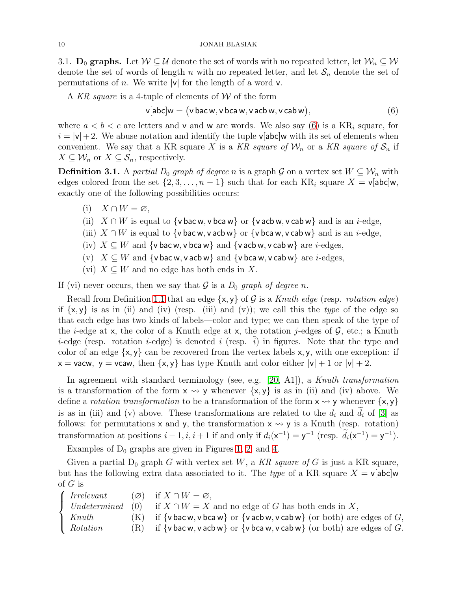<span id="page-9-0"></span>3.1.  $D_0$  graphs. Let  $W \subseteq U$  denote the set of words with no repeated letter, let  $W_n \subseteq W$ denote the set of words of length n with no repeated letter, and let  $S_n$  denote the set of permutations of n. We write  $|v|$  for the length of a word v.

A KR square is a 4-tuple of elements of W of the form

<span id="page-9-1"></span>
$$
\mathbf{v}[\mathsf{abc}]\mathbf{w} = (\mathsf{v}\,\mathsf{bac}\,\mathsf{w}, \mathsf{v}\,\mathsf{bca}\,\mathsf{w}, \mathsf{v}\,\mathsf{acb}\,\mathsf{w}, \mathsf{v}\,\mathsf{cab}\,\mathsf{w}),\tag{6}
$$

where  $a < b < c$  are letters and v and w are words. We also say [\(6\)](#page-9-1) is a KR<sub>i</sub> square, for  $i = |v| + 2$ . We abuse notation and identify the tuple v[abc]w with its set of elements when convenient. We say that a KR square X is a KR square of  $\mathcal{W}_n$  or a KR square of  $\mathcal{S}_n$  if  $X \subseteq \mathcal{W}_n$  or  $X \subseteq \mathcal{S}_n$ , respectively.

<span id="page-9-2"></span>**Definition 3.1.** A partial  $D_0$  graph of degree n is a graph G on a vertex set  $W \subseteq W_n$  with edges colored from the set  $\{2, 3, \ldots, n-1\}$  such that for each KR<sub>i</sub> square  $X = v[abc]w$ , exactly one of the following possibilities occurs:

- (i)  $X \cap W = \varnothing$ ,
- (ii)  $X \cap W$  is equal to {v bac w, v bca w} or {v acb w, v cab w} and is an *i*-edge,
- (iii)  $X \cap W$  is equal to {v bac w, v acb w} or {v bca w, v cab w} and is an *i*-edge,
- (iv)  $X \subseteq W$  and {v bac w, v bca w} and {v acb w, v cab w} are *i*-edges,
- (v)  $X \subseteq W$  and  $\{v \text{ bac } w, v \text{ ac} w\}$  and  $\{v \text{ bca } w, v \text{ cab } w\}$  are *i*-edges,
- (vi)  $X \subseteq W$  and no edge has both ends in X.

If (vi) never occurs, then we say that  $G$  is a  $D_0$  graph of degree n.

Recall from Definition [1.1](#page-1-1) that an edge  $\{x, y\}$  of G is a Knuth edge (resp. *rotation edge*) if  $\{x, y\}$  is as in (ii) and (iv) (resp. (iii) and (v)); we call this the type of the edge so that each edge has two kinds of labels—color and type; we can then speak of the type of the *i*-edge at x, the color of a Knuth edge at x, the rotation *j*-edges of  $\mathcal{G}$ , etc.; a Knuth *i*-edge (resp. rotation *i*-edge) is denoted *i* (resp.  $\tilde{i}$ ) in figures. Note that the type and color of an edge  $\{x, y\}$  can be recovered from the vertex labels x, y, with one exception: if  $x =$  vacw,  $y =$  vcaw, then  $\{x, y\}$  has type Knuth and color either  $|v| + 1$  or  $|v| + 2$ .

In agreement with standard terminology (see, e.g. [\[20,](#page-45-14) A1]), a Knuth transformation is a transformation of the form  $x \rightsquigarrow y$  whenever  $\{x, y\}$  is as in (ii) and (iv) above. We define a *rotation transformation* to be a transformation of the form  $x \rightarrow y$  whenever  $\{x, y\}$ is as in (iii) and (v) above. These transformations are related to the  $d_i$  and  $d_i$  of [\[3\]](#page-45-1) as follows: for permutations  $x$  and  $y$ , the transformation  $x \rightarrow y$  is a Knuth (resp. rotation) transformation at positions  $i-1, i, i+1$  if and only if  $d_i(x^{-1}) = y^{-1}$  (resp.  $d_i(x^{-1}) = y^{-1}$ ).

Examples of  $D_0$  graphs are given in Figures [1,](#page-1-0) [2,](#page-10-0) and [4.](#page-26-1)

Given a partial  $D_0$  graph G with vertex set W, a KR square of G is just a KR square, but has the following extra data associated to it. The type of a KR square  $X = v$ [abc]w of  $G$  is

 $\sqrt{ }$  $\Big\}$  $\overline{\mathcal{L}}$ *Irrelevant* (∅) if  $X \cap W = \varnothing$ ,<br> *Undetermined* (0) if  $X \cap W = X$ <br> *Knuth* (K) if {v bac w, v bc if  $X ∩ W = X$  and no edge of G has both ends in X,  $K$  if  $\{v \text{ bac } w, v \text{ bca } w\}$  or  $\{v \text{ acb } w, v \text{ cab } w\}$  (or both) are edges of G, *Rotation* (R) if  $\{v \text{ bac } w, v \text{ ac} w\}$  or  $\{v \text{ bca } w, v \text{ cab } w\}$  (or both) are edges of G.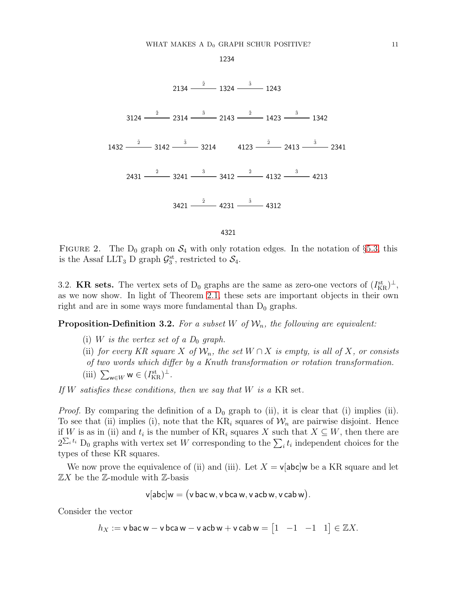1234

<span id="page-10-0"></span>

FIGURE 2. The  $D_0$  graph on  $S_4$  with only rotation edges. In the notation of §[5.3,](#page-24-0) this is the Assaf LLT<sub>3</sub> D graph  $\mathcal{G}_3^{\text{st}}$ , restricted to  $\mathcal{S}_4$ .

3.2. **KR sets.** The vertex sets of  $D_0$  graphs are the same as zero-one vectors of  $(I_{\text{KR}}^{\text{st}})^{\perp}$ , as we now show. In light of Theorem [2.1,](#page-6-1) these sets are important objects in their own right and are in some ways more fundamental than  $D_0$  graphs.

<span id="page-10-1"></span>**Proposition-Definition 3.2.** For a subset W of  $W_n$ , the following are equivalent:

- (i) W is the vertex set of a  $D_0$  graph.
- (ii) for every KR square X of  $\mathcal{W}_n$ , the set  $W \cap X$  is empty, is all of X, or consists
- of two words which differ by a Knuth transformation or rotation transformation.
- (iii)  $\sum_{\mathbf{w}\in W} \mathbf{w} \in (I_{\mathrm{KR}}^{\mathrm{st}})^{\perp}$ .

If  $W$  satisfies these conditions, then we say that  $W$  is a KR set.

*Proof.* By comparing the definition of a  $D_0$  graph to (ii), it is clear that (i) implies (ii). To see that (ii) implies (i), note that the  $KR_i$  squares of  $W_n$  are pairwise disjoint. Hence if W is as in (ii) and  $t_i$  is the number of KR<sub>i</sub> squares X such that  $X \subseteq W$ , then there are  $2^{\sum_i t_i}$  D<sub>0</sub> graphs with vertex set W corresponding to the  $\sum_i t_i$  independent choices for the types of these KR squares.

We now prove the equivalence of (ii) and (iii). Let  $X = v$  [abc]w be a KR square and let  $\mathbb{Z}X$  be the  $\mathbb{Z}\text{-module with }\mathbb{Z}\text{-basis}$ 

$$
v[abc]w = (v\,bac\,w, v\,bca\,w, v\,acb\,w, v\,cab\,w).
$$

Consider the vector

 $h_X := \mathsf{v} \mathsf{ bac } \mathsf{w} - \mathsf{v} \mathsf{ bca } \mathsf{w} - \mathsf{v} \mathsf{ acb } \mathsf{w} + \mathsf{v} \mathsf{ cab } \mathsf{w} = \begin{bmatrix} 1 & -1 & -1 & 1 \end{bmatrix} \in \mathbb{Z} X.$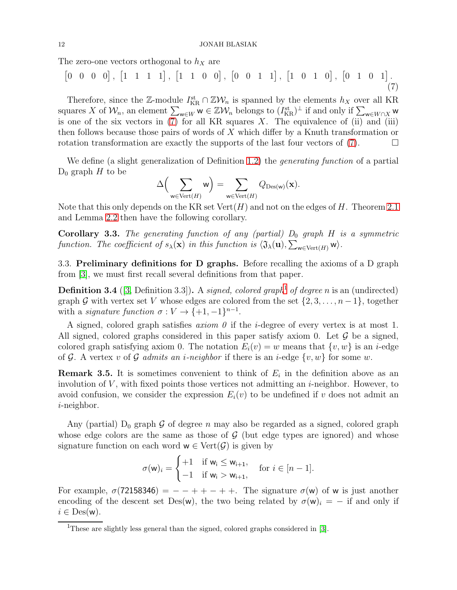The zero-one vectors orthogonal to  $h_X$  are

<span id="page-11-0"></span>
$$
[0 \ 0 \ 0 \ 0], [1 \ 1 \ 1 \ 1], [1 \ 1 \ 0 \ 0], [0 \ 0 \ 1 \ 1], [1 \ 0 \ 1 \ 0], [0 \ 1 \ 0 \ 1]. \tag{7}
$$

Therefore, since the Z-module  $I_{\text{KR}}^{\text{st}} \cap \mathbb{Z}W_n$  is spanned by the elements  $h_X$  over all KR squares X of  $W_n$ , an element  $\sum_{w\in W} w \in \mathbb{Z}W_n$  belongs to  $(I_{\text{KR}}^{\text{st}})^{\perp}$  if and only if  $\sum_{w\in W\cap X} w$ is one of the six vectors in  $(7)$  for all KR squares X. The equivalence of  $(ii)$  and  $(iii)$ then follows because those pairs of words of  $X$  which differ by a Knuth transformation or rotation transformation are exactly the supports of the last four vectors of  $(7)$ .

We define (a slight generalization of Definition [1.2\)](#page-1-2) the *generating function* of a partial  $D_0$  graph H to be

$$
\Delta \Big(\sum_{\mathsf{w}\in \mathrm{Vert}(H)} \mathsf{w}\Big) = \sum_{\mathsf{w}\in \mathrm{Vert}(H)} Q_{\mathrm{Des}(\mathsf{w})}(\mathbf{x}).
$$

Note that this only depends on the KR set  $Vert(H)$  and not on the edges of H. Theorem [2.1](#page-6-1) and Lemma [2.2](#page-6-0) then have the following corollary.

<span id="page-11-3"></span>**Corollary 3.3.** The generating function of any (partial)  $D_0$  graph  $H$  is a symmetric function. The coefficient of  $s_{\lambda}(\mathbf{x})$  in this function is  $\langle \mathfrak{J}_{\lambda}(\mathbf{u}), \sum_{\mathbf{w}\in \text{Vert}(H)} \mathbf{w} \rangle$ .

<span id="page-11-4"></span>3.3. Preliminary definitions for D graphs. Before recalling the axioms of a D graph from [\[3\]](#page-45-1), we must first recall several definitions from that paper.

**Definition 3.4** ([\[3,](#page-45-1) Definition 3.3]). A *signed, colored graph*<sup>[1](#page-11-1)</sup> of degree n is an (undirected) graph G with vertex set V whose edges are colored from the set  $\{2, 3, \ldots, n-1\}$ , together with a *signature function*  $\sigma: V \to \{+1, -1\}^{n-1}$ .

A signed, colored graph satisfies *axiom*  $\theta$  if the *i*-degree of every vertex is at most 1. All signed, colored graphs considered in this paper satisfy axiom 0. Let  $\mathcal G$  be a signed, colored graph satisfying axiom 0. The notation  $E_i(v) = w$  means that  $\{v, w\}$  is an *i*-edge of G. A vertex v of G admits an *i-neighbor* if there is an *i-edge*  $\{v, w\}$  for some w.

<span id="page-11-2"></span>**Remark 3.5.** It is sometimes convenient to think of  $E_i$  in the definition above as an involution of  $V$ , with fixed points those vertices not admitting an  $i$ -neighbor. However, to avoid confusion, we consider the expression  $E_i(v)$  to be undefined if v does not admit an i-neighbor.

Any (partial)  $D_0$  graph  $G$  of degree n may also be regarded as a signed, colored graph whose edge colors are the same as those of  $G$  (but edge types are ignored) and whose signature function on each word  $w \in \text{Vert}(\mathcal{G})$  is given by

$$
\sigma(\mathsf{w})_i = \begin{cases} +1 & \text{if } \mathsf{w}_i \leq \mathsf{w}_{i+1}, \\ -1 & \text{if } \mathsf{w}_i > \mathsf{w}_{i+1}, \end{cases} \quad \text{for } i \in [n-1].
$$

For example,  $\sigma$ (72158346) = - + + - + +. The signature  $\sigma$ (w) of w is just another encoding of the descent set Des(w), the two being related by  $\sigma(w)_i = -$  if and only if  $i \in \text{Des}(w)$ .

<span id="page-11-1"></span><sup>&</sup>lt;sup>1</sup>These are slightly less general than the signed, colored graphs considered in [\[3\]](#page-45-1).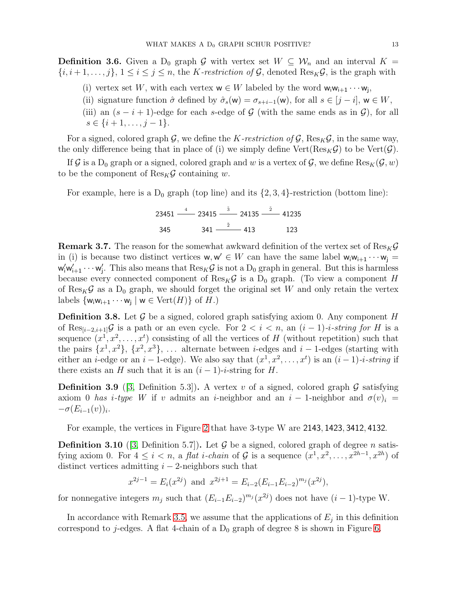**Definition 3.6.** Given a D<sub>0</sub> graph G with vertex set  $W \subseteq W_n$  and an interval  $K =$  $\{i, i+1, \ldots, j\}, 1 \leq i \leq j \leq n$ , the *K-restriction of*  $\mathcal{G}$ , denoted Res<sub>K</sub> $\mathcal{G}$ , is the graph with

- (i) vertex set W, with each vertex  $w \in W$  labeled by the word  $w_i w_{i+1} \cdots w_j$ ,
- (ii) signature function  $\hat{\sigma}$  defined by  $\hat{\sigma}_s(w) = \sigma_{s+i-1}(w)$ , for all  $s \in [j-i]$ ,  $w \in W$ ,
- (iii) an  $(s i + 1)$ -edge for each s-edge of G (with the same ends as in G), for all  $s \in \{i+1, \ldots, j-1\}.$

For a signed, colored graph G, we define the K-restriction of G,  $\text{Res}_K \mathcal{G}$ , in the same way, the only difference being that in place of (i) we simply define  $Vert(Res_K\mathcal{G})$  to be  $Vert(\mathcal{G})$ .

If G is a D<sub>0</sub> graph or a signed, colored graph and w is a vertex of G, we define  $\text{Res}_K(\mathcal{G}, w)$ to be the component of  $\text{Res}_K \mathcal{G}$  containing w.

For example, here is a  $D_0$  graph (top line) and its  $\{2, 3, 4\}$ -restriction (bottom line):

$$
23451 \xrightarrow{4} 23415 \xrightarrow{\bar{3}} 24135 \xrightarrow{\bar{2}} 41235
$$
  
345 341 \xrightarrow{\bar{2}} 413 123

<span id="page-12-0"></span>**Remark 3.7.** The reason for the somewhat awkward definition of the vertex set of  $\text{Res}_K\mathcal{G}$ in (i) is because two distinct vertices  $w, w' \in W$  can have the same label  $w_i w_{i+1} \cdots w_j =$  $w'_i w'_{i+1} \cdots w'_j$ . This also means that  $\text{Res}_K \mathcal{G}$  is not a  $D_0$  graph in general. But this is harmless because every connected component of  $\text{Res}_K \mathcal{G}$  is a D<sub>0</sub> graph. (To view a component H of  $\text{Res}_K \mathcal{G}$  as a D<sub>0</sub> graph, we should forget the original set W and only retain the vertex labels  $\{w_iw_{i+1}\cdots w_j \mid w \in \text{Vert}(H)\}$  of  $H$ .)

**Definition 3.8.** Let  $\mathcal{G}$  be a signed, colored graph satisfying axiom 0. Any component H of Res<sub> $[i-2,i+1]$ </sub>G is a path or an even cycle. For  $2 < i < n$ , an  $(i-1)-i$ -string for H is a sequence  $(x^1, x^2, \ldots, x^t)$  consisting of all the vertices of H (without repetition) such that the pairs  $\{x^1, x^2\}, \{x^2, x^3\}, \ldots$  alternate between *i*-edges and *i* – 1-edges (starting with either an *i*-edge or an *i* – 1-edge). We also say that  $(x^1, x^2, \ldots, x^t)$  is an  $(i-1)$ -*i-string* if there exists an H such that it is an  $(i-1)-i$ -string for H.

**Definition 3.9** ([\[3,](#page-45-1) Definition 5.3]). A vertex v of a signed, colored graph  $\mathcal{G}$  satisfying axiom 0 has i-type W if v admits an i-neighbor and an i - 1-neighbor and  $\sigma(v)_i =$  $-\sigma(E_{i-1}(v))_i$ .

For example, the vertices in Figure [2](#page-10-0) that have 3-type W are 2143, 1423, 3412, 4132.

**Definition 3.10** ([\[3,](#page-45-1) Definition 5.7]). Let  $\mathcal G$  be a signed, colored graph of degree *n* satisfying axiom 0. For  $4 \leq i < n$ , a *flat i-chain* of  $\mathcal G$  is a sequence  $(x^1, x^2, \ldots, x^{2h-1}, x^{2h})$  of distinct vertices admitting  $i - 2$ -neighbors such that

$$
x^{2j-1} = E_i(x^{2j})
$$
 and  $x^{2j+1} = E_{i-2}(E_{i-1}E_{i-2})^{m_j}(x^{2j}),$ 

for nonnegative integers  $m_j$  such that  $(E_{i-1}E_{i-2})^{m_j}(x^{2j})$  does not have  $(i-1)$ -type W.

In accordance with Remark [3.5,](#page-11-2) we assume that the applications of  $E_j$  in this definition correspond to j-edges. A flat 4-chain of a  $D_0$  graph of degree 8 is shown in Figure [6.](#page-43-0)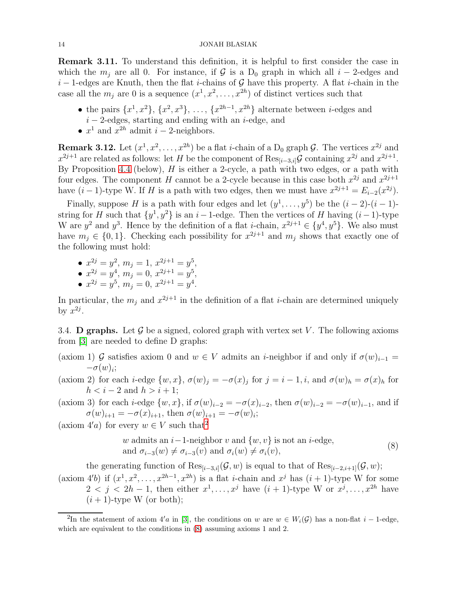Remark 3.11. To understand this definition, it is helpful to first consider the case in which the  $m_i$  are all 0. For instance, if G is a D<sub>0</sub> graph in which all  $i-2$ -edges and  $i-1$ -edges are Knuth, then the flat *i*-chains of G have this property. A flat *i*-chain in the case all the  $m_j$  are 0 is a sequence  $(x^1, x^2, \ldots, x^{2h})$  of distinct vertices such that

- the pairs  $\{x^1, x^2\}, \{x^2, x^3\}, \ldots, \{x^{2h-1}, x^{2h}\}\$  alternate between *i*-edges and  $i-2$ -edges, starting and ending with an  $i$ -edge, and
- $x^1$  and  $x^{2h}$  admit  $i-2$ -neighbors.

<span id="page-13-3"></span>**Remark 3.12.** Let  $(x^1, x^2, \ldots, x^{2h})$  be a flat *i*-chain of a  $D_0$  graph  $\mathcal{G}$ . The vertices  $x^{2j}$  and  $x^{2j+1}$  are related as follows: let H be the component of  $\text{Res}_{[i-3,i]}$  containing  $x^{2j}$  and  $x^{2j+1}$ . By Proposition [4.4](#page-15-0) (below),  $H$  is either a 2-cycle, a path with two edges, or a path with four edges. The component H cannot be a 2-cycle because in this case both  $x^{2j}$  and  $x^{2j+1}$ have  $(i-1)$ -type W. If H is a path with two edges, then we must have  $x^{2j+1} = E_{i-2}(x^{2j})$ .

Finally, suppose H is a path with four edges and let  $(y^1, \ldots, y^5)$  be the  $(i-2)-(i-1)$ string for H such that  $\{y^1, y^2\}$  is an i – 1-edge. Then the vertices of H having  $(i-1)$ -type W are  $y^2$  and  $y^3$ . Hence by the definition of a flat *i*-chain,  $x^{2j+1} \in \{y^4, y^5\}$ . We also must have  $m_j \in \{0, 1\}$ . Checking each possibility for  $x^{2j+1}$  and  $m_j$  shows that exactly one of the following must hold:

- $x^{2j} = y^2$ ,  $m_j = 1$ ,  $x^{2j+1} = y^5$ ,
- $x^{2j} = y^4$ ,  $m_j = 0$ ,  $x^{2j+1} = y^5$ ,
- $x^{2j} = y^5$ ,  $m_j = 0$ ,  $x^{2j+1} = y^4$ .

In particular, the  $m_j$  and  $x^{2j+1}$  in the definition of a flat *i*-chain are determined uniquely by  $x^{2j}$ .

<span id="page-13-0"></span>3.4. **D** graphs. Let G be a signed, colored graph with vertex set V. The following axioms from [\[3\]](#page-45-1) are needed to define D graphs:

- (axiom 1) G satisfies axiom 0 and  $w \in V$  admits an *i*-neighbor if and only if  $\sigma(w)_{i-1} =$  $-\sigma(w)_i;$
- (axiom 2) for each *i*-edge  $\{w, x\}$ ,  $\sigma(w)_j = -\sigma(x)_j$  for  $j = i 1, i$ , and  $\sigma(w)_h = \sigma(x)_h$  for  $h < i-2$  and  $h > i+1$ ;
- (axiom 3) for each *i*-edge  $\{w, x\}$ , if  $\sigma(w)_{i-2} = -\sigma(x)_{i-2}$ , then  $\sigma(w)_{i-2} = -\sigma(w)_{i-1}$ , and if  $\sigma(w)_{i+1} = -\sigma(x)_{i+1}$ , then  $\sigma(w)_{i+1} = -\sigma(w)_{i}$ ;

(axiom  $4'a$ ) for every  $w \in V$  such that<sup>[2](#page-13-1)</sup>

<span id="page-13-2"></span>*w* admits an *i*-1-neighbor *v* and {*w*, *v*} is not an *i*-edge,  
and 
$$
\sigma_{i-3}(w) \neq \sigma_{i-3}(v)
$$
 and  $\sigma_i(w) \neq \sigma_i(v)$ , 
$$
(8)
$$

the generating function of  $\text{Res}_{[i-3,i]}(G, w)$  is equal to that of  $\text{Res}_{[i-2,i+1]}(G, w)$ ; (axiom 4'b) if  $(x^1, x^2, \ldots, x^{2h-1}, x^{2h})$  is a flat *i*-chain and  $x^j$  has  $(i + 1)$ -type W for some

 $2 < j < 2h-1$ , then either  $x^1, \ldots, x^j$  have  $(i + 1)$ -type W or  $x^j, \ldots, x^{2h}$  have  $(i + 1)$ -type W (or both);

<span id="page-13-1"></span><sup>&</sup>lt;sup>2</sup>In the statement of axiom 4'a in [\[3\]](#page-45-1), the conditions on w are  $w \in W_i(\mathcal{G})$  has a non-flat  $i-1$ -edge, which are equivalent to the conditions in  $(8)$  assuming axioms 1 and 2.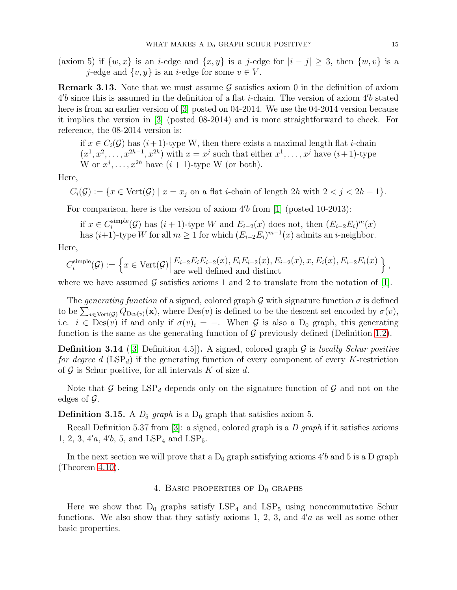(axiom 5) if  $\{w, x\}$  is an *i*-edge and  $\{x, y\}$  is a *j*-edge for  $|i - j| \geq 3$ , then  $\{w, v\}$  is a j-edge and  $\{v, y\}$  is an *i*-edge for some  $v \in V$ .

**Remark 3.13.** Note that we must assume  $\mathcal{G}$  satisfies axiom 0 in the definition of axiom  $4'b$  since this is assumed in the definition of a flat *i*-chain. The version of axiom  $4'b$  stated here is from an earlier version of [\[3\]](#page-45-1) posted on 04-2014. We use the 04-2014 version because it implies the version in [\[3\]](#page-45-1) (posted 08-2014) and is more straightforward to check. For reference, the 08-2014 version is:

if  $x \in C_i(G)$  has  $(i+1)$ -type W, then there exists a maximal length flat *i*-chain  $(x^1, x^2, \ldots, x^{2h-1}, x^{2h})$  with  $x = x^j$  such that either  $x^1, \ldots, x^j$  have  $(i+1)$ -type W or  $x^j, \ldots, x^{2h}$  have  $(i + 1)$ -type W (or both).

Here,

$$
C_i(\mathcal{G}) := \{ x \in \text{Vert}(\mathcal{G}) \mid x = x_j \text{ on a flat } i\text{-chain of length } 2h \text{ with } 2 < j < 2h - 1 \}.
$$

For comparison, here is the version of axiom  $4'b$  from [\[1\]](#page-45-15) (posted 10-2013):

if  $x \in C_i^{\text{simple}}$ <sup>simple</sup>( $\mathcal{G}$ ) has  $(i + 1)$ -type W and  $E_{i-2}(x)$  does not, then  $(E_{i-2}E_i)^m(x)$ has  $(i+1)$ -type W for all  $m \geq 1$  for which  $(E_{i-2}E_i)^{m-1}(x)$  admits an *i*-neighbor.

Here,

$$
C_i^{\text{simple}}(\mathcal{G}) := \left\{ x \in \text{Vert}(\mathcal{G}) \middle| \frac{E_{i-2}E_iE_{i-2}(x), E_iE_{i-2}(x), E_{i-2}(x), x, E_i(x), E_{i-2}E_i(x)}{\text{are well defined and distinct}} \right\},\
$$

where we have assumed G satisfies axioms 1 and 2 to translate from the notation of [\[1\]](#page-45-15).

The generating function of a signed, colored graph G with signature function  $\sigma$  is defined to be  $\sum_{v \in \text{Vert}(\mathcal{G})} Q_{\text{Des}(v)}(\mathbf{x})$ , where  $\text{Des}(v)$  is defined to be the descent set encoded by  $\sigma(v)$ , i.e.  $i \in \text{Des}(v)$  if and only if  $\sigma(v)_i = -$ . When G is also a D<sub>0</sub> graph, this generating function is the same as the generating function of  $\mathcal G$  previously defined (Definition [1.2\)](#page-1-2).

**Definition 3.14** ([\[3,](#page-45-1) Definition 4.5]). A signed, colored graph  $G$  is locally Schur positive for degree d  $(LSP<sub>d</sub>)$  if the generating function of every component of every K-restriction of  $\mathcal G$  is Schur positive, for all intervals K of size d.

Note that G being  $LSP_d$  depends only on the signature function of G and not on the edges of  $\mathcal{G}$ .

**Definition 3.15.** A  $D_5$  graph is a  $D_0$  graph that satisfies axiom 5.

Recall Definition 5.37 from [\[3\]](#page-45-1): a signed, colored graph is a  $D$  graph if it satisfies axioms 1, 2, 3, 4'a, 4'b, 5, and  $LSP<sub>4</sub>$  and  $LSP<sub>5</sub>$ .

<span id="page-14-0"></span>In the next section we will prove that a  $D_0$  graph satisfying axioms  $4'b$  and 5 is a D graph (Theorem [4.10\)](#page-21-1).

# 4. BASIC PROPERTIES OF  $D_0$  GRAPHS

Here we show that  $D_0$  graphs satisfy  $LSP_4$  and  $LSP_5$  using noncommutative Schur functions. We also show that they satisfy axioms 1, 2, 3, and  $4'a$  as well as some other basic properties.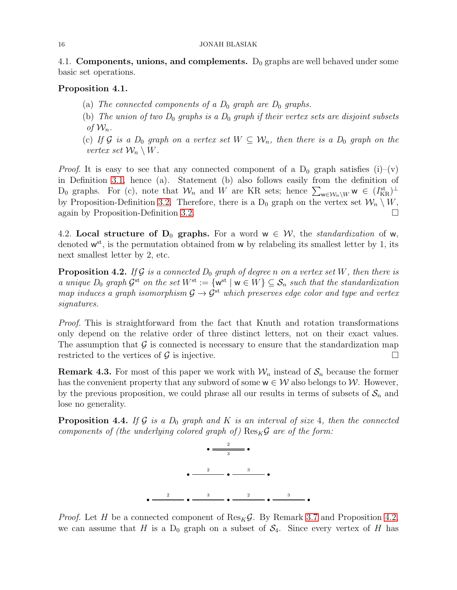#### 16 JONAH BLASIAK

4.1. Components, unions, and complements.  $D_0$  graphs are well behaved under some basic set operations.

# <span id="page-15-2"></span>Proposition 4.1.

- (a) The connected components of a  $D_0$  graph are  $D_0$  graphs.
- (b) The union of two  $D_0$  graphs is a  $D_0$  graph if their vertex sets are disjoint subsets of  $\mathcal{W}_n$ .
- (c) If G is a  $D_0$  graph on a vertex set  $W \subseteq W_n$ , then there is a  $D_0$  graph on the vertex set  $\mathcal{W}_n \setminus W$ .

*Proof.* It is easy to see that any connected component of a  $D_0$  graph satisfies (i)–(v) in Definition [3.1,](#page-9-2) hence (a). Statement (b) also follows easily from the definition of D<sub>0</sub> graphs. For (c), note that  $W_n$  and W are KR sets; hence  $\sum_{w \in W_n \setminus W} w \in (I_{KR}^{st})^{\perp}$ by Proposition-Definition [3.2.](#page-10-1) Therefore, there is a  $D_0$  graph on the vertex set  $\mathcal{W}_n \setminus W$ , again by Proposition-Definition [3.2.](#page-10-1)

4.2. Local structure of  $D_0$  graphs. For a word  $w \in \mathcal{W}$ , the *standardization* of w, denoted  $w^{st}$ , is the permutation obtained from w by relabeling its smallest letter by 1, its next smallest letter by 2, etc.

<span id="page-15-1"></span>**Proposition 4.2.** If G is a connected  $D_0$  graph of degree n on a vertex set W, then there is a unique  $D_0$  graph  $\mathcal{G}^{\text{st}}$  on the set  $W^{\text{st}} := \{w^{\text{st}} \mid w \in W\} \subseteq \mathcal{S}_n$  such that the standardization map induces a graph isomorphism  $\mathcal{G} \to \mathcal{G}^{st}$  which preserves edge color and type and vertex signatures.

Proof. This is straightforward from the fact that Knuth and rotation transformations only depend on the relative order of three distinct letters, not on their exact values. The assumption that  $\mathcal G$  is connected is necessary to ensure that the standardization map restricted to the vertices of  $\mathcal G$  is injective.

**Remark 4.3.** For most of this paper we work with  $\mathcal{W}_n$  instead of  $\mathcal{S}_n$  because the former has the convenient property that any subword of some  $w \in W$  also belongs to W. However, by the previous proposition, we could phrase all our results in terms of subsets of  $S_n$  and lose no generality.

<span id="page-15-0"></span>**Proposition 4.4.** If G is a  $D_0$  graph and K is an interval of size 4, then the connected components of (the underlying colored graph of)  $\text{Res}_{K}\mathcal{G}$  are of the form:



*Proof.* Let H be a connected component of  $\text{Res}_K \mathcal{G}$ . By Remark [3.7](#page-12-0) and Proposition [4.2,](#page-15-1) we can assume that H is a  $D_0$  graph on a subset of  $S_4$ . Since every vertex of H has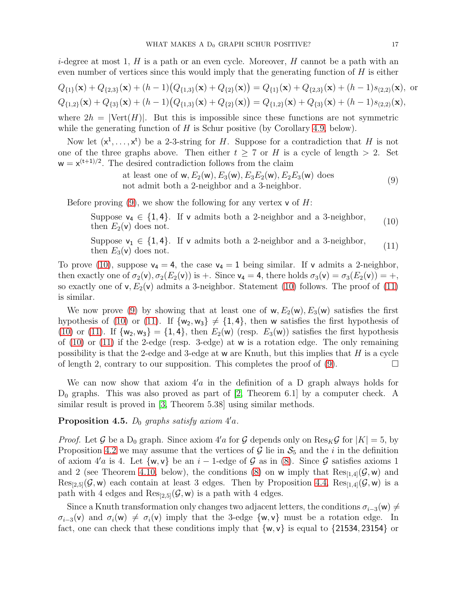*i*-degree at most 1, H is a path or an even cycle. Moreover, H cannot be a path with an even number of vertices since this would imply that the generating function of  $H$  is either

$$
Q_{\{1\}}(\mathbf{x}) + Q_{\{2,3\}}(\mathbf{x}) + (h-1)(Q_{\{1,3\}}(\mathbf{x}) + Q_{\{2\}}(\mathbf{x})) = Q_{\{1\}}(\mathbf{x}) + Q_{\{2,3\}}(\mathbf{x}) + (h-1)s_{(2,2)}(\mathbf{x}),
$$
 or  

$$
Q_{\{1,2\}}(\mathbf{x}) + Q_{\{3\}}(\mathbf{x}) + (h-1)(Q_{\{1,3\}}(\mathbf{x}) + Q_{\{2\}}(\mathbf{x})) = Q_{\{1,2\}}(\mathbf{x}) + Q_{\{3\}}(\mathbf{x}) + (h-1)s_{(2,2)}(\mathbf{x}),
$$

where  $2h = |\text{Vert}(H)|$ . But this is impossible since these functions are not symmetric while the generating function of  $H$  is Schur positive (by Corollary [4.9,](#page-20-0) below).

Now let  $(x^1, \ldots, x^t)$  be a 2-3-string for H. Suppose for a contradiction that H is not one of the three graphs above. Then either  $t \geq 7$  or H is a cycle of length  $> 2$ . Set  $w = x^{(t+1)/2}$ . The desired contradiction follows from the claim

> <span id="page-16-2"></span><span id="page-16-1"></span><span id="page-16-0"></span>at least one of  $w, E_2(w), E_3(w), E_3E_2(w), E_2E_3(w)$  does at reast one or  $w, E_2(w), E_3(w), E_3E_2(w), E_2E_3(w)$  does<br>not admit both a 2-neighbor and a 3-neighbor. (9)

Before proving  $(9)$ , we show the following for any vertex v of H:

Suppose  $v_4 \in \{1, 4\}$ . If v admits both a 2-neighbor and a 3-neighbor, (10) then  $E_2(v)$  does not.

Suppose  $v_1 \in \{1, 4\}$ . If v admits both a 2-neighbor and a 3-neighbor, (11) then  $E_3(v)$  does not.

To prove [\(10\)](#page-16-1), suppose  $v_4 = 4$ , the case  $v_4 = 1$  being similar. If v admits a 2-neighbor, then exactly one of  $\sigma_2(\mathsf{v}), \sigma_2(E_2(\mathsf{v}))$  is +. Since  $\mathsf{v}_4 = 4$ , there holds  $\sigma_3(\mathsf{v}) = \sigma_3(E_2(\mathsf{v})) = +$ , so exactly one of  $v, E_2(v)$  admits a 3-neighbor. Statement [\(10\)](#page-16-1) follows. The proof of [\(11\)](#page-16-2) is similar.

We now prove [\(9\)](#page-16-0) by showing that at least one of  $w, E_2(w), E_3(w)$  satisfies the first hypothesis of [\(10\)](#page-16-1) or [\(11\)](#page-16-2). If  $\{w_2, w_3\} \neq \{1, 4\}$ , then w satisfies the first hypothesis of [\(10\)](#page-16-1) or [\(11\)](#page-16-2). If  $\{w_2, w_3\} = \{1, 4\}$ , then  $E_2(w)$  (resp.  $E_3(w)$ ) satisfies the first hypothesis of  $(10)$  or  $(11)$  if the 2-edge (resp. 3-edge) at w is a rotation edge. The only remaining possibility is that the 2-edge and 3-edge at  $w$  are Knuth, but this implies that  $H$  is a cycle of length 2, contrary to our supposition. This completes the proof of  $(9)$ .

We can now show that axiom  $4'a$  in the definition of a D graph always holds for  $D_0$  graphs. This was also proved as part of [\[2,](#page-45-0) Theorem 6.1] by a computer check. A similar result is proved in [\[3,](#page-45-1) Theorem 5.38] using similar methods.

<span id="page-16-3"></span>Proposition 4.5.  $D_0$  graphs satisfy axiom  $4'a$ .

*Proof.* Let G be a D<sub>0</sub> graph. Since axiom  $4'a$  for G depends only on  $\text{Res}_K\mathcal{G}$  for  $|K|=5$ , by Proposition [4.2](#page-15-1) we may assume that the vertices of  $\mathcal G$  lie in  $\mathcal S_5$  and the i in the definition of axiom  $4'a$  is 4. Let  $\{w, v\}$  be an  $i-1$ -edge of G as in [\(8\)](#page-13-2). Since G satisfies axioms 1 and 2 (see Theorem [4.10,](#page-21-1) below), the conditions [\(8\)](#page-13-2) on w imply that  $\text{Res}_{[1,4]}(\mathcal{G}, w)$  and  $Res_{[2,5]}(\mathcal{G}, w)$  each contain at least 3 edges. Then by Proposition [4.4,](#page-15-0)  $Res_{[1,4]}(\mathcal{G}, w)$  is a path with 4 edges and  $\text{Res}_{[2,5]}(\mathcal{G}, w)$  is a path with 4 edges.

Since a Knuth transformation only changes two adjacent letters, the conditions  $\sigma_{i-3}(\mathsf{w}) \neq$  $\sigma_{i-3}(v)$  and  $\sigma_i(w) \neq \sigma_i(v)$  imply that the 3-edge {w, v} must be a rotation edge. In fact, one can check that these conditions imply that  $\{w, v\}$  is equal to  $\{21534, 23154\}$  or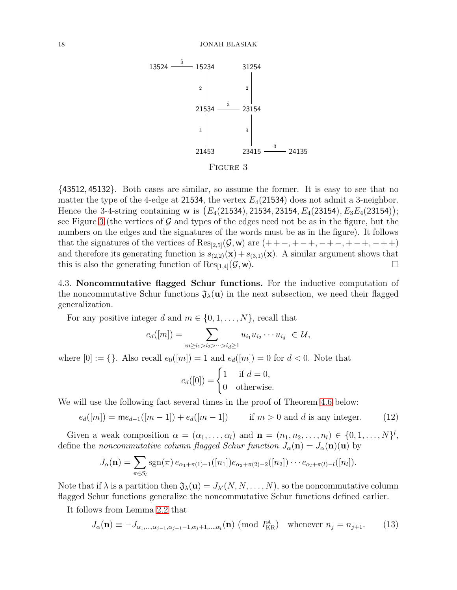<span id="page-17-0"></span>

FIGURE 3

{43512, 45132}. Both cases are similar, so assume the former. It is easy to see that no matter the type of the 4-edge at 21534, the vertex  $E_4(21534)$  does not admit a 3-neighbor. Hence the 3-4-string containing w is  $(E_4(21534), 21534, 23154, E_4(23154), E_3E_4(23154));$ see Figure [3](#page-17-0) (the vertices of  $\mathcal G$  and types of the edges need not be as in the figure, but the numbers on the edges and the signatures of the words must be as in the figure). It follows that the signatures of the vertices of  $\text{Res}_{[2,5]}(\mathcal{G}, w)$  are  $(+ +-, +-, +-, ++, -+, -+)$ and therefore its generating function is  $s_{(2,2)}(\mathbf{x}) + s_{(3,1)}(\mathbf{x})$ . A similar argument shows that this is also the generating function of  $\text{Res}_{[1,4]}(\mathcal{G}, w)$ .

4.3. Noncommutative flagged Schur functions. For the inductive computation of the noncommutative Schur functions  $\mathfrak{J}_{\lambda}(\mathbf{u})$  in the next subsection, we need their flagged generalization.

For any positive integer d and  $m \in \{0, 1, \ldots, N\}$ , recall that

$$
e_d([m]) = \sum_{m \geq i_1 > i_2 > \dots > i_d \geq 1} u_{i_1} u_{i_2} \dots u_{i_d} \in \mathcal{U},
$$

where  $[0] := \{\}$ . Also recall  $e_0([m]) = 1$  and  $e_d([m]) = 0$  for  $d < 0$ . Note that

<span id="page-17-1"></span>
$$
e_d([0]) = \begin{cases} 1 & \text{if } d = 0, \\ 0 & \text{otherwise.} \end{cases}
$$

We will use the following fact several times in the proof of Theorem [4.6](#page-18-0) below:

$$
e_d([m]) = \mathsf{m}e_{d-1}([m-1]) + e_d([m-1]) \qquad \text{if } m > 0 \text{ and } d \text{ is any integer.} \tag{12}
$$

Given a weak composition  $\alpha = (\alpha_1, \ldots, \alpha_l)$  and  $\mathbf{n} = (n_1, n_2, \ldots, n_l) \in \{0, 1, \ldots, N\}^l$ , define the noncommutative column flagged Schur function  $J_{\alpha}(\mathbf{n}) = J_{\alpha}(\mathbf{n})(\mathbf{u})$  by

$$
J_{\alpha}(\mathbf{n}) = \sum_{\pi \in S_l} \operatorname{sgn}(\pi) e_{\alpha_1 + \pi(1) - 1}([n_1]) e_{\alpha_2 + \pi(2) - 2}([n_2]) \cdots e_{\alpha_l + \pi(l) - l}([n_l]).
$$

Note that if  $\lambda$  is a partition then  $\mathfrak{J}_{\lambda}(\mathbf{u}) = J_{\lambda'}(N, N, \ldots, N)$ , so the noncommutative column flagged Schur functions generalize the noncommutative Schur functions defined earlier.

It follows from Lemma [2.2](#page-6-0) that

$$
J_{\alpha}(\mathbf{n}) \equiv -J_{\alpha_1,\dots,\alpha_{j-1},\alpha_{j+1}-1,\alpha_j+1,\dots,\alpha_l}(\mathbf{n}) \pmod{I_{\text{KR}}^{\text{st}}}
$$
 whenever  $n_j = n_{j+1}.$  (13)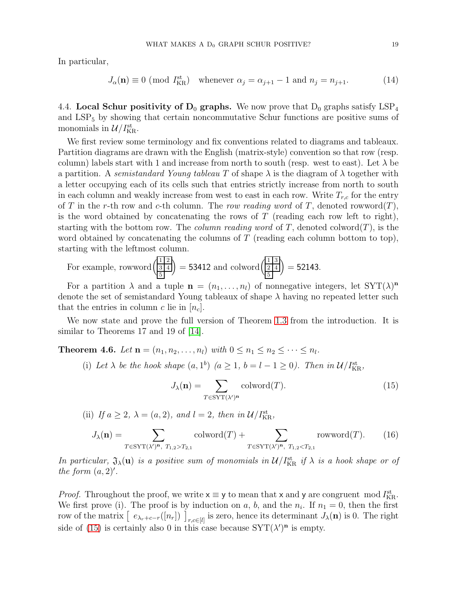In particular,

<span id="page-18-2"></span>
$$
J_{\alpha}(\mathbf{n}) \equiv 0 \pmod{I_{\text{KR}}^{\text{st}}}
$$
 whenever  $\alpha_j = \alpha_{j+1} - 1$  and  $n_j = n_{j+1}$ . (14)

<span id="page-18-3"></span>4.4. Local Schur positivity of  $D_0$  graphs. We now prove that  $D_0$  graphs satisfy  $LSP_4$ and  $LSP<sub>5</sub>$  by showing that certain noncommutative Schur functions are positive sums of monomials in  $\mathcal{U}/I_{\text{KR}}^{\text{st}}$ .

We first review some terminology and fix conventions related to diagrams and tableaux. Partition diagrams are drawn with the English (matrix-style) convention so that row (resp. column) labels start with 1 and increase from north to south (resp. west to east). Let  $\lambda$  be a partition. A semistandard Young tableau T of shape  $\lambda$  is the diagram of  $\lambda$  together with a letter occupying each of its cells such that entries strictly increase from north to south in each column and weakly increase from west to east in each row. Write  $T_{r,c}$  for the entry of T in the r-th row and c-th column. The row reading word of T, denoted rowword(T), is the word obtained by concatenating the rows of  $T$  (reading each row left to right), starting with the bottom row. The *column reading word* of T, denoted colword $(T)$ , is the word obtained by concatenating the columns of  $T$  (reading each column bottom to top), starting with the leftmost column.

For example, rowword 
$$
\left(\frac{\frac{1}{3} \cdot \frac{2}{4}}{\frac{5}{5}}\right)
$$
 = 53412 and coloured  $\left(\frac{\frac{1}{3} \cdot \frac{3}{4}}{\frac{5}{5}}\right)$  = 52143.

For a partition  $\lambda$  and a tuple  $\mathbf{n} = (n_1, \ldots, n_l)$  of nonnegative integers, let  $SYT(\lambda)^{\mathbf{n}}$ denote the set of semistandard Young tableaux of shape  $\lambda$  having no repeated letter such that the entries in column c lie in  $[n_c]$ .

We now state and prove the full version of Theorem [1.3](#page-3-2) from the introduction. It is similar to Theorems 17 and 19 of [\[14\]](#page-45-6).

<span id="page-18-0"></span>**Theorem 4.6.** Let  $\mathbf{n} = (n_1, n_2, \ldots, n_l)$  with  $0 \leq n_1 \leq n_2 \leq \cdots \leq n_l$ .

(i) Let  $\lambda$  be the hook shape  $(a, 1^b)$   $(a \ge 1, b = l - 1 \ge 0)$ . Then in  $\mathcal{U}/I_{\text{KR}}^{\text{st}}$ ,

<span id="page-18-1"></span>
$$
J_{\lambda}(\mathbf{n}) = \sum_{T \in \text{SYT}(\lambda')^{\mathbf{n}}} \text{colword}(T). \tag{15}
$$

(ii) If  $a \geq 2$ ,  $\lambda = (a, 2)$ , and  $l = 2$ , then in  $\mathcal{U}/I_{\text{KR}}^{\text{st}}$ ,

$$
J_{\lambda}(\mathbf{n}) = \sum_{T \in \text{SYT}(\lambda')^{\mathbf{n}}, T_{1,2} > T_{2,1}} \text{colword}(T) + \sum_{T \in \text{SYT}(\lambda')^{\mathbf{n}}, T_{1,2} < T_{2,1}} \text{rowword}(T). \tag{16}
$$

In particular,  $\mathfrak{J}_{\lambda}(\mathbf{u})$  is a positive sum of monomials in  $\mathcal{U}/I_{\text{KR}}^{\text{st}}$  if  $\lambda$  is a hook shape or of the form  $(a, 2)$ '.

*Proof.* Throughout the proof, we write  $x \equiv y$  to mean that x and y are congruent mod  $I_{\text{KR}}^{\text{st}}$ . We first prove (i). The proof is by induction on a, b, and the  $n_i$ . If  $n_1 = 0$ , then the first row of the matrix  $[e_{\lambda_r+c-r}([n_r])]_{r,c\in[l]}$  is zero, hence its determinant  $J_\lambda(\mathbf{n})$  is 0. The right side of [\(15\)](#page-18-1) is certainly also 0 in this case because  $SYT(\lambda')^n$  is empty.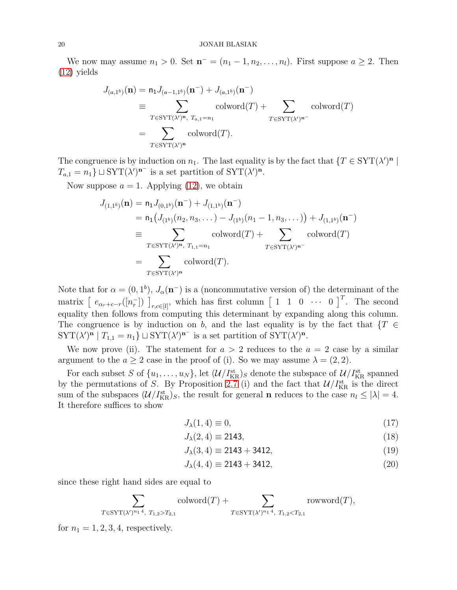We now may assume  $n_1 > 0$ . Set  $\mathbf{n}^- = (n_1 - 1, n_2, \dots, n_l)$ . First suppose  $a \geq 2$ . Then [\(12\)](#page-17-1) yields

$$
J_{(a,1^b)}(\mathbf{n}) = \mathsf{n}_1 J_{(a-1,1^b)}(\mathbf{n}^-) + J_{(a,1^b)}(\mathbf{n}^-)
$$
  
\n
$$
\equiv \sum_{T \in \text{SYT}(\lambda')^{\mathbf{n}}, T_{a,1} = n_1} \text{colword}(T) + \sum_{T \in \text{SYT}(\lambda')^{\mathbf{n}^-}} \text{colword}(T)
$$
  
\n
$$
= \sum_{T \in \text{SYT}(\lambda')^{\mathbf{n}}} \text{colword}(T).
$$

The congruence is by induction on  $n_1$ . The last equality is by the fact that  $\{T \in \text{SYT}(\lambda')^n \mid$  $T_{a,1} = n_1$   $\perp$  SYT $(\lambda')^{\mathbf{n}^-}$  is a set partition of SYT $(\lambda')^{\mathbf{n}^-}$ .

Now suppose  $a = 1$ . Applying [\(12\)](#page-17-1), we obtain

$$
J_{(1,1^{b})}(\mathbf{n}) = \mathsf{n}_{1} J_{(0,1^{b})}(\mathbf{n}^{-}) + J_{(1,1^{b})}(\mathbf{n}^{-})
$$
  
\n
$$
= \mathsf{n}_{1} (J_{(1^{b})}(n_{2}, n_{3}, \dots) - J_{(1^{b})}(n_{1} - 1, n_{3}, \dots)) + J_{(1,1^{b})}(\mathbf{n}^{-})
$$
  
\n
$$
\equiv \sum_{T \in \text{SYT}(\lambda')^{\mathbf{n}}, T_{1,1} = n_{1}} \text{colword}(T) + \sum_{T \in \text{SYT}(\lambda')^{\mathbf{n}^{-}}} \text{colword}(T)
$$
  
\n
$$
= \sum_{T \in \text{SYT}(\lambda')^{\mathbf{n}}} \text{colword}(T).
$$

Note that for  $\alpha = (0, 1^b)$ ,  $J_\alpha(\mathbf{n}^-)$  is a (noncommutative version of) the determinant of the matrix  $\left[ e_{\alpha_r+c-r}([n_r^{-}]) \right]_{r,c\in[l]}$ , which has first column  $\left[ 1 \quad 1 \quad 0 \quad \cdots \quad 0 \right]^{T}$ . The second equality then follows from computing this determinant by expanding along this column. The congruence is by induction on b, and the last equality is by the fact that  $\{T \in$  $\text{SYT}(\lambda')^n | T_{1,1} = n_1 \} \sqcup \text{SYT}(\lambda')^{n^-}$  is a set partition of  $\text{SYT}(\lambda')^n$ .

We now prove (ii). The statement for  $a > 2$  reduces to the  $a = 2$  case by a similar argument to the  $a \geq 2$  case in the proof of (i). So we may assume  $\lambda = (2, 2)$ .

For each subset S of  $\{u_1, \ldots, u_N\}$ , let  $(\mathcal{U}/I_{\text{KR}}^{\text{st}})$  denote the subspace of  $\mathcal{U}/I_{\text{KR}}^{\text{st}}$  spanned by the permutations of S. By Proposition [2.7](#page-8-2) (i) and the fact that  $\mathcal{U}/I_{\text{KR}}^{\text{st}}$  is the direct sum of the subspaces  $(\mathcal{U}/I_{\text{KR}}^{\text{st}})_S$ , the result for general **n** reduces to the case  $n_l \leq |\lambda| = 4$ . It therefore suffices to show

<span id="page-19-1"></span><span id="page-19-0"></span>
$$
J_{\lambda}(1,4) \equiv 0,\tag{17}
$$

$$
J_{\lambda}(2,4) \equiv 2143,\tag{18}
$$

<span id="page-19-3"></span><span id="page-19-2"></span>
$$
J_{\lambda}(3,4) \equiv 2143 + 3412, \tag{19}
$$

$$
J_{\lambda}(4,4) \equiv 2143 + 3412, \tag{20}
$$

since these right hand sides are equal to

$$
\sum_{T \in \text{SYT}(\lambda')^{n_1 4}, T_{1,2} > T_{2,1}} \text{colword}(T) + \sum_{T \in \text{SYT}(\lambda')^{n_1 4}, T_{1,2} < T_{2,1}} \text{rowword}(T),
$$

for  $n_1 = 1, 2, 3, 4$ , respectively.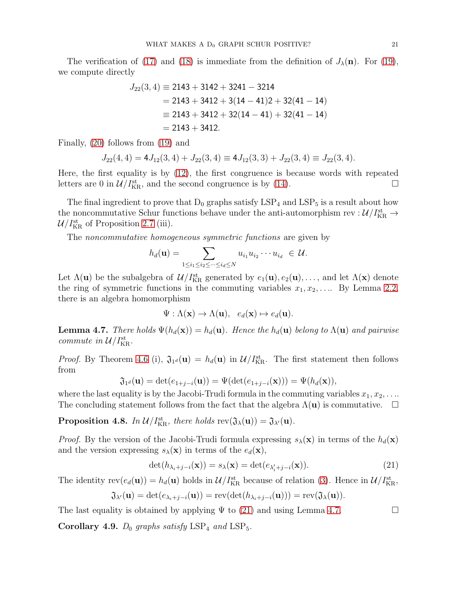The verification of [\(17\)](#page-19-0) and [\(18\)](#page-19-1) is immediate from the definition of  $J_{\lambda}(\mathbf{n})$ . For [\(19\)](#page-19-2), we compute directly

$$
J_{22}(3,4) \equiv 2143 + 3142 + 3241 - 3214
$$
  
= 2143 + 3412 + 3(14 - 41)2 + 32(41 - 14)  

$$
\equiv 2143 + 3412 + 32(14 - 41) + 32(41 - 14)
$$
  
= 2143 + 3412.

Finally, [\(20\)](#page-19-3) follows from [\(19\)](#page-19-2) and

$$
J_{22}(4,4) = 4J_{12}(3,4) + J_{22}(3,4) \equiv 4J_{12}(3,3) + J_{22}(3,4) \equiv J_{22}(3,4).
$$

Here, the first equality is by [\(12\)](#page-17-1), the first congruence is because words with repeated letters are 0 in  $\mathcal{U}/I_{\text{KR}}^{\text{st}}$ , and the second congruence is by [\(14\)](#page-18-2).

The final ingredient to prove that  $D_0$  graphs satisfy  $LSP_4$  and  $LSP_5$  is a result about how the noncommutative Schur functions behave under the anti-automorphism rev :  $\mathcal{U}/I_{\rm KR}^{\rm st} \to$  $\mathcal{U}/I_{\text{KR}}^{\text{st}}$  of Proposition [2.7](#page-8-2) (iii).

The noncommutative homogeneous symmetric functions are given by

$$
h_d(\mathbf{u}) = \sum_{1 \le i_1 \le i_2 \le \dots \le i_d \le N} u_{i_1} u_{i_2} \dots u_{i_d} \in \mathcal{U}.
$$

Let  $\Lambda(\mathbf{u})$  be the subalgebra of  $\mathcal{U}/I_{\text{KR}}^{\text{st}}$  generated by  $e_1(\mathbf{u}), e_2(\mathbf{u}), \ldots$ , and let  $\Lambda(\mathbf{x})$  denote the ring of symmetric functions in the commuting variables  $x_1, x_2, \ldots$  By Lemma [2.2,](#page-6-0) there is an algebra homomorphism

$$
\Psi: \Lambda(\mathbf{x}) \to \Lambda(\mathbf{u}), \quad e_d(\mathbf{x}) \mapsto e_d(\mathbf{u}).
$$

<span id="page-20-2"></span>**Lemma 4.7.** There holds  $\Psi(h_d(\mathbf{x})) = h_d(\mathbf{u})$ . Hence the  $h_d(\mathbf{u})$  belong to  $\Lambda(\mathbf{u})$  and pairwise commute in  $\mathcal{U}/I_{\mathrm{KR}}^{\mathrm{st}}$ .

*Proof.* By Theorem [4.6](#page-18-0) (i),  $\mathfrak{J}_{1^d}(\mathbf{u}) = h_d(\mathbf{u})$  in  $\mathcal{U}/I_{\text{KR}}^{\text{st}}$ . The first statement then follows from

$$
\mathfrak{J}_{1^d}(\mathbf{u}) = \det(e_{1+j-i}(\mathbf{u})) = \Psi(\det(e_{1+j-i}(\mathbf{x}))) = \Psi(h_d(\mathbf{x})),
$$

where the last equality is by the Jacobi-Trudi formula in the commuting variables  $x_1, x_2, \ldots$ The concluding statement follows from the fact that the algebra  $\Lambda(\mathbf{u})$  is commutative.  $\Box$ 

<span id="page-20-3"></span>**Proposition 4.8.** In  $\mathcal{U}/I_{\text{KR}}^{\text{st}}$ , there holds  $\text{rev}(\mathfrak{J}_{\lambda}(\mathbf{u})) = \mathfrak{J}_{\lambda'}(\mathbf{u})$ .

*Proof.* By the version of the Jacobi-Trudi formula expressing  $s_{\lambda}(\mathbf{x})$  in terms of the  $h_d(\mathbf{x})$ and the version expressing  $s_{\lambda}(\mathbf{x})$  in terms of the  $e_d(\mathbf{x})$ ,

<span id="page-20-1"></span>
$$
\det(h_{\lambda_i+j-i}(\mathbf{x})) = s_{\lambda}(\mathbf{x}) = \det(e_{\lambda'_i+j-i}(\mathbf{x})).
$$
\n(21)

The identity  $rev(e_d(\mathbf{u})) = h_d(\mathbf{u})$  holds in  $\mathcal{U}/I_{KR}^{st}$  because of relation [\(3\)](#page-2-0). Hence in  $\mathcal{U}/I_{KR}^{st}$ ,

$$
\mathfrak{J}_{\lambda'}(\mathbf{u}) = \det(e_{\lambda_i+j-i}(\mathbf{u})) = \text{rev}(\det(h_{\lambda_i+j-i}(\mathbf{u}))) = \text{rev}(\mathfrak{J}_{\lambda}(\mathbf{u})).
$$

The last equality is obtained by applying  $\Psi$  to [\(21\)](#page-20-1) and using Lemma [4.7.](#page-20-2)

<span id="page-20-0"></span>Corollary 4.9.  $D_0$  graphs satisfy  $LSP_4$  and  $LSP_5$ .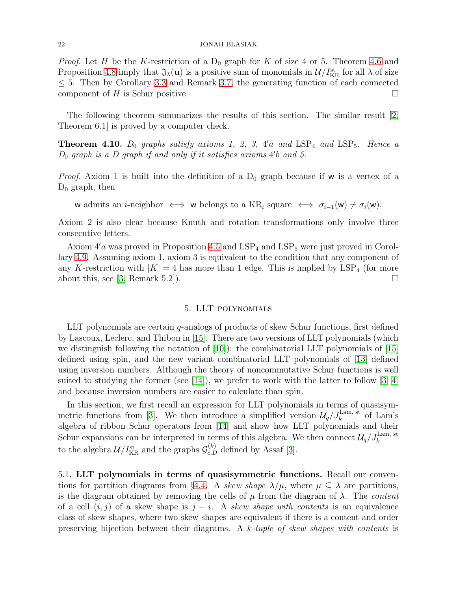*Proof.* Let H be the K-restriction of a  $D_0$  graph for K of size 4 or 5. Theorem [4.6](#page-18-0) and Proposition [4.8](#page-20-3) imply that  $\mathfrak{J}_{\lambda}(\mathbf{u})$  is a positive sum of monomials in  $\mathcal{U}/I_{\text{KR}}^{\text{st}}$  for all  $\lambda$  of size  $\leq$  5. Then by Corollary [3.3](#page-11-3) and Remark [3.7,](#page-12-0) the generating function of each connected component of H is Schur positive.  $\Box$ 

The following theorem summarizes the results of this section. The similar result [\[2,](#page-45-0) Theorem 6.1] is proved by a computer check.

<span id="page-21-1"></span>**Theorem 4.10.**  $D_0$  graphs satisfy axioms 1, 2, 3, 4'a and  $LSP_4$  and  $LSP_5$ . Hence a  $D_0$  graph is a  $D$  graph if and only if it satisfies axioms  $4'b$  and 5.

*Proof.* Axiom 1 is built into the definition of a  $D_0$  graph because if w is a vertex of a  $D_0$  graph, then

w admits an *i*-neighbor  $\iff$  w belongs to a KR<sub>i</sub> square  $\iff$   $\sigma_{i-1}(\mathsf{w}) \neq \sigma_i(\mathsf{w})$ .

Axiom 2 is also clear because Knuth and rotation transformations only involve three consecutive letters.

Axiom  $4'$ a was proved in Proposition [4.5](#page-16-3) and  $LSP_4$  and  $LSP_5$  were just proved in Corollary [4.9.](#page-20-0) Assuming axiom 1, axiom 3 is equivalent to the condition that any component of any K-restriction with  $|K| = 4$  has more than 1 edge. This is implied by  $LSP<sub>4</sub>$  (for more about this, see [\[3,](#page-45-1) Remark 5.2]).

# 5. LLT polynomials

<span id="page-21-0"></span>LLT polynomials are certain q-analogs of products of skew Schur functions, first defined by Lascoux, Leclerc, and Thibon in [\[15\]](#page-45-7). There are two versions of LLT polynomials (which we distinguish following the notation of  $[10]$ : the combinatorial LLT polynomials of  $[15]$ defined using spin, and the new variant combinatorial LLT polynomials of [\[13\]](#page-45-16) defined using inversion numbers. Although the theory of noncommutative Schur functions is well suited to studying the former (see [\[14\]](#page-45-6)), we prefer to work with the latter to follow [\[3,](#page-45-1) [4\]](#page-45-3) and because inversion numbers are easier to calculate than spin.

In this section, we first recall an expression for LLT polynomials in terms of quasisym-metric functions from [\[3\]](#page-45-1). We then introduce a simplified version  $\mathcal{U}_q / J_k^{\text{Lam, st}}$  of Lam's algebra of ribbon Schur operators from [\[14\]](#page-45-6) and show how LLT polynomials and their Schur expansions can be interpreted in terms of this algebra. We then connect  $\mathcal{U}_q / J_k^{\text{Lam, st}}$ to the algebra  $\mathcal{U}/I_{\text{KR}}^{\text{st}}$  and the graphs  $\mathcal{G}_{c,D}^{(k)}$  defined by Assaf [\[3\]](#page-45-1).

5.1. LLT polynomials in terms of quasisymmetric functions. Recall our conven-tions for partition diagrams from §[4.4.](#page-18-3) A skew shape  $\lambda/\mu$ , where  $\mu \subseteq \lambda$  are partitions, is the diagram obtained by removing the cells of  $\mu$  from the diagram of  $\lambda$ . The *content* of a cell  $(i, j)$  of a skew shape is  $j - i$ . A skew shape with contents is an equivalence class of skew shapes, where two skew shapes are equivalent if there is a content and order preserving bijection between their diagrams. A k-tuple of skew shapes with contents is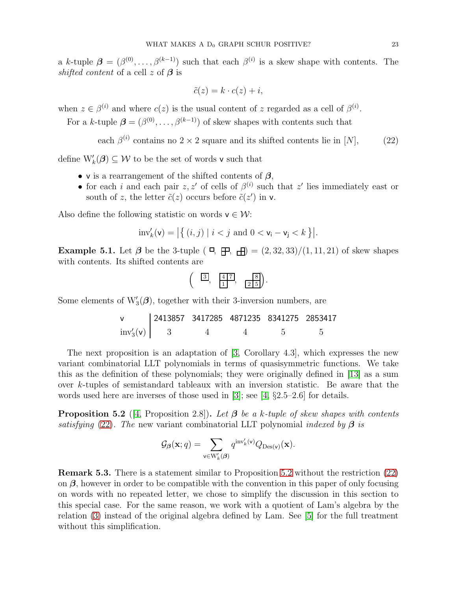a k-tuple  $\boldsymbol{\beta} = (\beta^{(0)}, \ldots, \beta^{(k-1)})$  such that each  $\beta^{(i)}$  is a skew shape with contents. The shifted content of a cell z of  $\beta$  is

<span id="page-22-0"></span>
$$
\tilde{c}(z) = k \cdot c(z) + i,
$$

when  $z \in \beta^{(i)}$  and where  $c(z)$  is the usual content of z regarded as a cell of  $\beta^{(i)}$ .

For a k-tuple  $\boldsymbol{\beta} = (\beta^{(0)}, \dots, \beta^{(k-1)})$  of skew shapes with contents such that

each 
$$
\beta^{(i)}
$$
 contains no 2 × 2 square and its shifted contents lie in [N], (22)

define  $W'_{k}(\boldsymbol{\beta}) \subseteq \mathcal{W}$  to be the set of words v such that

- v is a rearrangement of the shifted contents of  $\beta$ ,
- for each i and each pair  $z, z'$  of cells of  $\beta^{(i)}$  such that  $z'$  lies immediately east or south of z, the letter  $\tilde{c}(z)$  occurs before  $\tilde{c}(z')$  in v.

Also define the following statistic on words  $v \in W$ :

$$
\text{inv}'_k(\mathsf{v}) = \left| \left\{ \left( i,j \right) \mid i < j \text{ and } 0 < \mathsf{v}_i - \mathsf{v}_j < k \right\} \right|.
$$

<span id="page-22-2"></span>Example 5.1. Let  $\beta$  be the 3-tuple ( $\Box$ ,  $\Box$ ) =  $(2, 32, 33)/(1, 11, 21)$  of skew shapes with contents. Its shifted contents are

$$
\left(\begin{array}{cc} \boxed{3}, & \boxed{4,7}, & \boxed{8} \\ 1, & \boxed{2,5}\end{array}\right).
$$

Some elements of  $W'_{3}(\boldsymbol{\beta})$ , together with their 3-inversion numbers, are

$$
\begin{array}{c|cccccc}\n\mathsf{v} & 2413857 & 3417285 & 4871235 & 8341275 & 2853417 \\
\text{inv}'_3(\mathsf{v}) & 3 & 4 & 4 & 5 & 5\n\end{array}
$$

The next proposition is an adaptation of [\[3,](#page-45-1) Corollary 4.3], which expresses the new variant combinatorial LLT polynomials in terms of quasisymmetric functions. We take this as the definition of these polynomials; they were originally defined in [\[13\]](#page-45-16) as a sum over k-tuples of semistandard tableaux with an inversion statistic. Be aware that the words used here are inverses of those used in [\[3\]](#page-45-1); see [\[4,](#page-45-3)  $\S 2.5-2.6$ ] for details.

<span id="page-22-1"></span>**Proposition 5.2** ([\[4,](#page-45-3) Proposition 2.8]). Let  $\beta$  be a k-tuple of skew shapes with contents satisfying [\(22\)](#page-22-0). The new variant combinatorial LLT polynomial indexed by  $\beta$  is

$$
\mathcal{G}_{\beta}(\mathbf{x};q) = \sum_{\mathbf{v} \in W'_{k}(\beta)} q^{\mathrm{inv}'_{k}(\mathbf{v})} Q_{\mathrm{Des}(\mathbf{v})}(\mathbf{x}).
$$

Remark 5.3. There is a statement similar to Proposition [5.2](#page-22-1) without the restriction [\(22\)](#page-22-0) on  $\beta$ , however in order to be compatible with the convention in this paper of only focusing on words with no repeated letter, we chose to simplify the discussion in this section to this special case. For the same reason, we work with a quotient of Lam's algebra by the relation [\(3\)](#page-2-0) instead of the original algebra defined by Lam. See [\[5\]](#page-45-4) for the full treatment without this simplification.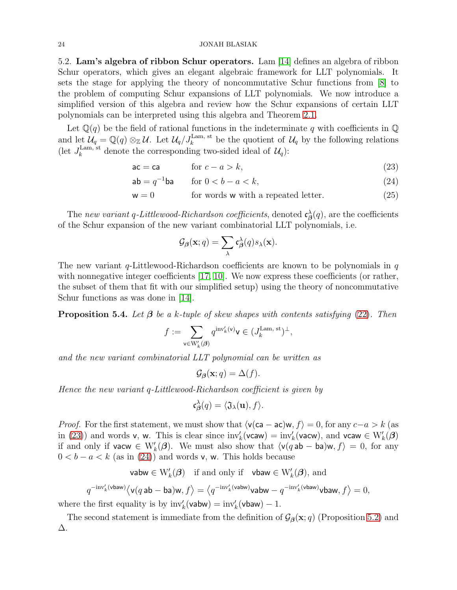## <span id="page-23-4"></span>24 JONAH BLASIAK

5.2. Lam's algebra of ribbon Schur operators. Lam [\[14\]](#page-45-6) defines an algebra of ribbon Schur operators, which gives an elegant algebraic framework for LLT polynomials. It sets the stage for applying the theory of noncommutative Schur functions from [\[8\]](#page-45-5) to the problem of computing Schur expansions of LLT polynomials. We now introduce a simplified version of this algebra and review how the Schur expansions of certain LLT polynomials can be interpreted using this algebra and Theorem [2.1.](#page-6-1)

Let  $\mathbb{Q}(q)$  be the field of rational functions in the indeterminate q with coefficients in  $\mathbb{Q}$ and let  $\mathcal{U}_q = \mathbb{Q}(q) \otimes_{\mathbb{Z}} \mathcal{U}$ . Let  $\mathcal{U}_q / J_k^{\text{Lam, st}}$  be the quotient of  $\mathcal{U}_q$  by the following relations (let  $J_k^{\text{Lam, st}}$  denote the corresponding two-sided ideal of  $\mathcal{U}_q$ ):

$$
ac = ca \qquad \text{for } c - a > k,
$$
\n<sup>(23)</sup>

$$
\mathsf{ab} = q^{-1} \mathsf{ba} \qquad \text{for } 0 < b - a < k,\tag{24}
$$

$$
\mathsf{w} = 0 \quad \text{for words } \mathsf{w} \text{ with a repeated letter.} \tag{25}
$$

The new variant q-Littlewood-Richardson coefficients, denoted  $\mathfrak{c}_{\beta}^{\lambda}(q)$ , are the coefficients of the Schur expansion of the new variant combinatorial LLT polynomials, i.e.

<span id="page-23-2"></span><span id="page-23-1"></span><span id="page-23-0"></span>
$$
\mathcal{G}_{\beta}(\mathbf{x};q) = \sum_{\lambda} \mathfrak{c}_{\beta}^{\lambda}(q) s_{\lambda}(\mathbf{x}).
$$

The new variant  $q$ -Littlewood-Richardson coefficients are known to be polynomials in  $q$ with nonnegative integer coefficients [\[17,](#page-45-8) [10\]](#page-45-2). We now express these coefficients (or rather, the subset of them that fit with our simplified setup) using the theory of noncommutative Schur functions as was done in [\[14\]](#page-45-6).

<span id="page-23-3"></span>**Proposition 5.4.** Let  $\beta$  be a k-tuple of skew shapes with contents satisfying [\(22\)](#page-22-0). Then

$$
f:=\sum_{\mathbf{v}\in \mathcal{W}'_k(\boldsymbol{\beta})}q^{\operatorname{inv}'_k(\mathbf{v})}\mathbf{v}\in (J_k^{\mathrm{Lam},\;\mathrm{st}})^\perp,
$$

and the new variant combinatorial LLT polynomial can be written as

$$
\mathcal{G}_{\beta}(\mathbf{x};q) = \Delta(f).
$$

Hence the new variant q-Littlewood-Richardson coefficient is given by

$$
\mathfrak{c}_{\boldsymbol{\beta}}^{\lambda}(q) = \langle \mathfrak{J}_{\lambda}(\mathbf{u}), f \rangle.
$$

*Proof.* For the first statement, we must show that  $\langle v(ca - ac)w, f \rangle = 0$ , for any  $c-a > k$  (as in [\(23\)](#page-23-0)) and words v, w. This is clear since  $\text{inv}'_k(\text{vcaw}) = \text{inv}'_k(\text{vacw})$ , and  $\text{vcaw} \in W'_k(\mathcal{A})$ if and only if vacw  $\in W'_{k}(\mathcal{B})$ . We must also show that  $\langle v(qab - ba)w, f \rangle = 0$ , for any  $0 < b - a < k$  (as in [\(24\)](#page-23-1)) and words v, w. This holds because

vabw  $\in W'_{k}(\boldsymbol{\beta})$  if and only if vbaw  $\in W'_{k}(\boldsymbol{\beta})$ , and

 $q^{-\mathrm{inv}'_k(\textsf{vbow})}\langle \textsf{v}(q\,\textsf{ab} - \textsf{ba})\textsf{w}, f \rangle = \langle q^{-\mathrm{inv}'_k(\textsf{vbow})}\textsf{vabw} - q^{-\mathrm{inv}'_k(\textsf{vbow})}\textsf{vbow}, f \rangle = 0,$ 

where the first equality is by  $\text{inv}'_k(\text{vabw}) = \text{inv}'_k(\text{vbaw}) - 1$ .

The second statement is immediate from the definition of  $\mathcal{G}_{\beta}(\mathbf{x}; q)$  (Proposition [5.2\)](#page-22-1) and ∆.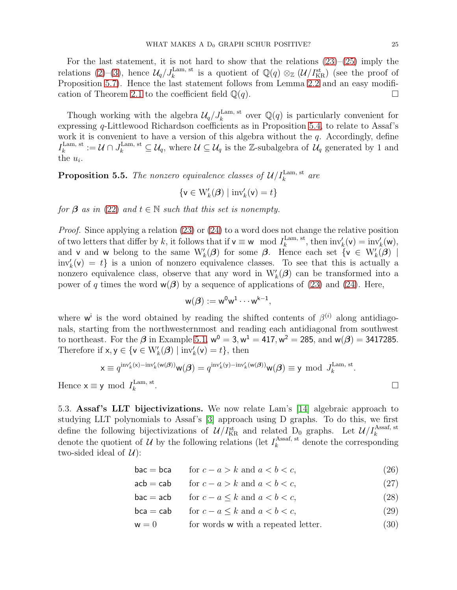For the last statement, it is not hard to show that the relations  $(23)$ – $(25)$  imply the relations [\(2\)](#page-2-3)–[\(3\)](#page-2-0), hence  $\mathcal{U}_q/J_k^{\text{Lam, st}}$  is a quotient of  $\mathbb{Q}(q) \otimes_{\mathbb{Z}} (\mathcal{U}/I_{\text{KR}}^{\text{st}})$  (see the proof of Proposition [5.7\)](#page-25-0). Hence the last statement follows from Lemma [2.2](#page-6-0) and an easy modifi-cation of Theorem [2.1](#page-6-1) to the coefficient field  $\mathbb{Q}(q)$ .

Though working with the algebra  $\mathcal{U}_q / J_k^{\text{Lam, st}}$  over  $\mathbb{Q}(q)$  is particularly convenient for expressing q-Littlewood Richardson coefficients as in Proposition [5.4,](#page-23-3) to relate to Assaf's work it is convenient to have a version of this algebra without the  $q$ . Accordingly, define  $I_k^{\rm Lam,~st}$ <sup>Lam, st</sup> :=  $\mathcal{U} \cap J_k^{\text{Lam, st}} \subseteq \mathcal{U}_q$ , where  $\mathcal{U} \subseteq \mathcal{U}_q$  is the Z-subalgebra of  $\mathcal{U}_q$  generated by 1 and the  $u_i$ .

<span id="page-24-5"></span>**Proposition 5.5.** The nonzero equivalence classes of  $\mathcal{U}/I_k^{\text{Lam, st}}$  are

 $\{{\bf v}\in{\rm W}'_k(\pmb\beta)\mid\operatorname{inv}'_k({\bf v})=t\}$ 

for  $\beta$  as in [\(22\)](#page-22-0) and  $t \in \mathbb{N}$  such that this set is nonempty.

Proof. Since applying a relation [\(23\)](#page-23-0) or [\(24\)](#page-23-1) to a word does not change the relative position of two letters that differ by k, it follows that if  $v \equiv w \mod I_k^{\text{Lam, st}}$ <sup>Lam, st</sup>, then  $\text{inv}'_k(\mathsf{v}) = \text{inv}'_k(\mathsf{w}),$ and v and w belong to the same  $W'_{k}(\boldsymbol{\beta})$  for some  $\boldsymbol{\beta}$ . Hence each set  $\{v \in W'_{k}(\boldsymbol{\beta}) \mid$  $inv'_k(v) = t$  is a union of nonzero equivalence classes. To see that this is actually a nonzero equivalence class, observe that any word in  $W'_{k}(\beta)$  can be transformed into a power of q times the word  $w(\beta)$  by a sequence of applications of [\(23\)](#page-23-0) and [\(24\)](#page-23-1). Here,

$$
w(\boldsymbol{\beta}) := w^0 w^1 \cdots w^{k-1},
$$

where w<sup>i</sup> is the word obtained by reading the shifted contents of  $\beta^{(i)}$  along antidiagonals, starting from the northwesternmost and reading each antidiagonal from southwest to northeast. For the  $\beta$  in Example [5.1,](#page-22-2)  $w^0 = 3$ ,  $w^1 = 417$ ,  $w^2 = 285$ , and  $w(\beta) = 3417285$ . Therefore if  $x, y \in \{v \in W'_{k}(\mathcal{G}) \mid inv'_{k}(v) = t\}$ , then

$$
\mathsf{x} \equiv q^{\mathrm{inv}'_k(\mathsf{x}) - \mathrm{inv}'_k(\mathsf{w}(\mathbf{\beta}))} \mathsf{w}(\mathbf{\beta}) = q^{\mathrm{inv}'_k(\mathsf{y}) - \mathrm{inv}'_k(\mathsf{w}(\mathbf{\beta}))} \mathsf{w}(\mathbf{\beta}) \equiv \mathsf{y} \mod J_k^{\mathrm{Lam}, \mathrm{st}}.
$$
  

$$
\mathsf{y} \mod I_k^{\mathrm{Lam}, \mathrm{st}}.
$$

<span id="page-24-0"></span>Hence  $x \equiv y \mod I_k^{\text{Lam, st}}$ k

5.3. Assaf 's LLT bijectivizations. We now relate Lam's [\[14\]](#page-45-6) algebraic approach to studying LLT polynomials to Assaf's [\[3\]](#page-45-1) approach using D graphs. To do this, we first define the following bijectivizations of  $\mathcal{U}/I_{\text{KR}}^{\text{st}}$  and related  $D_0$  graphs. Let  $\mathcal{U}/I_{k}^{\text{Assaf, st}}$ denote the quotient of U by the following relations (let  $I_k^{\text{Assaf, st}}$  $k_k^{\text{Assar, st}}$  denote the corresponding two-sided ideal of  $\mathcal{U}$ :

 $\mathsf{bac} = \mathsf{bca}$  for  $c - a > k$  and  $a < b < c$ , (26)

<span id="page-24-4"></span><span id="page-24-3"></span><span id="page-24-2"></span><span id="page-24-1"></span>
$$
acb = cab \qquad \text{for } c - a > k \text{ and } a < b < c,\tag{27}
$$

 $\mathsf{bac} = \mathsf{acb}$  for  $c - a \leq k$  and  $a < b < c$ , (28)

$$
\text{bca} = \text{cab} \qquad \text{for } c - a \le k \text{ and } a < b < c,\tag{29}
$$

$$
\mathsf{w} = 0 \qquad \qquad \text{for words } \mathsf{w} \text{ with a repeated letter.} \tag{30}
$$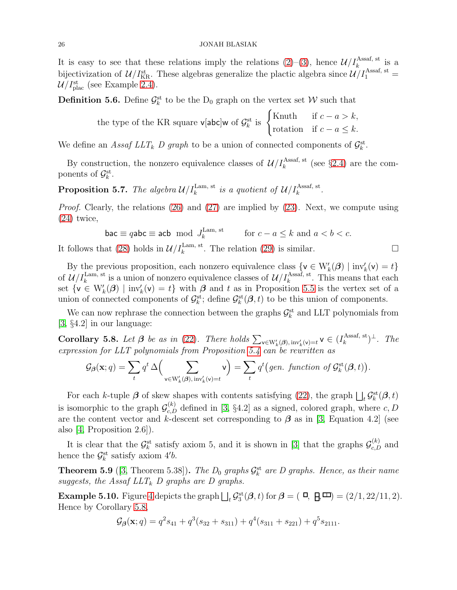It is easy to see that these relations imply the relations  $(2)-(3)$  $(2)-(3)$ , hence  $\mathcal{U}/I_k^{\text{Assaf, st}}$  is a bijectivization of  $\mathcal{U}/I_{\text{KR}}^{\text{st}}$ . These algebras generalize the plactic algebra since  $\mathcal{U}/I_1^{\text{Assaf, st}}$  =  $\mathcal{U}/I_{\text{plac}}^{\text{st}}$  (see Example [2.4\)](#page-7-0).

<span id="page-25-2"></span>**Definition 5.6.** Define  $\mathcal{G}_k^{\text{st}}$  to be the D<sub>0</sub> graph on the vertex set W such that

the type of the KR square 
$$
\mathbf{v}[\text{abc}] \mathbf{w}
$$
 of  $\mathcal{G}_k^{\text{st}}$  is  $\begin{cases} \text{Knuth} & \text{if } c - a > k, \\ \text{rotation} & \text{if } c - a \leq k. \end{cases}$ 

We define an Assaf LLT<sub>k</sub> D graph to be a union of connected components of  $\mathcal{G}_k^{\text{st}}$ .

By construction, the nonzero equivalence classes of  $\mathcal{U}/I_k^{\text{Assaf, st}}$  (see §[2.4\)](#page-7-1) are the components of  $\mathcal{G}_k^{\text{st}}$ .

<span id="page-25-0"></span>**Proposition 5.7.** The algebra  $\mathcal{U}/I_k^{\text{Lam, st}}$  is a quotient of  $\mathcal{U}/I_k^{\text{Assaf, st}}$ .

Proof. Clearly, the relations [\(26\)](#page-24-1) and [\(27\)](#page-24-2) are implied by [\(23\)](#page-23-0). Next, we compute using [\(24\)](#page-23-1) twice,

$$
\mathsf{bac} \equiv q \mathsf{abc} \equiv \mathsf{acb} \mod J_k^{\text{Lam, st}} \qquad \text{for } c - a \le k \text{ and } a < b < c.
$$
\nIt follows that (28) holds in  $\mathcal{U}/I_k^{\text{Lam, st}}$ . The relation (29) is similar.

By the previous proposition, each nonzero equivalence class  $\{v \in W'_{k}(\mathcal{B}) \mid inv'_{k}(v) = t\}$ of  $\mathcal{U}/I_k^{\text{Lam, st}}$  is a union of nonzero equivalence classes of  $\mathcal{U}/I_k^{\text{Assaf, st}}$ . This means that each set  $\{v \in W'_{k}(\boldsymbol{\beta}) \mid inv'_{k}(v) = t\}$  with  $\boldsymbol{\beta}$  and t as in Proposition [5.5](#page-24-5) is the vertex set of a union of connected components of  $\mathcal{G}_k^{\text{st}}$ ; define  $\mathcal{G}_k^{\text{st}}(\mathcal{B},t)$  to be this union of components.

We can now rephrase the connection between the graphs  $\mathcal{G}_k^{\text{st}}$  and LLT polynomials from [\[3,](#page-45-1) §4.2] in our language:

<span id="page-25-1"></span>**Corollary 5.8.** Let  $\boldsymbol{\beta}$  be as in [\(22\)](#page-22-0). There holds  $\sum_{v \in W'_k(\boldsymbol{\beta}), inv'_k(v)=t} v \in (I_k^{\text{Assaf, st}})$  $\binom{k}{k}^{\text{Assaf, st}}$ . The expression for LLT polynomials from Proposition [5.4](#page-23-3) can be rewritten as

$$
\mathcal{G}_{\beta}(\mathbf{x};q) = \sum_{t} q^{t} \Delta \Big( \sum_{\mathbf{v} \in \mathcal{W}'_{k}(\beta), \text{inv}'_{k}(\mathbf{v}) = t} \mathbf{v} \Big) = \sum_{t} q^{t} (gen. \ function \ of \ \mathcal{G}^{\text{st}}_{k}(\beta, t)).
$$

For each k-tuple  $\beta$  of skew shapes with contents satisfying [\(22\)](#page-22-0), the graph  $\prod_t \mathcal{G}_k^{\text{st}}(\beta, t)$ is isomorphic to the graph  $\mathcal{G}_{c,D}^{(k)}$  defined in [\[3,](#page-45-1) §4.2] as a signed, colored graph, where  $c, D$ are the content vector and k-descent set corresponding to  $\beta$  as in [\[3,](#page-45-1) Equation 4.2] (see also [\[4,](#page-45-3) Proposition 2.6]).

It is clear that the  $\mathcal{G}_k^{\text{st}}$  satisfy axiom 5, and it is shown in [\[3\]](#page-45-1) that the graphs  $\mathcal{G}_{c,D}^{(k)}$  and hence the  $\mathcal{G}_k^{\text{st}}$  satisfy axiom 4'b.

**Theorem 5.9** ([\[3,](#page-45-1) Theorem 5.38]). The  $D_0$  graphs  $\mathcal{G}_k^{\text{st}}$  are D graphs. Hence, as their name suggests, the Assaf  $LLT_k$  D graphs are D graphs.

Example 5.10. Figure [4](#page-26-1) depicts the graph  $\bigsqcup_t \mathcal{G}_3^{\text{st}}(\mathcal{B}, t)$  for  $\mathcal{B} = (\Box, \Box, \Box) = (2/1, 22/11, 2)$ . Hence by Corollary [5.8,](#page-25-1)

$$
\mathcal{G}_{\beta}(\mathbf{x};q) = q^2 s_{41} + q^3 (s_{32} + s_{311}) + q^4 (s_{311} + s_{221}) + q^5 s_{2111}.
$$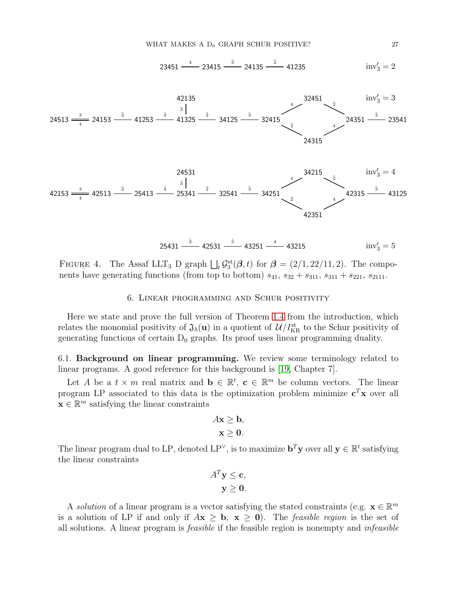$$
23451 \frac{4}{\cdot \cdot \cdot} 23415 \frac{3}{\cdot \cdot \cdot} 24135 \frac{2}{\cdot \cdot \cdot} 41235 \qquad \text{inv}'_3 = 2
$$

<span id="page-26-1"></span>





<span id="page-26-0"></span>FIGURE 4. The Assaf LLT<sub>3</sub> D graph  $\iint_t \mathcal{G}_3^{\text{st}}(\mathcal{B}, t)$  for  $\mathcal{B} = (2/1, 22/11, 2)$ . The components have generating functions (from top to bottom)  $s_{41}$ ,  $s_{32} + s_{311}$ ,  $s_{311} + s_{221}$ ,  $s_{2111}$ .

# 6. Linear programming and Schur positivity

Here we state and prove the full version of Theorem [1.4](#page-3-0) from the introduction, which relates the monomial positivity of  $\mathfrak{J}_{\lambda}(\mathbf{u})$  in a quotient of  $\mathcal{U}/I_{\text{KR}}^{\text{st}}$  to the Schur positivity of generating functions of certain  $D_0$  graphs. Its proof uses linear programming duality.

6.1. Background on linear programming. We review some terminology related to linear programs. A good reference for this background is [\[19,](#page-45-17) Chapter 7].

Let A be a  $t \times m$  real matrix and  $\mathbf{b} \in \mathbb{R}^t$ ,  $\mathbf{c} \in \mathbb{R}^m$  be column vectors. The linear program LP associated to this data is the optimization problem minimize  $c^T x$  over all  $\mathbf{x} \in \mathbb{R}^m$  satisfying the linear constraints

$$
Ax \geq b,
$$
  

$$
x \geq 0.
$$

The linear program dual to LP, denoted LP<sup> $\vee$ </sup>, is to maximize  $\mathbf{b}^T \mathbf{y}$  over all  $\mathbf{y} \in \mathbb{R}^t$  satisfying the linear constraints

$$
A^T \mathbf{y} \le \mathbf{c},
$$
  

$$
\mathbf{y} \ge \mathbf{0}.
$$

A solution of a linear program is a vector satisfying the stated constraints (e.g.  $\mathbf{x} \in \mathbb{R}^m$ is a solution of LP if and only if  $A\mathbf{x} \geq \mathbf{b}$ ,  $\mathbf{x} \geq \mathbf{0}$ . The *feasible region* is the set of all solutions. A linear program is feasible if the feasible region is nonempty and infeasible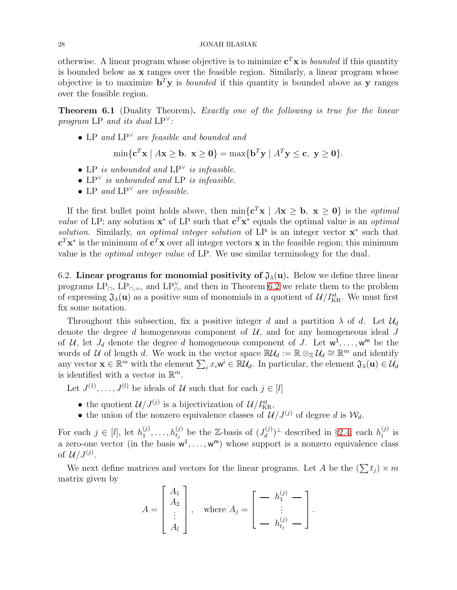otherwise. A linear program whose objective is to minimize  $c^T x$  is *bounded* if this quantity is bounded below as x ranges over the feasible region. Similarly, a linear program whose objective is to maximize  $\mathbf{b}^T \mathbf{y}$  is *bounded* if this quantity is bounded above as y ranges over the feasible region.

**Theorem 6.1** (Duality Theorem). Exactly one of the following is true for the linear program LP and its dual  $LP^{\vee}$ :

• LP and LP<sup>∨</sup> are feasible and bounded and

$$
\min\{\mathbf{c}^T\mathbf{x} \mid A\mathbf{x} \ge \mathbf{b}, \ \mathbf{x} \ge \mathbf{0}\} = \max\{\mathbf{b}^T\mathbf{y} \mid A^T\mathbf{y} \le \mathbf{c}, \ \mathbf{y} \ge \mathbf{0}\}.
$$

- LP is unbounded and  $LP^{\vee}$  is infeasible.
- $LP^{\vee}$  is unbounded and LP is infeasible.
- LP and  $LP^{\vee}$  are infeasible.

If the first bullet point holds above, then  $\min\{c^T x \mid Ax \geq b, x \geq 0\}$  is the *optimal value* of LP; any solution  $\mathbf{x}^*$  of LP such that  $\mathbf{c}^T \mathbf{x}^*$  equals the optimal value is an *optimal* solution. Similarly, an optimal integer solution of LP is an integer vector  $x^*$  such that  ${\bf c}^T {\bf x}^*$  is the minimum of  ${\bf c}^T {\bf x}$  over all integer vectors  ${\bf x}$  in the feasible region; this minimum value is the optimal integer value of LP. We use similar terminology for the dual.

6.2. Linear programs for monomial positivity of  $\mathfrak{J}_{\lambda}(\mathbf{u})$ . Below we define three linear programs  $LP_{\cap}$ ,  $LP_{\cap,\equiv}$ , and  $LP_{\cap}^{\vee}$ , and then in Theorem [6.2](#page-28-0) we relate them to the problem of expressing  $\mathfrak{J}_{\lambda}(\mathbf{u})$  as a positive sum of monomials in a quotient of  $\mathcal{U}/I_{\text{KR}}^{\text{st}}$ . We must first fix some notation.

Throughout this subsection, fix a positive integer d and a partition  $\lambda$  of d. Let  $\mathcal{U}_d$ denote the degree d homogeneous component of  $U$ , and for any homogeneous ideal J of U, let  $J_d$  denote the degree d homogeneous component of J. Let  $w^1, \ldots, w^m$  be the words of U of length d. We work in the vector space  $\mathbb{R} \mathcal{U}_d := \mathbb{R} \otimes_{\mathbb{Z}} \mathcal{U}_d \cong \mathbb{R}^m$  and identify any vector  $\mathbf{x} \in \mathbb{R}^m$  with the element  $\sum_i x_i \mathbf{w}^i \in \mathbb{R} \mathcal{U}_d$ . In particular, the element  $\mathfrak{J}_\lambda(\mathbf{u}) \in \mathcal{U}_d$ is identified with a vector in  $\mathbb{R}^m$ .

Let  $J^{(1)}, \ldots, J^{(l)}$  be ideals of U such that for each  $j \in [l]$ 

- the quotient  $\mathcal{U}/J^{(j)}$  is a bijectivization of  $\mathcal{U}/I_{\text{KR}}^{\text{st}}$ ,
- the union of the nonzero equivalence classes of  $\mathcal{U}/J^{(j)}$  of degree d is  $\mathcal{W}_d$ .

For each  $j \in [l]$ , let  $h_1^{(j)}$  $h_1^{(j)}, \ldots, h_{t_j}^{(j)}$  be the Z-basis of  $(J_d^{(j)})$  $\binom{d}{d}$ <sup> $\perp$ </sup> described in §[2.4;](#page-7-1) each  $h_i^{(j)}$  $i^{(J)}$  is a zero-one vector (in the basis  $w^1, \ldots, w^m$ ) whose support is a nonzero equivalence class of  $\mathcal{U}/J^{(j)}$ .

We next define matrices and vectors for the linear programs. Let A be the  $(\sum t_j) \times m$ matrix given by  $\blacksquare$ 

$$
A = \begin{bmatrix} A_1 \\ A_2 \\ \vdots \\ A_l \end{bmatrix}, \quad \text{where } A_j = \begin{bmatrix} - & h_1^{(j)} - \\ \vdots \\ - & h_{t_j}^{(j)} - \end{bmatrix}.
$$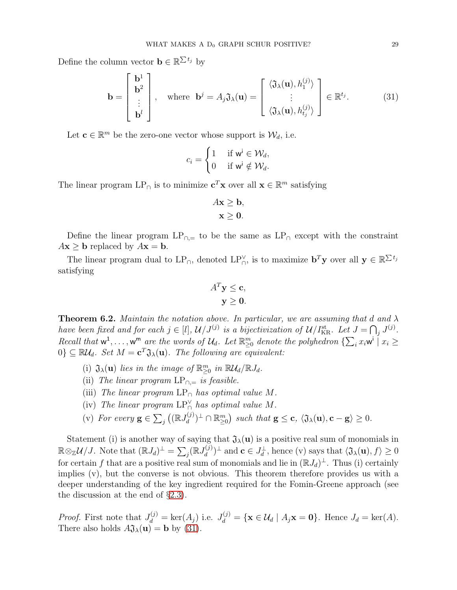Define the column vector  $\mathbf{b} \in \mathbb{R}^{\sum t_j}$  by

$$
\mathbf{b} = \begin{bmatrix} \mathbf{b}^{1} \\ \mathbf{b}^{2} \\ \vdots \\ \mathbf{b}^{l} \end{bmatrix}, \quad \text{where } \mathbf{b}^{j} = A_{j} \mathfrak{J}_{\lambda}(\mathbf{u}) = \begin{bmatrix} \langle \mathfrak{J}_{\lambda}(\mathbf{u}), h_{1}^{(j)} \rangle \\ \vdots \\ \langle \mathfrak{J}_{\lambda}(\mathbf{u}), h_{t_{j}}^{(j)} \rangle \end{bmatrix} \in \mathbb{R}^{t_{j}}.
$$
 (31)

Let  $\mathbf{c} \in \mathbb{R}^m$  be the zero-one vector whose support is  $\mathcal{W}_d$ , i.e.

$$
c_i = \begin{cases} 1 & \text{ if } \mathsf{w}^\mathsf{i} \in \mathcal{W}_d, \\ 0 & \text{ if } \mathsf{w}^\mathsf{i} \notin \mathcal{W}_d. \end{cases}
$$

The linear program  $LP_{\cap}$  is to minimize  $\mathbf{c}^T \mathbf{x}$  over all  $\mathbf{x} \in \mathbb{R}^m$  satisfying

<span id="page-28-1"></span>
$$
Ax \geq b,
$$
  

$$
x \geq 0.
$$

Define the linear program  $LP_{\cap,\equiv}$  to be the same as  $LP_{\cap}$  except with the constraint  $A\mathbf{x} \geq \mathbf{b}$  replaced by  $A\mathbf{x} = \mathbf{b}$ .

The linear program dual to  $LP_{\cap}$ , denoted  $LP_{\cap}^{\vee}$ , is to maximize  $\mathbf{b}^T \mathbf{y}$  over all  $\mathbf{y} \in \mathbb{R}^{\sum t_j}$ satisfying

$$
A^T \mathbf{y} \le \mathbf{c},
$$
  

$$
\mathbf{y} \ge \mathbf{0}.
$$

<span id="page-28-0"></span>**Theorem 6.2.** Maintain the notation above. In particular, we are assuming that d and  $\lambda$ have been fixed and for each  $j \in [l], U/J^{(j)}$  is a bijectivization of  $U/I_{\text{KR}}^{\text{st}}$ . Let  $J = \bigcap_j J^{(j)}$ . Recall that  $w^1, \ldots, w^m$  are the words of  $\mathcal{U}_d$ . Let  $\mathbb{R}^m_{\geq 0}$  denote the polyhedron  $\{\sum_i x_i w^i \mid x_i \geq 0\}$  $[0] \subseteq \mathbb{R} \mathcal{U}_d$ . Set  $M = \mathbf{c}^T \mathfrak{J}_\lambda(\mathbf{u})$ . The following are equivalent:

- (i)  $\mathfrak{J}_{\lambda}(\mathbf{u})$  lies in the image of  $\mathbb{R}_{\geq 0}^m$  in  $\mathbb{R}\mathcal{U}_d/\mathbb{R}J_d$ .
- (ii) The linear program  $LP_{\cap}$  is feasible.
- (iii) The linear program  $LP_{\cap}$  has optimal value M.
- (iv) The linear program  $LP_{\cap}^{\vee}$  has optimal value M.
- (v) For every  $\mathbf{g} \in \sum_j \left( \mathbb{R} J_d^{(j)} \right)$  $\mathcal{L}_d^{(j)})^{\perp} \cap \mathbb{R}_{\geq 0}^m$  such that  $\mathbf{g} \leq \mathbf{c}, \ \langle \mathfrak{J}_{\lambda}(\mathbf{u}), \mathbf{c} - \mathbf{g} \rangle \geq 0.$

Statement (i) is another way of saying that  $\mathfrak{J}_{\lambda}(\mathbf{u})$  is a positive real sum of monomials in  $\mathbb{R} \otimes_{\mathbb{Z}} \mathcal{U}/J$ . Note that  $(\mathbb{R} J_d)^{\perp} = \sum_j (\mathbb{R} J_d^{(j)})$  $(d_d^{(j)})^{\perp}$  and  $\mathbf{c} \in J_d^{\perp}$ , hence (v) says that  $\langle \mathfrak{J}_{\lambda}(\mathbf{u}), f \rangle \geq 0$ for certain f that are a positive real sum of monomials and lie in  $(\mathbb{R}J_d)^{\perp}$ . Thus (i) certainly implies (v), but the converse is not obvious. This theorem therefore provides us with a deeper understanding of the key ingredient required for the Fomin-Greene approach (see the discussion at the end of  $\S 2.3$ ).

*Proof.* First note that  $J_d^{(j)} = \ker(A_j)$  i.e.  $J_d^{(j)} = {\mathbf{x} \in \mathcal{U}_d | A_j \mathbf{x} = \mathbf{0}}$ . Hence  $J_d = \ker(A)$ . There also holds  $A\mathfrak{J}_{\lambda}(\mathbf{u}) = \mathbf{b}$  by [\(31\)](#page-28-1).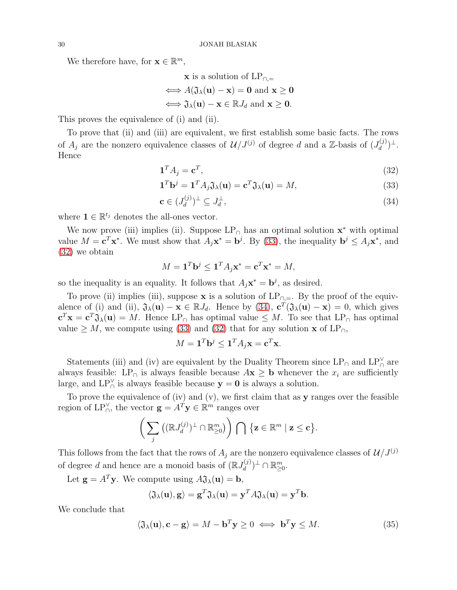We therefore have, for  $\mathbf{x} \in \mathbb{R}^m$ ,

$$
\mathbf{x} \text{ is a solution of } LP_{\cap,=}
$$
\n
$$
\iff A(\mathfrak{J}_{\lambda}(\mathbf{u}) - \mathbf{x}) = \mathbf{0} \text{ and } \mathbf{x} \ge \mathbf{0}
$$
\n
$$
\iff \mathfrak{J}_{\lambda}(\mathbf{u}) - \mathbf{x} \in \mathbb{R} J_d \text{ and } \mathbf{x} \ge \mathbf{0}.
$$

This proves the equivalence of (i) and (ii).

To prove that (ii) and (iii) are equivalent, we first establish some basic facts. The rows of  $A_j$  are the nonzero equivalence classes of  $\mathcal{U}/J^{(j)}$  of degree d and a Z-basis of  $(J_d^{(j)})$  $\frac{d^{(j)})^{\perp}}{d}$ . Hence

<span id="page-29-1"></span>
$$
\mathbf{1}^T A_j = \mathbf{c}^T,\tag{32}
$$

<span id="page-29-0"></span>
$$
\mathbf{1}^T \mathbf{b}^j = \mathbf{1}^T A_j \mathfrak{J}_\lambda(\mathbf{u}) = \mathbf{c}^T \mathfrak{J}_\lambda(\mathbf{u}) = M,\tag{33}
$$

<span id="page-29-2"></span>
$$
\mathbf{c} \in (J_d^{(j)})^\perp \subseteq J_d^\perp,\tag{34}
$$

where  $\mathbf{1} \in \mathbb{R}^{t_j}$  denotes the all-ones vector.

We now prove (iii) implies (ii). Suppose  $LP_{\cap}$  has an optimal solution  $\mathbf{x}^*$  with optimal value  $M = \mathbf{c}^T \mathbf{x}^*$ . We must show that  $A_j \mathbf{x}^* = \mathbf{b}^j$ . By [\(33\)](#page-29-0), the inequality  $\mathbf{b}^j \leq A_j \mathbf{x}^*$ , and [\(32\)](#page-29-1) we obtain

$$
M = \mathbf{1}^T \mathbf{b}^j \le \mathbf{1}^T A_j \mathbf{x}^* = \mathbf{c}^T \mathbf{x}^* = M,
$$

so the inequality is an equality. It follows that  $A_j \mathbf{x}^* = \mathbf{b}^j$ , as desired.

To prove (ii) implies (iii), suppose x is a solution of  $LP_{\cap,=}$ . By the proof of the equivalence of (i) and (ii),  $\mathfrak{J}_{\lambda}(\mathbf{u}) - \mathbf{x} \in \mathbb{R} J_d$ . Hence by [\(34\)](#page-29-2),  $\mathbf{c}^T (\mathfrak{J}_{\lambda}(\mathbf{u}) - \mathbf{x}) = 0$ , which gives  ${\bf c}^T{\bf x}={\bf c}^T\mathfrak{J}_\lambda({\bf u})=M.$  Hence  $LP_\cap$  has optimal value  $\leq M.$  To see that  $LP_\cap$  has optimal value  $\geq M$ , we compute using [\(33\)](#page-29-0) and [\(32\)](#page-29-1) that for any solution **x** of LP<sub>∩</sub>,

$$
M = \mathbf{1}^T \mathbf{b}^j \le \mathbf{1}^T A_j \mathbf{x} = \mathbf{c}^T \mathbf{x}.
$$

Statements (iii) and (iv) are equivalent by the Duality Theorem since  $LP_{\cap}$  and  $LP_{\cap}^{\vee}$  are always feasible: LP<sub>∩</sub> is always feasible because  $A\mathbf{x} \geq \mathbf{b}$  whenever the  $x_i$  are sufficiently large, and  $LP_{\cap}^{\vee}$  is always feasible because  $y = 0$  is always a solution.

To prove the equivalence of (iv) and (v), we first claim that as  $y$  ranges over the feasible region of LP $_{\cap}^{\vee}$ , the vector  $\mathbf{g} = A^T \mathbf{y} \in \mathbb{R}^m$  ranges over

$$
\bigg(\sum_j \big((\mathbb{R} J_d^{(j)})^\perp\cap\mathbb{R}^m_{\geq 0}\big)\bigg)\ \bigcap\ \big\{\mathbf{z}\in\mathbb{R}^m\mid\mathbf{z}\leq\mathbf{c}\big\}.
$$

This follows from the fact that the rows of  $A_j$  are the nonzero equivalence classes of  $\mathcal{U}/J^{(j)}$ of degree d and hence are a monoid basis of  $(\mathbb{R} J_d^{(j)})$  $\mathbb{R}^{(J)}_d$ <sup> $\perp$ </sup>  $\cap$   $\mathbb{R}^m_{\geq 0}$ .

Let  $\mathbf{g} = A^T \mathbf{y}$ . We compute using  $A \mathfrak{J}_\lambda(\mathbf{u}) = \mathbf{b}$ ,

<span id="page-29-3"></span>
$$
\langle \mathfrak{J}_{\lambda}(\mathbf{u}), \mathbf{g} \rangle = \mathbf{g}^T \mathfrak{J}_{\lambda}(\mathbf{u}) = \mathbf{y}^T A \mathfrak{J}_{\lambda}(\mathbf{u}) = \mathbf{y}^T \mathbf{b}.
$$

We conclude that

$$
\langle \mathfrak{J}_{\lambda}(\mathbf{u}), \mathbf{c} - \mathbf{g} \rangle = M - \mathbf{b}^{T} \mathbf{y} \ge 0 \iff \mathbf{b}^{T} \mathbf{y} \le M. \tag{35}
$$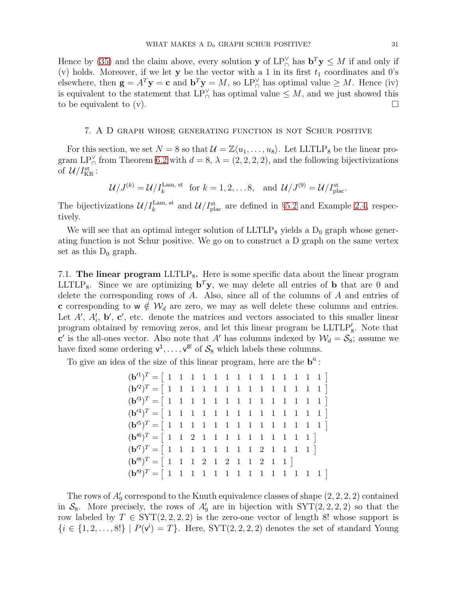Hence by [\(35\)](#page-29-3) and the claim above, every solution **y** of  $LP_{\bigcap}^{\vee}$  has  $\mathbf{b}^T \mathbf{y} \leq M$  if and only if (v) holds. Moreover, if we let y be the vector with a 1 in its first  $t_1$  coordinates and 0's elsewhere, then  $\mathbf{g} = A^T \mathbf{y} = \mathbf{c}$  and  $\mathbf{b}^T \mathbf{y} = M$ , so  $\text{LP}_{\cap}^{\vee}$  has optimal value  $\geq M$ . Hence (iv) is equivalent to the statement that  $LP_{\cap}^{\vee}$  has optimal value  $\leq M$ , and we just showed this to be equivalent to (v).

## <span id="page-30-1"></span>7. A D graph whose generating function is not Schur positive

For this section, we set  $N = 8$  so that  $\mathcal{U} = \mathbb{Z}\langle u_1, \ldots, u_8 \rangle$ . Let LLTLP<sub>8</sub> be the linear program LP $_{\cap}^{\vee}$  from Theorem [6.2](#page-28-0) with  $d = 8$ ,  $\lambda = (2, 2, 2, 2)$ , and the following bijectivizations of  $\mathcal{U}/I_{\rm KR}^{\rm st}$  :

$$
\mathcal{U}/J^{(k)} = \mathcal{U}/I_k^{\text{Lam, st}} \text{ for } k = 1, 2, \dots 8, \text{ and } \mathcal{U}/J^{(9)} = \mathcal{U}/I_{\text{plac}}^{\text{st}}.
$$

The bijectivizations  $\mathcal{U}/I_k^{\text{Lam, st}}$  and  $\mathcal{U}/I_{\text{plac}}^{\text{st}}$  are defined in §[5.2](#page-23-4) and Example [2.4,](#page-7-0) respectively.

We will see that an optimal integer solution of  $LLTLP_8$  yields a  $D_0$  graph whose generating function is not Schur positive. We go on to construct a D graph on the same vertex set as this  $D_0$  graph.

<span id="page-30-0"></span>7.1. The linear program  $LLTLP_8$ . Here is some specific data about the linear program LLTLP<sub>8</sub>. Since we are optimizing  $\mathbf{b}^T \mathbf{y}$ , we may delete all entries of **b** that are 0 and delete the corresponding rows of A. Also, since all of the columns of A and entries of c corresponding to  $w \notin W_d$  are zero, we may as well delete these columns and entries. Let  $A'$ ,  $A'_{i}$ ,  $\mathbf{b}'$ ,  $\mathbf{c}'$ , etc. denote the matrices and vectors associated to this smaller linear program obtained by removing zeros, and let this linear program be  $LLTLP'_{8}$ . Note that c' is the all-ones vector. Also note that A' has columns indexed by  $\mathcal{W}_d = \mathcal{S}_8$ ; assume we have fixed some ordering  $v^1, \ldots, v^{8!}$  of  $S_8$  which labels these columns.

To give an idea of the size of this linear program, here are the  $\mathbf{b}^i$ :

| $(\mathbf{b}'^6)^T = [ 1 \ 1 \ 2 \ 1 \ 1 \ 1 \ 1 \ 1 \ 1 \ 1 \ 1 \ 1 \ 1 \ 1 ]$ |  |  |  |  |  |  |  |
|---------------------------------------------------------------------------------|--|--|--|--|--|--|--|
| $(\mathbf{b}'^7)^T = [ 1 \ 1 \ 1 \ 1 \ 1 \ 1 \ 1 \ 1 \ 2 \ 1 \ 1 \ 1 \ 1 ]$     |  |  |  |  |  |  |  |
| $(\mathbf{b}'^8)^T = [ 1 \ 1 \ 1 \ 2 \ 1 \ 2 \ 1 \ 1 \ 2 \ 1 \ 1 ]$             |  |  |  |  |  |  |  |
|                                                                                 |  |  |  |  |  |  |  |

The rows of  $A'_{9}$  correspond to the Knuth equivalence classes of shape  $(2, 2, 2, 2)$  contained in  $S_8$ . More precisely, the rows of  $A'_9$  are in bijection with  $SYT(2, 2, 2, 2)$  so that the row labeled by  $T \in \text{SYT}(2, 2, 2, 2)$  is the zero-one vector of length 8! whose support is  $\{i \in \{1, 2, \ldots, 8!\} \mid P(v^i) = T\}.$  Here, SYT $(2, 2, 2, 2)$  denotes the set of standard Young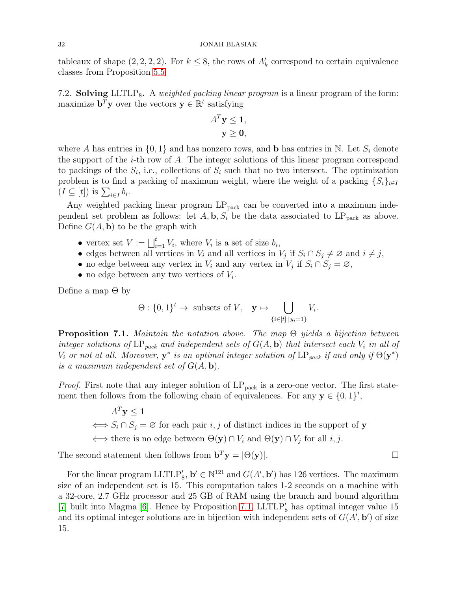## 32 JONAH BLASIAK

tableaux of shape  $(2, 2, 2, 2)$ . For  $k \leq 8$ , the rows of  $A'_{k}$  correspond to certain equivalence classes from Proposition [5.5.](#page-24-5)

7.2. Solving LLTLP<sub>8</sub>. A *weighted packing linear program* is a linear program of the form: maximize  $\mathbf{b}^T \mathbf{y}$  over the vectors  $\mathbf{y} \in \mathbb{R}^t$  satisfying

$$
A^T \mathbf{y} \le \mathbf{1},
$$
  

$$
\mathbf{y} \ge \mathbf{0},
$$

where A has entries in  $\{0,1\}$  and has nonzero rows, and **b** has entries in N. Let  $S_i$  denote the support of the *i*-th row of A. The integer solutions of this linear program correspond to packings of the  $S_i$ , i.e., collections of  $S_i$  such that no two intersect. The optimization problem is to find a packing of maximum weight, where the weight of a packing  $\{S_i\}_{i\in I}$  $(I \subseteq [t])$  is  $\sum_{i \in I} b_i$ .

Any weighted packing linear program  $LP_{pack}$  can be converted into a maximum independent set problem as follows: let  $A$ ,  $\mathbf{b}$ ,  $S_i$  be the data associated to  $LP_{pack}$  as above. Define  $G(A, \mathbf{b})$  to be the graph with

- vertex set  $V := \bigsqcup_{i=1}^t V_i$ , where  $V_i$  is a set of size  $b_i$ ,
- edges between all vertices in  $V_i$  and all vertices in  $V_j$  if  $S_i \cap S_j \neq \emptyset$  and  $i \neq j$ ,
- no edge between any vertex in  $V_i$  and any vertex in  $V_j$  if  $S_i \cap S_j = \emptyset$ ,
- no edge between any two vertices of  $V_i$ .

Define a map  $\Theta$  by

$$
\Theta: \{0,1\}^t \to \text{ subsets of } V, \quad \mathbf{y} \mapsto \bigcup_{\{i \in [t] \mid y_i = 1\}} V_i.
$$

<span id="page-31-0"></span>**Proposition 7.1.** Maintain the notation above. The map  $\Theta$  yields a bijection between integer solutions of LP<sub>pack</sub> and independent sets of  $G(A, \mathbf{b})$  that intersect each  $V_i$  in all of  $V_i$  or not at all. Moreover,  $y^*$  is an optimal integer solution of  $LP_{pack}$  if and only if  $\Theta(y^*)$ is a maximum independent set of  $G(A, \mathbf{b})$ .

*Proof.* First note that any integer solution of  $LP_{pack}$  is a zero-one vector. The first statement then follows from the following chain of equivalences. For any  $y \in \{0,1\}^t$ ,

$$
A^T \mathbf{y} \le \mathbf{1}
$$
  
\n
$$
\iff S_i \cap S_j = \varnothing \text{ for each pair } i, j \text{ of distinct indices in the support of } \mathbf{y}
$$
  
\n
$$
\iff \text{there is no edge between } \Theta(\mathbf{y}) \cap V_i \text{ and } \Theta(\mathbf{y}) \cap V_j \text{ for all } i, j.
$$

The second statement then follows from  $\mathbf{b}^T \mathbf{y} = |\Theta(\mathbf{y})|$ .

For the linear program LLTLP'<sub>8</sub>,  $\mathbf{b}' \in \mathbb{N}^{121}$  and  $G(A', \mathbf{b}')$  has 126 vertices. The maximum size of an independent set is 15. This computation takes 1-2 seconds on a machine with a 32-core, 2.7 GHz processor and 25 GB of RAM using the branch and bound algorithm [\[7\]](#page-45-18) built into Magma [\[6\]](#page-45-19). Hence by Proposition [7.1,](#page-31-0) LLTLP′ <sup>8</sup> has optimal integer value 15 and its optimal integer solutions are in bijection with independent sets of  $G(A, \mathbf{b}')$  of size 15.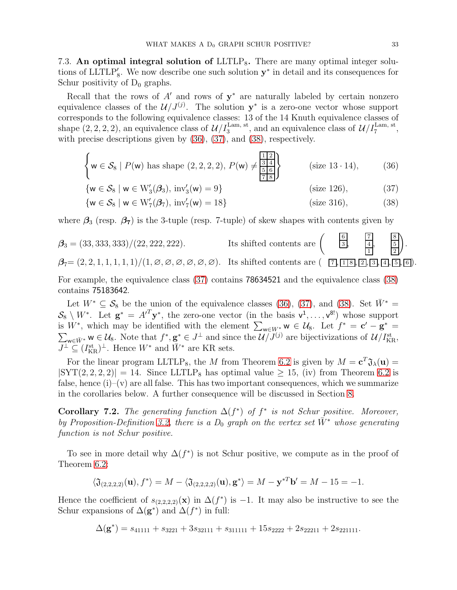<span id="page-32-0"></span>7.3. An optimal integral solution of  $LLTLP_8$ . There are many optimal integer solutions of LLTLP'<sub>8</sub>. We now describe one such solution  $y^*$  in detail and its consequences for Schur positivity of  $D_0$  graphs.

Recall that the rows of  $A'$  and rows of  $y^*$  are naturally labeled by certain nonzero equivalence classes of the  $\mathcal{U}/J^{(j)}$ . The solution  $y^*$  is a zero-one vector whose support corresponds to the following equivalence classes: 13 of the 14 Knuth equivalence classes of shape  $(2, 2, 2, 2)$ , an equivalence class of  $\mathcal{U}/I_3^{\text{Lam, st}}$ , and an equivalence class of  $\mathcal{U}/I_7^{\text{Lam, st}}$ , with precise descriptions given by [\(36\)](#page-32-1), [\(37\)](#page-32-2), and [\(38\)](#page-32-3), respectively.

$$
\left\{ \mathbf{w} \in \mathcal{S}_8 \mid P(\mathbf{w}) \text{ has shape } (2, 2, 2, 2), P(\mathbf{w}) \neq \frac{\frac{1}{3} \frac{1}{4}}{\frac{5}{7} \frac{6}{8}} \right\} \qquad \text{(size 13.14)}, \tag{36}
$$

<span id="page-32-2"></span><span id="page-32-1"></span>
$$
\{w \in \mathcal{S}_8 \mid w \in W'_3(\mathcal{B}_3), \text{ inv}'_3(w) = 9\}
$$
 (size 126), (37)

<span id="page-32-3"></span>
$$
\{w \in \mathcal{S}_8 \mid w \in W_7'(\mathcal{B}_7), \text{ inv}_7'(w) = 18\}
$$
 (size 316), (38)

where  $\beta_3$  (resp.  $\beta_7$ ) is the 3-tuple (resp. 7-tuple) of skew shapes with contents given by

$$
\mathcal{B}_3 = (33, 333, 333)/(22, 222, 222).
$$
\nIts shifted contents are 
$$
\left( \begin{array}{cc} \frac{6}{3}, & \frac{7}{4}, & \frac{8}{5} \\ \frac{1}{1}, & \frac{5}{2} \end{array} \right).
$$

\n
$$
\mathcal{B}_7 = (2, 2, 1, 1, 1, 1, 1)/(1, \emptyset, \emptyset, \emptyset, \emptyset, \emptyset).
$$

\nIts shifted contents are 
$$
\left( \begin{array}{cc} \frac{6}{3}, & \frac{7}{4}, & \frac{8}{5} \\ \frac{1}{18}, & \frac{1}{2} \end{array} \right).
$$

For example, the equivalence class [\(37\)](#page-32-2) contains 78634521 and the equivalence class [\(38\)](#page-32-3) contains 75183642.

Let  $W^* \subseteq S_8$  be the union of the equivalence classes [\(36\)](#page-32-1), [\(37\)](#page-32-2), and [\(38\)](#page-32-3). Set  $\bar{W}^* =$  $\mathcal{S}_8 \setminus W^*$ . Let  $\mathbf{g}^* = A'^T \mathbf{y}^*$ , the zero-one vector (in the basis  $v^1, \ldots, v^{8!}$ ) whose support is  $W^*$ , which may be identified with the element  $\sum_{w\in W^*} w \in \mathcal{U}_8$ . Let  $f^* = \mathbf{c}' - \mathbf{g}^* =$  $\sum_{w \in \bar{W}^*} w \in \mathcal{U}_8$ . Note that  $f^*, \mathbf{g}^* \in J^{\perp}$  and since the  $\mathcal{U}/J^{(j)}$  are bijectivizations of  $\mathcal{U}/I_{\text{KR}}^{\text{st}}$ ,  $\overline{J^{\perp}} \subseteq (I_{\text{KR}}^{\text{st}})^{\perp}$ . Hence  $W^*$  and  $\overline{W}^*$  are KR sets.

For the linear program LLTLP<sub>8</sub>, the M from Theorem [6.2](#page-28-0) is given by  $M = \mathbf{c}^T \mathfrak{J}_{\lambda}(\mathbf{u}) =$  $|SYT(2, 2, 2, 2)| = 14$ . Since LLTLP<sub>8</sub> has optimal value  $\geq 15$ , (iv) from Theorem [6.2](#page-28-0) is false, hence  $(i)$ – $(v)$  are all false. This has two important consequences, which we summarize in the corollaries below. A further consequence will be discussed in Section [8.](#page-42-0)

<span id="page-32-4"></span>**Corollary 7.2.** The generating function  $\Delta(f^*)$  of  $f^*$  is not Schur positive. Moreover, by Proposition-Definition [3.2,](#page-10-1) there is a  $D_0$  graph on the vertex set  $\bar{W}^*$  whose generating function is not Schur positive.

To see in more detail why  $\Delta(f^*)$  is not Schur positive, we compute as in the proof of Theorem [6.2:](#page-28-0)

$$
\langle \mathfrak{J}_{(2,2,2,2)}(\mathbf{u}), f^* \rangle = M - \langle \mathfrak{J}_{(2,2,2,2)}(\mathbf{u}), \mathbf{g}^* \rangle = M - \mathbf{y}^{*T} \mathbf{b}' = M - 15 = -1.
$$

Hence the coefficient of  $s_{(2,2,2,2)}(x)$  in  $\Delta(f^*)$  is -1. It may also be instructive to see the Schur expansions of  $\Delta(\mathbf{g}^*)$  and  $\Delta(f^*)$  in full:

$$
\Delta(\mathbf{g}^*) = s_{41111} + s_{3221} + 3s_{32111} + s_{311111} + 15s_{2222} + 2s_{22211} + 2s_{221111}.
$$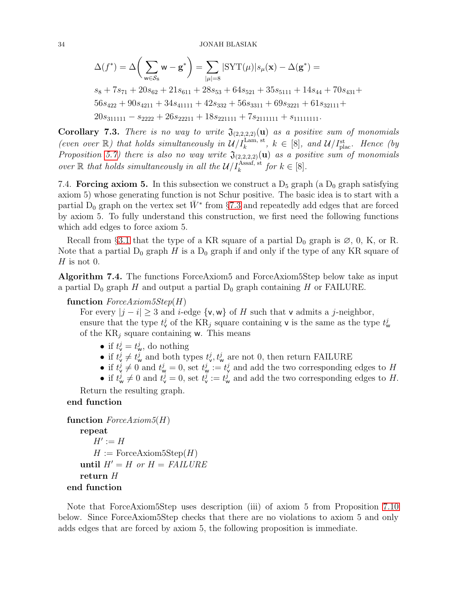$$
\Delta(f^*) = \Delta\bigg(\sum_{w \in \mathcal{S}_8} w - \mathbf{g}^*\bigg) = \sum_{|\mu|=8} |\mathrm{SYT}(\mu)| s_{\mu}(\mathbf{x}) - \Delta(\mathbf{g}^*) =
$$

 $s_8 + 7s_{71} + 20s_{62} + 21s_{611} + 28s_{53} + 64s_{521} + 35s_{5111} + 14s_{44} + 70s_{431} +$  $56s_{422} + 90s_{4211} + 34s_{41111} + 42s_{332} + 56s_{3311} + 69s_{3221} + 61s_{32111} +$  $20s_{311111} - s_{2222} + 26s_{22211} + 18s_{221111} + 7s_{2111111} + s_{11111111}.$ 

Corollary 7.3. There is no way to write  $\mathfrak{J}_{(2,2,2,2)}(u)$  as a positive sum of monomials (even over  $\mathbb{R}$ ) that holds simultaneously in  $\mathcal{U}/I_k^{\text{Lam, st}}$ ,  $k \in [8]$ , and  $\mathcal{U}/I_{\text{plac}}^{st}$ . Hence (by Proposition [5.7\)](#page-25-0) there is also no way write  $\mathfrak{J}_{(2,2,2,2)}(u)$  as a positive sum of monomials over  $\mathbb R$  that holds simultaneously in all the  $\mathcal U/I_k^{\text{Assaf, st}}$  for  $k \in [8]$ .

<span id="page-33-0"></span>7.4. Forcing axiom 5. In this subsection we construct a  $D_5$  graph (a  $D_0$  graph satisfying axiom 5) whose generating function is not Schur positive. The basic idea is to start with a partial  $\hat{D}_0$  graph on the vertex set  $\bar{W}^*$  from §[7.3](#page-32-0) and repeatedly add edges that are forced by axiom 5. To fully understand this construction, we first need the following functions which add edges to force axiom 5.

Recall from §[3.1](#page-9-0) that the type of a KR square of a partial  $D_0$  graph is  $\varnothing$ , 0, K, or R. Note that a partial  $D_0$  graph H is a  $D_0$  graph if and only if the type of any KR square of  $H$  is not 0.

Algorithm 7.4. The functions ForceAxiom5 and ForceAxiom5Step below take as input a partial  $D_0$  graph H and output a partial  $D_0$  graph containing H or FAILURE.

# function  $ForceAxiom5Step(H)$

For every  $|j - i| \geq 3$  and i-edge  $\{v, w\}$  of H such that v admits a j-neighbor, ensure that the type  $t_v^j$  of the KR<sub>j</sub> square containing **v** is the same as the type  $t_w^j$ of the  $KR_i$  square containing w. This means

- if  $t_v^j = t_w^j$ , do nothing
- if  $t_v^j \neq t_w^j$  and both types  $t_v^j, t_w^j$  are not 0, then return FAILURE
- if  $t_v^j \neq 0$  and  $t_w^j = 0$ , set  $t_w^j := t_v^j$  and add the two corresponding edges to H
- if  $t_w^j \neq 0$  and  $t_v^j = 0$ , set  $t_v^j := t_w^j$  and add the two corresponding edges to H.

Return the resulting graph.

# end function

```
function ForceAxiom5(H)repeat
      H' := HH := \text{ForceAxiom5Step}(H)until H' = H or H = FAILUREreturn H
end function
```
Note that ForceAxiom5Step uses description (iii) of axiom 5 from Proposition [7.10](#page-36-0) below. Since ForceAxiom5Step checks that there are no violations to axiom 5 and only adds edges that are forced by axiom 5, the following proposition is immediate.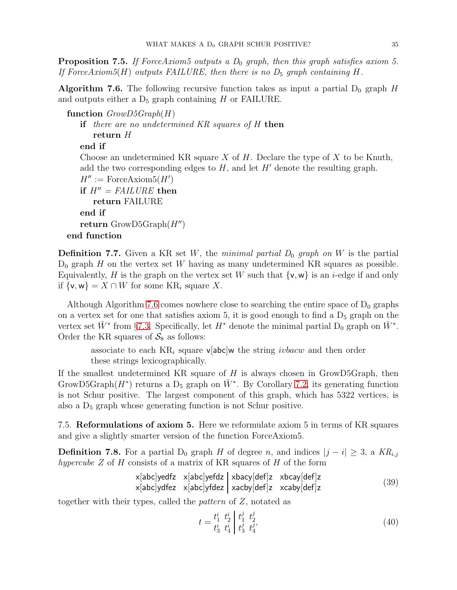**Proposition 7.5.** If ForceAxiom5 outputs a  $D_0$  graph, then this graph satisfies axiom 5. If ForceAxiom5(H) outputs FAILURE, then there is no  $D_5$  graph containing H.

<span id="page-34-0"></span>**Algorithm 7.6.** The following recursive function takes as input a partial  $D_0$  graph H and outputs either a  $D_5$  graph containing H or FAILURE.

```
function Group5Graph(H)if there are no undetermined KR squares of H then
      return H
   end if
   Choose an undetermined KR square X of H. Declare the type of X to be Knuth,
   add the two corresponding edges to H, and let H' denote the resulting graph.
   H'' := \text{ForceAxiom5}(H')if H'' = \textit{FAILURE} then
      return FAILURE
   end if
   return GrowD5Graph(H'')end function
```
**Definition 7.7.** Given a KR set W, the minimal partial  $D_0$  graph on W is the partial  $D_0$  graph H on the vertex set W having as many undetermined KR squares as possible. Equivalently, H is the graph on the vertex set W such that  $\{v, w\}$  is an *i*-edge if and only if  $\{v, w\} = X \cap W$  for some KR<sub>i</sub> square X.

Although Algorithm [7.6](#page-34-0) comes nowhere close to searching the entire space of  $D_0$  graphs on a vertex set for one that satisfies axiom  $5$ , it is good enough to find a  $D_5$  graph on the vertex set  $\bar{W}^*$  from §[7.3.](#page-32-0) Specifically, let  $H^*$  denote the minimal partial  $D_0$  graph on  $\bar{W}^*$ . Order the KR squares of  $S_8$  as follows:

associate to each  $KR_i$  square v[abc]w the string *ivbacw* and then order these strings lexicographically.

If the smallest undetermined KR square of  $H$  is always chosen in GrowD5Graph, then GrowD5Graph( $H^*$ ) returns a D<sub>5</sub> graph on  $\bar{W}^*$ . By Corollary [7.2,](#page-32-4) its generating function is not Schur positive. The largest component of this graph, which has 5322 vertices, is also a  $D_5$  graph whose generating function is not Schur positive.

7.5. Reformulations of axiom 5. Here we reformulate axiom 5 in terms of KR squares and give a slightly smarter version of the function ForceAxiom5.

**Definition 7.8.** For a partial D<sub>0</sub> graph H of degree n, and indices  $|j - i| \geq 3$ , a  $KR_{i,j}$ hypercube  $Z$  of  $H$  consists of a matrix of KR squares of  $H$  of the form

<span id="page-34-1"></span>
$$
x[abc]yedfz x[abc]yefdz xbacy[def]z xbcay[def]z x[abc]ydfez x[abc]yfdez x[abc]yfdez x[abc]yfdez x[abc]z
$$
\n(39)

together with their types, called the *pattern* of  $Z$ , notated as

<span id="page-34-2"></span>
$$
t = \frac{t_1^i}{t_3^i} \frac{t_2^i}{t_4^i} \begin{bmatrix} t_1^j & t_2^j \\ t_3^j & t_4^j \end{bmatrix},\tag{40}
$$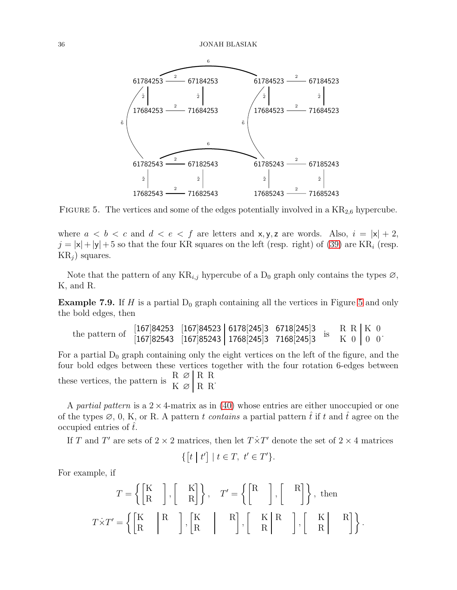<span id="page-35-0"></span>

FIGURE 5. The vertices and some of the edges potentially involved in a  $KR_{2,6}$  hypercube.

where  $a < b < c$  and  $d < e < f$  are letters and x, y, z are words. Also,  $i = |x| + 2$ ,  $j = |x| + |y| + 5$  so that the four KR squares on the left (resp. right) of [\(39\)](#page-34-1) are KR<sub>i</sub> (resp.  $KR_j$  squares.

Note that the pattern of any  $KR_{i,j}$  hypercube of a  $D_0$  graph only contains the types  $\varnothing$ , K, and R.

**Example 7.9.** If H is a partial  $D_0$  graph containing all the vertices in Figure [5](#page-35-0) and only the bold edges, then

the pattern of [167]<sup>84253</sup> [167]<sup>84523</sup> <sup>6178</sup>[245]3 6718[245]<sup>3</sup> [167]82543 [167]85243 1768[245]3 7168[245]3 is  $R R | K 0$  $K \left[0\right] \left[0\right]$   $0$ .

For a partial  $D_0$  graph containing only the eight vertices on the left of the figure, and the four bold edges between these vertices together with the four rotation 6-edges between these vertices, the pattern is  $\frac{R}{K} \propto \frac{R}{R} R$  $K \varnothing$  R R.

A partial pattern is a  $2 \times 4$ -matrix as in [\(40\)](#page-34-2) whose entries are either unoccupied or one of the types  $\emptyset$ , 0, K, or R. A pattern t contains a partial pattern that if t and t agree on the occupied entries of  $\hat{t}$ .

If T and T' are sets of  $2 \times 2$  matrices, then let  $T \times T'$  denote the set of  $2 \times 4$  matrices

$$
\{ \begin{bmatrix} t & | & t' \end{bmatrix} \mid t \in T, \ t' \in T' \}.
$$

For example, if

$$
T = \left\{ \begin{bmatrix} \mathbf{K} \\ \mathbf{R} \end{bmatrix}, \begin{bmatrix} \mathbf{K} \\ \mathbf{R} \end{bmatrix} \right\}, \quad T' = \left\{ \begin{bmatrix} \mathbf{R} \\ \mathbf{R} \end{bmatrix}, \begin{bmatrix} \mathbf{R} \\ \mathbf{R} \end{bmatrix} \right\}, \text{ then}
$$

$$
T \times T' = \left\{ \begin{bmatrix} \mathbf{K} & \mathbf{R} \\ \mathbf{R} & \mathbf{R} \end{bmatrix}, \begin{bmatrix} \mathbf{K} & \mathbf{R} \\ \mathbf{R} & \mathbf{R} \end{bmatrix}, \begin{bmatrix} \mathbf{K} & \mathbf{R} \\ \mathbf{R} & \mathbf{R} \end{bmatrix}, \begin{bmatrix} \mathbf{K} & \mathbf{R} \\ \mathbf{R} & \mathbf{R} \end{bmatrix} \right\}.
$$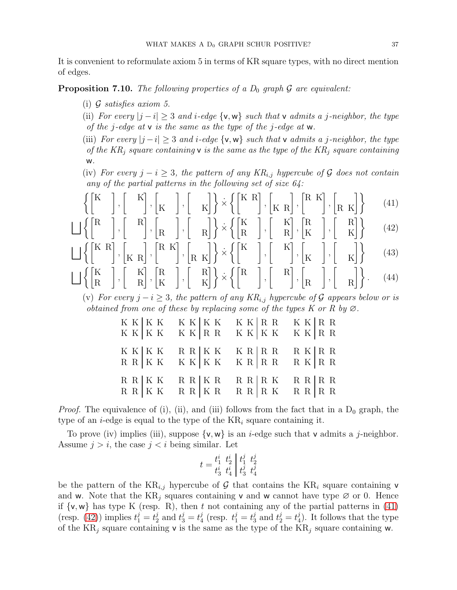It is convenient to reformulate axiom 5 in terms of KR square types, with no direct mention of edges.

<span id="page-36-0"></span>**Proposition 7.10.** The following properties of a  $D_0$  graph  $\mathcal G$  are equivalent:

- (i)  $G$  satisfies axiom 5.
- (ii) For every  $|j i| \geq 3$  and i-edge  $\{v, w\}$  such that v admits a j-neighbor, the type of the *j*-edge at  $v$  is the same as the type of the *j*-edge at  $w$ .
- (iii) For every  $|j i| \geq 3$  and i-edge  $\{v, w\}$  such that v admits a j-neighbor, the type of the  $KR_i$  square containing **v** is the same as the type of the  $KR_i$  square containing w.
- (iv) For every  $j i \geq 3$ , the pattern of any  $KR_{i,j}$  hypercube of G does not contain any of the partial patterns in the following set of size  $64$ :

$$
\left\{ \begin{bmatrix} \mathbf{K} & \\ & \end{bmatrix}, \begin{bmatrix} & \mathbf{K} \\ & \end{bmatrix}, \begin{bmatrix} & \\ & \mathbf{K} \end{bmatrix}, \begin{bmatrix} & \\ & \mathbf{K} \end{bmatrix} \right\} \times \left\{ \begin{bmatrix} \mathbf{K} & \mathbf{R} \\ & \end{bmatrix}, \begin{bmatrix} & \\ & \mathbf{K} & \mathbf{R} \end{bmatrix}, \begin{bmatrix} & \mathbf{R} & \\ & \mathbf{K} & \mathbf{K} \end{bmatrix}, \begin{bmatrix} & \\ & \mathbf{R} & \mathbf{K} \end{bmatrix} \right\} \tag{41}
$$

$$
\bigsqcup \left\{ \begin{bmatrix} R \\ & \end{bmatrix}, \begin{bmatrix} & R \\ & & \end{bmatrix}, \begin{bmatrix} & R \\ & R \end{bmatrix}, \begin{bmatrix} & \\ & R \end{bmatrix} \right\} \times \left\{ \begin{bmatrix} K \\ & R \end{bmatrix}, \begin{bmatrix} & K \\ & R \end{bmatrix}, \begin{bmatrix} R \\ & K \end{bmatrix}, \begin{bmatrix} & R \\ & K \end{bmatrix} \right\} \tag{42}
$$

$$
\bigsqcup \left\{ \begin{bmatrix} K & R \\ & \end{bmatrix}, \begin{bmatrix} K & R \end{bmatrix}, \begin{bmatrix} R & K \end{bmatrix}, \begin{bmatrix} R & K \end{bmatrix} \right\} \times \left\{ \begin{bmatrix} K & \end{bmatrix}, \begin{bmatrix} K \\ & \end{bmatrix}, \begin{bmatrix} K \\ & \end{bmatrix}, \begin{bmatrix} K \\ & K \end{bmatrix} \right\} \tag{43}
$$

$$
\bigsqcup \left\{ \begin{bmatrix} K \\ R \end{bmatrix}, \begin{bmatrix} K \\ R \end{bmatrix}, \begin{bmatrix} R \\ K \end{bmatrix}, \begin{bmatrix} R \\ K \end{bmatrix} \right\} \times \left\{ \begin{bmatrix} R \\ R \end{bmatrix}, \begin{bmatrix} R \\ R \end{bmatrix}, \begin{bmatrix} R \\ R \end{bmatrix}, \begin{bmatrix} R \\ R \end{bmatrix} \right\}.
$$
 (44)

(v) For every  $j - i \geq 3$ , the pattern of any KR<sub>i,j</sub> hypercube of G appears below or is obtained from one of these by replacing some of the types K or R by  $\varnothing$ .

<span id="page-36-3"></span><span id="page-36-2"></span><span id="page-36-1"></span>

|  |  |  | $\begin{array}{lllllll} \text{K} & \text{K} & \text{K} & \text{K} & \text{K} & \text{K} & \text{K} & \text{K} & \text{R} & \text{R} & \text{R} & \text{R} & \text{R} \\ \text{K} & \text{K} & \text{K} & \text{K} & \text{K} & \text{R} & \text{R} & \text{R} & \text{K} & \text{K} & \text{K} & \text{R} & \text{R} \\ \end{array} \label{eq:K}$                                                                                     |  |
|--|--|--|---------------------------------------------------------------------------------------------------------------------------------------------------------------------------------------------------------------------------------------------------------------------------------------------------------------------------------------------------------------------------------------------------------------------------------------|--|
|  |  |  |                                                                                                                                                                                                                                                                                                                                                                                                                                       |  |
|  |  |  |                                                                                                                                                                                                                                                                                                                                                                                                                                       |  |
|  |  |  |                                                                                                                                                                                                                                                                                                                                                                                                                                       |  |
|  |  |  | $\begin{array}{lllllll} \text{K} & \text{K} & \text{K} & \text{R} & \text{R} & \text{K} & \text{K} & \text{R} & \text{R} & \text{R} & \text{R} & \text{R} & \text{R} \\ \text{R} & \text{R} & \text{K} & \text{K} & \text{K} & \text{K} & \text{K} & \text{R} & \text{R} & \text{R} & \text{R} & \text{R} \\ \end{array} \begin{array}{lllllllll} \text{K} & \text{K} & \text{R} & \text{R} & \text{R} & \text{R} & \text{R} & \text$ |  |
|  |  |  |                                                                                                                                                                                                                                                                                                                                                                                                                                       |  |
|  |  |  |                                                                                                                                                                                                                                                                                                                                                                                                                                       |  |
|  |  |  |                                                                                                                                                                                                                                                                                                                                                                                                                                       |  |

*Proof.* The equivalence of (i), (ii), and (iii) follows from the fact that in a  $D_0$  graph, the type of an *i*-edge is equal to the type of the  $KR_i$  square containing it.

To prove (iv) implies (iii), suppose  $\{v, w\}$  is an *i*-edge such that v admits a *j*-neighbor. Assume  $j > i$ , the case  $j < i$  being similar. Let

$$
t = \frac{t_1^i}{t_3^i} \frac{t_2^i}{t_4^i} \begin{vmatrix} t_1^j & t_2^j \\ t_3^j & t_4^j \end{vmatrix}
$$

be the pattern of the  $KR_{i,j}$  hypercube of G that contains the  $KR_i$  square containing v and w. Note that the  $KR_i$  squares containing v and w cannot have type  $\varnothing$  or 0. Hence if  $\{v, w\}$  has type K (resp. R), then t not containing any of the partial patterns in [\(41\)](#page-36-1) (resp. [\(42\)](#page-36-2)) implies  $t_1^j = t_2^j$  $i_2^j$  and  $t_3^j = t_4^j$  $j_4^j$  (resp.  $t_1^j = t_3^j$  $i_3^j$  and  $t_2^j = t_4^j$  $_{4}^{j}$ ). It follows that the type of the  $KR_i$  square containing v is the same as the type of the  $KR_i$  square containing w.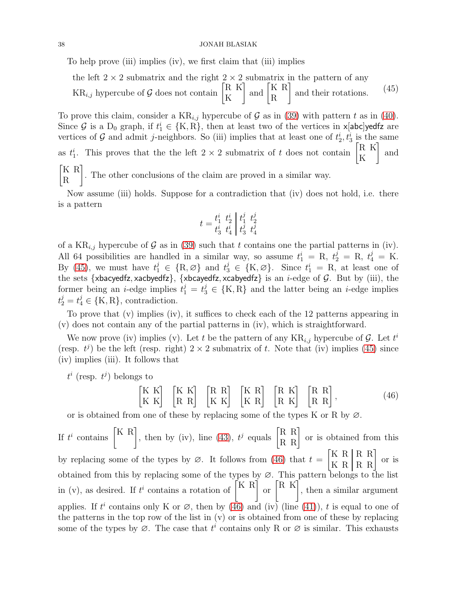## 38 JONAH BLASIAK

To help prove (iii) implies (iv), we first claim that (iii) implies

<span id="page-37-0"></span>the left  $2 \times 2$  submatrix and the right  $2 \times 2$  submatrix in the pattern of any  $KR_{i,j}$  hypercube of G does not contain  $\begin{bmatrix} R & K \\ K & K \end{bmatrix}$ K  $\Big]$  and  $\Big[$ <sub>D</sub><sup>K</sup> R R and their rotations.  $(45)$ 

To prove this claim, consider a  $KR_{i,j}$  hypercube of G as in [\(39\)](#page-34-1) with pattern t as in [\(40\)](#page-34-2). Since G is a  $D_0$  graph, if  $t_1^i \in \{K, R\}$ , then at least two of the vertices in  $x[abc]$ yedfz are vertices of G and admit j-neighbors. So (iii) implies that at least one of  $t_2^i, t_3^i$  is the same as  $t_1^i$ . This proves that the the left  $2 \times 2$  submatrix of t does not contain  $\begin{bmatrix} R & K \\ K & K \end{bmatrix}$ K T and K R R ׀ . The other conclusions of the claim are proved in a similar way.

Now assume (iii) holds. Suppose for a contradiction that (iv) does not hold, i.e. there is a pattern

$$
t = \frac{t_1^i}{t_3^i} \frac{t_2^i}{t_4^i} \begin{vmatrix} t_1^j & t_2^j \\ t_3^j & t_4^j \end{vmatrix}
$$

of a  $KR_{i,j}$  hypercube of G as in [\(39\)](#page-34-1) such that t contains one the partial patterns in (iv). All 64 possibilities are handled in a similar way, so assume  $t_1^i = R$ ,  $t_2^j = R$ ,  $t_4^j = K$ . By [\(45\)](#page-37-0), we must have  $t_1^j \in \{R, \varnothing\}$  and  $t_3^j \in \{K, \varnothing\}$ . Since  $t_1^i = R$ , at least one of the sets {xbacyedfz, xacbyedfz}, {xbcayedfz, xcabyedfz} is an *i*-edge of  $G$ . But by (iii), the former being an *i*-edge implies  $t_1^j = t_3^j \in \{K, R\}$  and the latter being an *i*-edge implies  $t_2^j = t_4^j \in \{K, R\}$ , contradiction.

To prove that (v) implies (iv), it suffices to check each of the 12 patterns appearing in (v) does not contain any of the partial patterns in (iv), which is straightforward.

We now prove (iv) implies (v). Let t be the pattern of any  $KR_{i,j}$  hypercube of G. Let  $t^i$ (resp.  $t^j$ ) be the left (resp. right)  $2 \times 2$  submatrix of t. Note that (iv) implies [\(45\)](#page-37-0) since (iv) implies (iii). It follows that

<span id="page-37-1"></span> $t^i$  (resp.  $t^j$ ) belongs to

$$
\begin{bmatrix} K & K \\ K & K \end{bmatrix} \begin{bmatrix} K & K \\ R & R \end{bmatrix} \begin{bmatrix} R & R \\ K & K \end{bmatrix} \begin{bmatrix} K & R \\ K & R \end{bmatrix} \begin{bmatrix} R & K \\ R & K \end{bmatrix} \begin{bmatrix} R & R \\ R & R \end{bmatrix},
$$
 (46)

or is obtained from one of these by replacing some of the types K or R by  $\varnothing$ .

If  $t^i$  contains  $\begin{bmatrix} K & R \\ R & R \end{bmatrix}$ , then by (iv), line [\(43\)](#page-36-3),  $t^j$  equals  $\begin{bmatrix} R & R \\ R & R \end{bmatrix}$  or is obtained from this by replacing some of the types by  $\varnothing$ . It follows from [\(46\)](#page-37-1) that  $t =$  $\begin{bmatrix} \textbf{K} \ \textbf{R} \ \textbf{K} \ \textbf{R} \ \textbf{R} \ \textbf{R} \ \textbf{R} \end{bmatrix}$  or is obtained from this by replacing some of the types by ∅. This pattern belongs to the list in (v), as desired. If  $t^i$  contains a rotation of  $\begin{bmatrix} K & R \end{bmatrix}$  or  $\begin{bmatrix} R & K \end{bmatrix}$ , then a similar argument applies. If  $t^i$  contains only K or  $\varnothing$ , then by [\(46\)](#page-37-1) and (iv) (line [\(41\)](#page-36-1)), t is equal to one of the patterns in the top row of the list in (v) or is obtained from one of these by replacing some of the types by  $\emptyset$ . The case that  $t^i$  contains only R or  $\emptyset$  is similar. This exhausts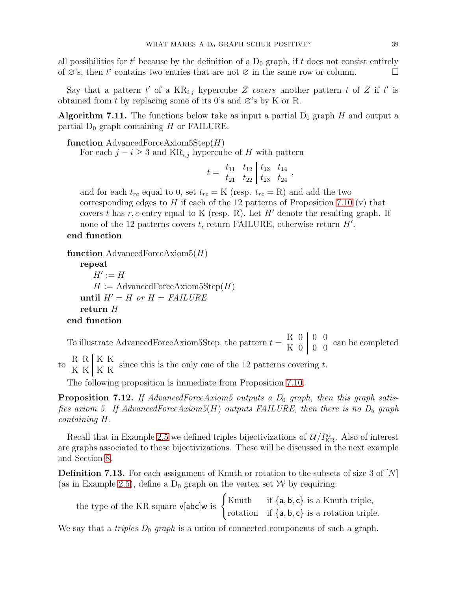all possibilities for  $t^i$  because by the definition of a  $D_0$  graph, if t does not consist entirely of  $\emptyset$ 's, then  $t^i$  contains two entries that are not  $\emptyset$  in the same row or column.

Say that a pattern  $t'$  of a  $KR_{i,j}$  hypercube Z covers another pattern t of Z if  $t'$  is obtained from t by replacing some of its 0's and  $\varnothing$ 's by K or R.

<span id="page-38-0"></span>**Algorithm 7.11.** The functions below take as input a partial  $D_0$  graph H and output a partial  $D_0$  graph containing H or FAILURE.

function AdvancedForceAxiom5Step $(H)$ 

For each  $j - i \geq 3$  and KR<sub>i,j</sub> hypercube of H with pattern

$$
t =\begin{array}{cc|cc} t_{11} & t_{12} & t_{13} & t_{14} \\ t_{21} & t_{22} & t_{23} & t_{24} \end{array},
$$

and for each  $t_{rc}$  equal to 0, set  $t_{rc} = K$  (resp.  $t_{rc} = R$ ) and add the two corresponding edges to H if each of the 12 patterns of Proposition [7.10](#page-36-0) (v) that covers t has r, c-entry equal to K (resp. R). Let  $H'$  denote the resulting graph. If none of the 12 patterns covers  $t$ , return FAILURE, otherwise return  $H'$ .

# end function

function AdvancedForceAxiom $5(H)$ 

```
repeat
      H' := HH := \text{AdvancedForceAxiom5Step}(H)until H' = H or H = \textit{FAILURE}return H
end function
```
To illustrate AdvancedForceAxiom5Step, the pattern  $t = \begin{bmatrix} R & 0 & 0 & 0 \\ K & 0 & 0 & 0 \end{bmatrix}$  can be completed

to  $R$  K K K since this is the only one of the 12 patterns covering t.<br>K K K K

The following proposition is immediate from Proposition [7.10.](#page-36-0)

**Proposition 7.12.** If AdvancedForceAxiom5 outputs a  $D_0$  graph, then this graph satisfies axiom 5. If AdvancedForceAxiom5(H) outputs FAILURE, then there is no  $D_5$  graph containing H.

Recall that in Example [2.5](#page-7-2) we defined triples bijectivizations of  $\mathcal{U}/I_{\text{KR}}^{\text{st}}$ . Also of interest are graphs associated to these bijectivizations. These will be discussed in the next example and Section [8.](#page-42-0)

<span id="page-38-1"></span>**Definition 7.13.** For each assignment of Knuth or rotation to the subsets of size 3 of  $[N]$ (as in Example [2.5\)](#page-7-2), define a  $D_0$  graph on the vertex set W by requiring:

| the type of the KR square $v[abc]w$ is $\begin{cases}$ Knuth if $\{a, b, c\}$ is a Knuth triple,<br>rotation if $\{a, b, c\}$ is a rotation triple. |  |
|-----------------------------------------------------------------------------------------------------------------------------------------------------|--|
|                                                                                                                                                     |  |

We say that a *triples*  $D_0$  *graph* is a union of connected components of such a graph.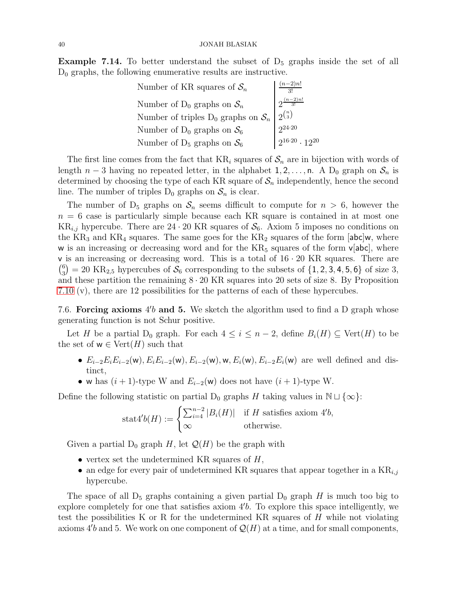**Example 7.14.** To better understand the subset of  $D_5$  graphs inside the set of all  $D_0$  graphs, the following enumerative results are instructive.

| aber of KR squares or $\mathfrak{O}_n$<br>umber of D <sub>0</sub> graphs on $\mathcal{S}_n$<br>Number of triples D <sub>0</sub> graphs on $\mathcal{S}_n$<br>$\begin{bmatrix} 3! \\ 2^{\frac{(n-2)n!}{3!}} \\ 2^{(n)} \\ 2^{24\cdot 20} \end{bmatrix}$ |                                       |
|--------------------------------------------------------------------------------------------------------------------------------------------------------------------------------------------------------------------------------------------------------|---------------------------------------|
|                                                                                                                                                                                                                                                        |                                       |
| Number of $D_0$ graphs on $S_6$                                                                                                                                                                                                                        |                                       |
| Number of $D_5$ graphs on $S_6$                                                                                                                                                                                                                        | $\Big _2^{216\cdot 20} \cdot 12^{20}$ |

The first line comes from the fact that  $KR_i$  squares of  $S_n$  are in bijection with words of length  $n-3$  having no repeated letter, in the alphabet  $1, 2, \ldots, n$ . A D<sub>0</sub> graph on  $S_n$  is determined by choosing the type of each KR square of  $S_n$  independently, hence the second line. The number of triples  $D_0$  graphs on  $S_n$  is clear.

The number of  $D_5$  graphs on  $S_n$  seems difficult to compute for  $n > 6$ , however the  $n = 6$  case is particularly simple because each KR square is contained in at most one  $KR_{i,j}$  hypercube. There are  $24 \cdot 20$  KR squares of  $S_6$ . Axiom 5 imposes no conditions on the  $KR_3$  and  $KR_4$  squares. The same goes for the  $KR_2$  squares of the form [abc]w, where w is an increasing or decreasing word and for the  $KR_5$  squares of the form  $v[abc]$ , where  $\nu$  is an increasing or decreasing word. This is a total of  $16 \cdot 20$  KR squares. There are  $\binom{6}{5}$  $S_3^{(6)} = 20 \text{ KR}_{2,5}$  hypercubes of  $\mathcal{S}_6$  corresponding to the subsets of  $\{1, 2, 3, 4, 5, 6\}$  of size 3, and these partition the remaining  $8 \cdot 20$  KR squares into 20 sets of size 8. By Proposition [7.10](#page-36-0) (v), there are 12 possibilities for the patterns of each of these hypercubes.

<span id="page-39-0"></span>7.6. Forcing axioms  $4'b$  and 5. We sketch the algorithm used to find a D graph whose generating function is not Schur positive.

Let H be a partial D<sub>0</sub> graph. For each  $4 \leq i \leq n-2$ , define  $B_i(H) \subseteq \text{Vert}(H)$  to be the set of  $w \in \text{Vert}(H)$  such that

- $E_{i-2}E_iE_{i-2}(\mathsf{w}), E_iE_{i-2}(\mathsf{w}), E_{i-2}(\mathsf{w}), \mathsf{w}, E_i(\mathsf{w}), E_{i-2}E_i(\mathsf{w})$  are well defined and distinct,
- w has  $(i + 1)$ -type W and  $E_{i-2}(w)$  does not have  $(i + 1)$ -type W.

Define the following statistic on partial D<sub>0</sub> graphs H taking values in  $\mathbb{N} \sqcup \{\infty\}$ :

$$
stat4'b(H) := \begin{cases} \sum_{i=4}^{n-2} |B_i(H)| & \text{if } H \text{ satisfies axiom 4'b,} \\ \infty & \text{otherwise.} \end{cases}
$$

Given a partial  $D_0$  graph H, let  $\mathcal{Q}(H)$  be the graph with

- vertex set the undetermined KR squares of  $H$ ,
- an edge for every pair of undetermined KR squares that appear together in a  $KR_{i,j}$ hypercube.

The space of all  $D_5$  graphs containing a given partial  $D_0$  graph H is much too big to explore completely for one that satisfies axiom 4′ b. To explore this space intelligently, we test the possibilities K or R for the undetermined KR squares of  $H$  while not violating axioms 4'b and 5. We work on one component of  $\mathcal{Q}(H)$  at a time, and for small components,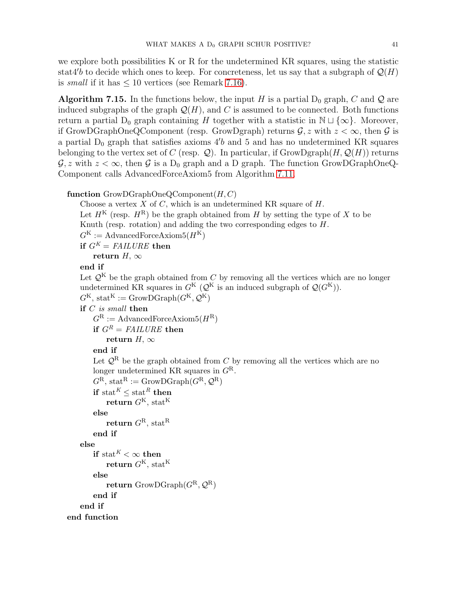we explore both possibilities K or R for the undetermined KR squares, using the statistic stat4'b to decide which ones to keep. For concreteness, let us say that a subgraph of  $\mathcal{Q}(H)$ is small if it has  $\leq 10$  vertices (see Remark [7.16\)](#page-41-1).

**Algorithm 7.15.** In the functions below, the input H is a partial  $D_0$  graph, C and Q are induced subgraphs of the graph  $\mathcal{Q}(H)$ , and C is assumed to be connected. Both functions return a partial D<sub>0</sub> graph containing H together with a statistic in  $\mathbb{N} \sqcup \{\infty\}$ . Moreover, if GrowDGraphOneQComponent (resp. GrowDgraph) returns  $\mathcal{G}, z$  with  $z < \infty$ , then  $\mathcal{G}$  is a partial  $D_0$  graph that satisfies axioms  $4'b$  and 5 and has no undetermined KR squares belonging to the vertex set of C (resp.  $\mathcal{Q}$ ). In particular, if GrowDgraph(H,  $\mathcal{Q}(H)$ ) returns  $\mathcal{G}, z$  with  $z < \infty$ , then  $\mathcal{G}$  is a D<sub>0</sub> graph and a D graph. The function GrowDGraphOneQ-Component calls AdvancedForceAxiom5 from Algorithm [7.11.](#page-38-0)

# function  $GrowDGraphOneQComponent(H, C)$

Choose a vertex  $X$  of  $C$ , which is an undetermined KR square of  $H$ . Let  $H^{K}$  (resp.  $H^{R}$ ) be the graph obtained from H by setting the type of X to be Knuth (resp. rotation) and adding the two corresponding edges to H.  $G^{K} := \text{AdvancedForceAxiom5}(H^{K})$ if  $G^K = \text{FAILURE}$  then return H,  $\infty$ end if Let  $\mathcal{Q}^K$  be the graph obtained from C by removing all the vertices which are no longer undetermined KR squares in  $G^{K}$  ( $\mathcal{Q}^{K}$  is an induced subgraph of  $\mathcal{Q}(G^{K})$ ).  $G^{K}$ , stat<sup>K</sup> := GrowDGraph( $G^{K}, \mathcal{Q}^{K}$ ) if  $C$  is small then  $G^{\rm R} :=$  AdvancedForceAxiom5( $H^{\rm R}$ ) if  $G^R = \text{FAILURE}$  then return H,  $\infty$ end if Let  $\mathcal{Q}^R$  be the graph obtained from C by removing all the vertices which are no longer undetermined KR squares in  $G^R$ .  $G^R$ , stat<sup>R</sup> := GrowDGraph( $G^R$ ,  $\mathcal{Q}^R$ ) if stat<sup>K</sup>  $\lt$  stat<sup>R</sup> then return  $G^{K}$ , stat<sup>K</sup> else return $G^{\rm R}$  stat $^{\rm R}$ end if else if stat<sup>K</sup> <  $\infty$  then return  $G^{K}$ , stat<sup>K</sup> else return GrowDGraph $(G^R, \mathcal{Q}^R)$ end if end if end function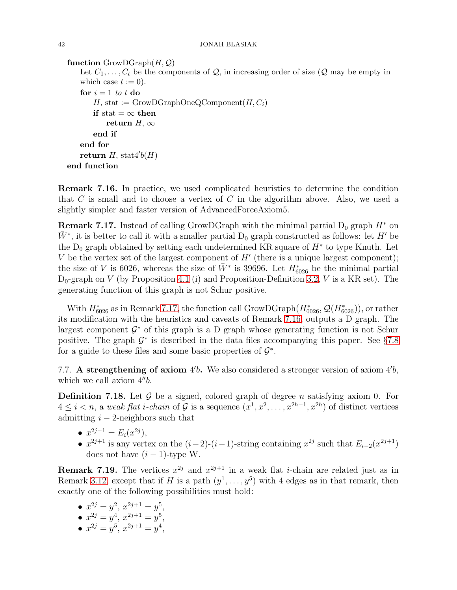## 42 JONAH BLASIAK

```
function Group(<i>H</i>,<i>Q</i>)Let C_1, \ldots, C_t be the components of Q, in increasing order of size (Q may be empty in
   which case t := 0).
   for i = 1 to t do
       H, stat := GrowDGraphOneQComponent(H, C_i)if stat = \infty then
           return H, \inftyend if
   end for
   return H, stat4'b(H)end function
```
<span id="page-41-1"></span>Remark 7.16. In practice, we used complicated heuristics to determine the condition that C is small and to choose a vertex of C in the algorithm above. Also, we used a slightly simpler and faster version of AdvancedForceAxiom5.

<span id="page-41-2"></span>**Remark 7.17.** Instead of calling GrowDGraph with the minimal partial  $D_0$  graph  $H^*$  on  $\bar{W}^*$ , it is better to call it with a smaller partial D<sub>0</sub> graph constructed as follows: let H' be the  $D_0$  graph obtained by setting each undetermined KR square of  $H^*$  to type Knuth. Let V be the vertex set of the largest component of  $H'$  (there is a unique largest component); the size of V is 6026, whereas the size of  $\bar{W}^*$  is 39696. Let  $H^*_{6026}$  be the minimal partial  $D_0$ -graph on V (by Proposition [4.1](#page-15-2) (i) and Proposition-Definition [3.2,](#page-10-1) V is a KR set). The generating function of this graph is not Schur positive.

With  $H_{6026}^*$  as in Remark [7.17,](#page-41-2) the function call GrowDGraph $(H_{6026}^*, \mathcal{Q}(H_{6026}^*)),$  or rather its modification with the heuristics and caveats of Remark [7.16,](#page-41-1) outputs a D graph. The largest component  $\mathcal{G}^*$  of this graph is a D graph whose generating function is not Schur positive. The graph  $\mathcal{G}^*$  is described in the data files accompanying this paper. See §[7.8](#page-42-1) for a guide to these files and some basic properties of  $\mathcal{G}^*$ .

<span id="page-41-0"></span>7.7. A strengthening of axiom  $4'b$ . We also considered a stronger version of axiom  $4'b$ , which we call axiom  $4^{\prime\prime}b$ .

**Definition 7.18.** Let  $\mathcal{G}$  be a signed, colored graph of degree n satisfying axiom 0. For  $4 \leq i < n$ , a weak flat *i*-chain of G is a sequence  $(x^1, x^2, \ldots, x^{2h-1}, x^{2h})$  of distinct vertices admitting  $i - 2$ -neighbors such that

- $x^{2j-1} = E_i(x^{2j}),$
- $x^{2j+1}$  is any vertex on the  $(i-2)-(i-1)$ -string containing  $x^{2j}$  such that  $E_{i-2}(x^{2j+1})$ does not have  $(i - 1)$ -type W.

**Remark 7.19.** The vertices  $x^{2j}$  and  $x^{2j+1}$  in a weak flat *i*-chain are related just as in Remark [3.12,](#page-13-3) except that if H is a path  $(y^1, \ldots, y^5)$  with 4 edges as in that remark, then exactly one of the following possibilities must hold:

- $x^{2j} = y^2, x^{2j+1} = y^5,$
- $x^{2j} = y^4, x^{2j+1} = y^5,$
- $x^{2j} = y^5$ ,  $x^{2j+1} = y^4$ ,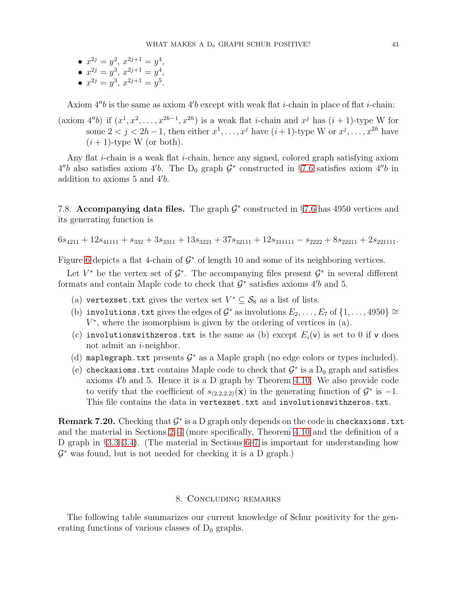- $x^{2j} = y^2, x^{2j+1} = y^4,$
- $x^{2j} = y^3, x^{2j+1} = y^4,$
- $x^{2j} = y^3, x^{2j+1} = y^5.$

Axiom  $4''b$  is the same as axiom  $4'b$  except with weak flat *i*-chain in place of flat *i*-chain:

(axiom 4"b) if  $(x^1, x^2, \ldots, x^{2h-1}, x^{2h})$  is a weak flat *i*-chain and  $x^j$  has  $(i + 1)$ -type W for some  $2 < j < 2h-1$ , then either  $x^1, \ldots, x^j$  have  $(i+1)$ -type W or  $x^j, \ldots, x^{2h}$  have  $(i + 1)$ -type W (or both).

Any flat i-chain is a weak flat i-chain, hence any signed, colored graph satisfying axiom  $4''b$  also satisfies axiom  $4'b$ . The D<sub>0</sub> graph  $\mathcal{G}^*$  constructed in §[7.6](#page-39-0) satisfies axiom  $4''b$  in addition to axioms 5 and 4′ b.

<span id="page-42-1"></span>7.8. Accompanying data files. The graph  $\mathcal{G}^*$  constructed in §[7.6](#page-39-0) has 4950 vertices and its generating function is

$$
6s_{4211} + 12s_{41111} + s_{332} + 3s_{3311} + 13s_{3221} + 37s_{32111} + 12s_{311111} - s_{2222} + 8s_{22211} + 2s_{221111}.
$$

Figure [6](#page-43-0) depicts a flat 4-chain of  $\mathcal{G}^*$  of length 10 and some of its neighboring vertices.

Let  $V^*$  be the vertex set of  $\mathcal{G}^*$ . The accompanying files present  $\mathcal{G}^*$  in several different formats and contain Maple code to check that  $\mathcal{G}^*$  satisfies axioms  $4'b$  and 5.

- (a) vertexset.txt gives the vertex set  $V^* \subseteq S_8$  as a list of lists.
- (b) involutions.txt gives the edges of  $\mathcal{G}^*$  as involutions  $E_2, \ldots, E_7$  of  $\{1, \ldots, 4950\} \cong$  $V^*$ , where the isomorphism is given by the ordering of vertices in  $(a)$ .
- (c) involutions with zeros.txt is the same as (b) except  $E_i(\mathbf{v})$  is set to 0 if v does not admit an  $i$ -neighbor.
- (d) maplegraph.txt presents  $G^*$  as a Maple graph (no edge colors or types included).
- (e) checkaxioms.txt contains Maple code to check that  $\mathcal{G}^*$  is a  $D_0$  graph and satisfies axioms 4′ b and 5. Hence it is a D graph by Theorem [4.10.](#page-21-1) We also provide code to verify that the coefficient of  $s_{(2,2,2,2)}(\mathbf{x})$  in the generating function of  $\mathcal{G}^*$  is  $-1$ . This file contains the data in vertexset.txt and involutionswithzeros.txt.

Remark 7.20. Checking that  $\mathcal{G}^*$  is a D graph only depends on the code in checkaxioms.txt and the material in Sections [2–](#page-5-0)[4](#page-14-0) (more specifically, Theorem [4.10](#page-21-1) and the definition of a D graph in §[3.3–](#page-11-4)[3.4\)](#page-13-0). (The material in Sections [6–](#page-26-0)[7](#page-30-1) is important for understanding how  $\mathcal{G}^*$  was found, but is not needed for checking it is a D graph.)

# 8. Concluding remarks

<span id="page-42-0"></span>The following table summarizes our current knowledge of Schur positivity for the generating functions of various classes of  $D_0$  graphs.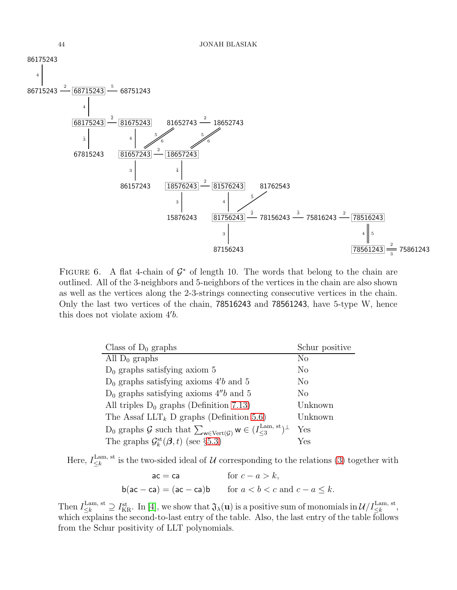<span id="page-43-0"></span>

FIGURE 6. A flat 4-chain of  $\mathcal{G}^*$  of length 10. The words that belong to the chain are outlined. All of the 3-neighbors and 5-neighbors of the vertices in the chain are also shown as well as the vertices along the 2-3-strings connecting consecutive vertices in the chain. Only the last two vertices of the chain, 78516243 and 78561243, have 5-type W, hence this does not violate axiom 4′ b.

| Class of $D_0$ graphs                                                                                                  | Schur positive |
|------------------------------------------------------------------------------------------------------------------------|----------------|
| All $D_0$ graphs                                                                                                       | $\rm No$       |
| $D_0$ graphs satisfying axiom 5                                                                                        | No             |
| $D_0$ graphs satisfying axioms 4'b and 5                                                                               | No             |
| $D_0$ graphs satisfying axioms 4"b and 5"                                                                              | No             |
| All triples $D_0$ graphs (Definition 7.13)                                                                             | Unknown        |
| The Assaf LLT <sub>k</sub> D graphs (Definition 5.6)                                                                   | Unknown        |
| $D_0$ graphs $\mathcal G$ such that $\sum_{w \in \text{Vert}(\mathcal G)} w \in (I_{\leq 3}^{\text{Lam, st}})^{\perp}$ | Yes            |
| The graphs $\mathcal{G}_{k}^{\text{st}}(\boldsymbol{\beta},t)$ (see §5.3)                                              | Yes            |

Here,  $I_{\leq k}^{\text{Lam, st}}$ <sup>Lam, st</sup> is the two-sided ideal of U corresponding to the relations [\(3\)](#page-2-0) together with

$$
ac = ca \tfor c - a > k,
$$
  

$$
b(ac - ca) = (ac - ca)b \tfor a < b < c \text{ and } c - a \le k.
$$

Then  $I_{\leq k}^{\text{Lam, st}} \supseteq I_{\text{KR}}^{\text{st}}$ . In [\[4\]](#page-45-3), we show that  $\mathfrak{J}_{\lambda}(\mathbf{u})$  is a positive sum of monomials in  $\mathcal{U}/I_{\leq k}^{\text{Lam, st}}$ , which explains the second-to-last entry of the table. Also, the last entry of the table follows from the Schur positivity of LLT polynomials.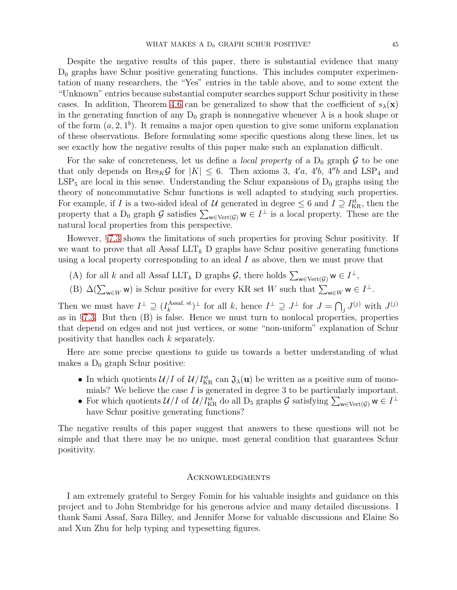Despite the negative results of this paper, there is substantial evidence that many  $D_0$  graphs have Schur positive generating functions. This includes computer experimentation of many researchers, the "Yes" entries in the table above, and to some extent the "Unknown" entries because substantial computer searches support Schur positivity in these cases. In addition, Theorem [4.6](#page-18-0) can be generalized to show that the coefficient of  $s_{\lambda}(\mathbf{x})$ in the generating function of any  $D_0$  graph is nonnegative whenever  $\lambda$  is a hook shape or of the form  $(a, 2, 1<sup>b</sup>)$ . It remains a major open question to give some uniform explanation of these observations. Before formulating some specific questions along these lines, let us see exactly how the negative results of this paper make such an explanation difficult.

For the sake of concreteness, let us define a *local property* of a  $D_0$  graph  $\mathcal G$  to be one that only depends on  $\text{Res}_K \mathcal{G}$  for  $|K| \leq 6$ . Then axioms 3, 4'a, 4'b, 4"b and LSP<sub>4</sub> and  $LSP_5$  are local in this sense. Understanding the Schur expansions of  $D_0$  graphs using the theory of noncommutative Schur functions is well adapted to studying such properties. For example, if I is a two-sided ideal of U generated in degree  $\leq 6$  and  $I \supseteq I_{\text{KR}}^{\text{st}}$ , then the property that a D<sub>0</sub> graph G satisfies  $\sum_{w \in \text{Vert}(\mathcal{G})} w \in I^{\perp}$  is a local property. These are the natural local properties from this perspective.

However, §[7.3](#page-32-0) shows the limitations of such properties for proving Schur positivity. If we want to prove that all Assaf  $LLT_k$  D graphs have Schur positive generating functions using a local property corresponding to an ideal  $I$  as above, then we must prove that

- (A) for all k and all Assaf LLT<sub>k</sub> D graphs  $\mathcal{G}$ , there holds  $\sum_{w \in \text{Vert}(\mathcal{G})} w \in I^{\perp}$ ,
- (B)  $\Delta(\sum_{w\in W} w)$  is Schur positive for every KR set W such that  $\sum_{w\in W} w \in I^{\perp}$ .

Then we must have  $I^{\perp} \supseteq (I_k^{\text{Assaf, st}})$ Assaf, st  $\bigcup_k$  for all k, hence  $I^{\perp} \supseteq J^{\perp}$  for  $J = \bigcap_j J^{(j)}$  with  $J^{(j)}$ as in  $\S 7.3$ . But then  $(B)$  is false. Hence we must turn to nonlocal properties, properties that depend on edges and not just vertices, or some "non-uniform" explanation of Schur positivity that handles each k separately.

Here are some precise questions to guide us towards a better understanding of what makes a  $D_0$  graph Schur positive:

- In which quotients  $\mathcal{U}/I$  of  $\mathcal{U}/I_{\text{KR}}^{\text{st}}$  can  $\mathfrak{J}_{\lambda}(\mathbf{u})$  be written as a positive sum of monomials? We believe the case  $I$  is generated in degree 3 to be particularly important.
- For which quotients  $\mathcal{U}/I$  of  $\mathcal{U}/I_{\text{KR}}^{\text{st}}$  do all  $D_5$  graphs  $\mathcal{G}$  satisfying  $\sum_{w \in \text{Vert}(\mathcal{G})} w \in I^{\perp}$ have Schur positive generating functions?

The negative results of this paper suggest that answers to these questions will not be simple and that there may be no unique, most general condition that guarantees Schur positivity.

#### **ACKNOWLEDGMENTS**

I am extremely grateful to Sergey Fomin for his valuable insights and guidance on this project and to John Stembridge for his generous advice and many detailed discussions. I thank Sami Assaf, Sara Billey, and Jennifer Morse for valuable discussions and Elaine So and Xun Zhu for help typing and typesetting figures.